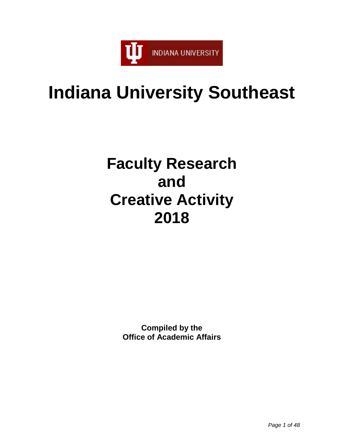

# **Indiana University Southeast**

# **Faculty Research and Creative Activity 2018**

**Compiled by the Office of Academic Affairs**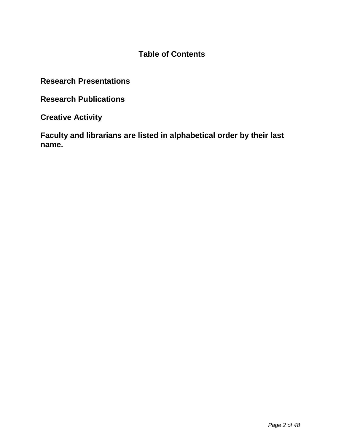# **Table of Contents**

**Research Presentations**

**Research Publications**

**Creative Activity** 

**Faculty and librarians are listed in alphabetical order by their last name.**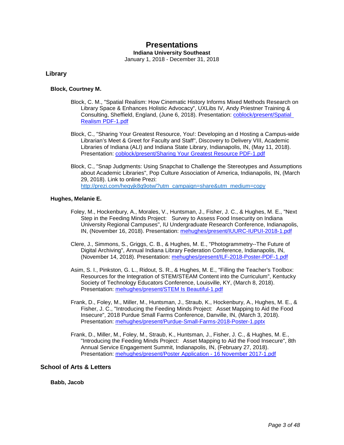# **Presentations**

**Indiana University Southeast**

January 1, 2018 - December 31, 2018

## **Library**

## **Block, Courtney M.**

- Block, C. M., "Spatial Realism: How Cinematic History Informs Mixed Methods Research on Library Space & Enhances Holistic Advocacy", UXLibs IV, Andy Priestner Training & Consulting, Sheffield, England, (June 6, 2018). Presentation: [coblock/present/Spatial](https://www.digitalmeasures.com/login/indiana/faculty/survey/ui/showFile?file=Y29ibG9jay9wcmVzZW50L1NwYXRpYWwgUmVhbGlzbSBQREYtMS5wZGY%3D&surId=17691684&nodeId=1610663&sdId=88283360&sdSurId=17691684&rptId=20237&sgntr=kAZoY6bqdksjiHu%2FCQGAoFMBMa0%3D)  [Realism PDF-1.pdf](https://www.digitalmeasures.com/login/indiana/faculty/survey/ui/showFile?file=Y29ibG9jay9wcmVzZW50L1NwYXRpYWwgUmVhbGlzbSBQREYtMS5wZGY%3D&surId=17691684&nodeId=1610663&sdId=88283360&sdSurId=17691684&rptId=20237&sgntr=kAZoY6bqdksjiHu%2FCQGAoFMBMa0%3D)
- Block, C., "Sharing Your Greatest Resource, You!: Developing an d Hosting a Campus-wide Librarian's Meet & Greet for Faculty and Staff", Discovery to Delivery VIII, Academic Libraries of Indiana (ALI) and Indiana State Library, Indianapolis, IN, (May 11, 2018). Presentation: [coblock/present/Sharing Your Greatest Resource PDF-1.pdf](https://www.digitalmeasures.com/login/indiana/faculty/survey/ui/showFile?file=Y29ibG9jay9wcmVzZW50L1NoYXJpbmcgWW91ciBHcmVhdGVzdCBSZXNvdXJjZSBQREYtMS5wZGY%3D&surId=17691684&nodeId=1610663&sdId=88283183&sdSurId=17691684&rptId=20237&sgntr=sh3wFAWnA93M%2BRSW20kILSbIQMg%3D)
- Block, C., "Snap Judgments: Using Snapchat to Challenge the Stereotypes and Assumptions about Academic Libraries", Pop Culture Association of America, Indianapolis, IN, (March 29, 2018). Link to online Prezi: [http://prezi.com/heqyjk8q9otw/?utm\\_campaign=share&utm\\_medium=copy](http://prezi.com/heqyjk8q9otw/?utm_campaign=share&utm_medium=copy)

## **Hughes, Melanie E.**

- Foley, M., Hockenbury, A., Morales, V., Huntsman, J., Fisher, J. C., & Hughes, M. E., "Next Step in the Feeding Minds Project: Survey to Assess Food Insecurity on Indiana University Regional Campuses", IU Undergraduate Research Conference, Indianapolis, IN, (November 16, 2018). Presentation: [mehughes/present/IUURC-IUPUI-2018-1.pdf](https://www.digitalmeasures.com/login/indiana/faculty/survey/ui/showFile?file=bWVodWdoZXMvcHJlc2VudC9JVVVSQy1JVVBVSS0yMDE4LTEucGRm&surId=17691688&nodeId=1610663&sdId=88556566&sdSurId=17691688&rptId=20237&sgntr=Uooaul9AoMu8aPZE5VdKzXjcI8w%3D)
- Clere, J., Simmons, S., Griggs, C. B., & Hughes, M. E., "Photogrammetry--The Future of Digital Archiving", Annual Indiana Library Federation Conference, Indianapolis, IN, (November 14, 2018). Presentation: [mehughes/present/ILF-2018-Poster-PDF-1.pdf](https://www.digitalmeasures.com/login/indiana/faculty/survey/ui/showFile?file=bWVodWdoZXMvcHJlc2VudC9JTEYtMjAxOC1Qb3N0ZXItUERGLTEucGRm&surId=17691688&nodeId=1610663&sdId=88556277&sdSurId=17691688&rptId=20237&sgntr=TKP68wBVka2UN5XPdAF7Ehf0DyI%3D)
- Asim, S. I., Pinkston, G. L., Ridout, S. R., & Hughes, M. E., "Filling the Teacher's Toolbox: Resources for the Integration of STEM/STEAM Content into the Curriculum", Kentucky Society of Technology Educators Conference, Louisville, KY, (March 8, 2018). Presentation: [mehughes/present/STEM Is Beautiful-1.pdf](https://www.digitalmeasures.com/login/indiana/faculty/survey/ui/showFile?file=bWVodWdoZXMvcHJlc2VudC9TVEVNIElzIEJlYXV0aWZ1bC0xLnBkZg%3D%3D&surId=17691688&nodeId=1610663&sdId=88555120&sdSurId=17691688&rptId=20237&sgntr=0zWkbheiFLRM6up%2BZ3xxOPj2JHQ%3D)
- Frank, D., Foley, M., Miller, M., Huntsman, J., Straub, K., Hockenbury, A., Hughes, M. E., & Fisher, J. C., "Introducing the Feeding Minds Project: Asset Mapping to Aid the Food Insecure", 2018 Purdue Small Farms Conference, Danville, IN, (March 3, 2018). Presentation: [mehughes/present/Purdue-Small-Farms-2018-Poster-1.pptx](https://www.digitalmeasures.com/login/indiana/faculty/survey/ui/showFile?file=bWVodWdoZXMvcHJlc2VudC9QdXJkdWUtU21hbGwtRmFybXMtMjAxOC1Qb3N0ZXItMS5wcHR4&surId=17691688&nodeId=1610663&sdId=88554913&sdSurId=17691688&rptId=20237&sgntr=WA7PlSM0pzzY6RC54Fv7grDs%2BAA%3D)
- Frank, D., Miller, M., Foley, M., Straub, K., Huntsman, J., Fisher, J. C., & Hughes, M. E., "Introducing the Feeding Minds Project: Asset Mapping to Aid the Food Insecure", 8th Annual Service Engagement Summit, Indianapolis, IN, (February 27, 2018). Presentation: [mehughes/present/Poster Application -](https://www.digitalmeasures.com/login/indiana/faculty/survey/ui/showFile?file=bWVodWdoZXMvcHJlc2VudC9Qb3N0ZXIgQXBwbGljYXRpb24gLSAxNiBOb3ZlbWJlciAyMDE3LTEu%0AcGRm&surId=17691688&nodeId=1610663&sdId=88554555&sdSurId=17691688&rptId=20237&sgntr=IRm8rYq%2FOPgFic9D752KkwsnuoY%3D) 16 November 2017-1.pdf

## **School of Arts & Letters**

**Babb, Jacob**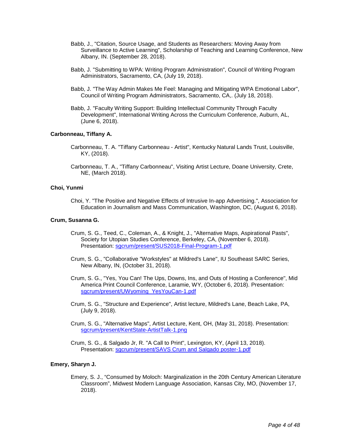- Babb, J., "Citation, Source Usage, and Students as Researchers: Moving Away from Surveillance to Active Learning", Scholarship of Teaching and Learning Conference, New Albany, IN. (September 28, 2018).
- Babb, J. "Submitting to WPA: Writing Program Administration", Council of Writing Program Administrators, Sacramento, CA, (July 19, 2018).
- Babb, J. "The Way Admin Makes Me Feel: Managing and Mitigating WPA Emotional Labor", Council of Writing Program Administrators, Sacramento, CA,. (July 18, 2018).
- Babb, J. "Faculty Writing Support: Building Intellectual Community Through Faculty Development", International Writing Across the Curriculum Conference, Auburn, AL, (June 6, 2018).

## **Carbonneau, Tiffany A.**

- Carbonneau, T. A. "Tiffany Carbonneau Artist", Kentucky Natural Lands Trust, Louisville, KY, (2018).
- Carbonneau, T. A., "Tiffany Carbonneau", Visiting Artist Lecture, Doane University, Crete, NE, (March 2018).

## **Choi, Yunmi**

Choi, Y. "The Positive and Negative Effects of Intrusive In-app Advertising.", Association for Education in Journalism and Mass Communication, Washington, DC, (August 6, 2018).

## **Crum, Susanna G.**

- Crum, S. G., Teed, C., Coleman, A., & Knight, J., "Alternative Maps, Aspirational Pasts", Society for Utopian Studies Conference, Berkeley, CA, (November 6, 2018). Presentation: [sgcrum/present/SUS2018-Final-Program-1.pdf](https://www.digitalmeasures.com/login/indiana/faculty/survey/ui/showFile?file=c2djcnVtL3ByZXNlbnQvU1VTMjAxOC1GaW5hbC1Qcm9ncmFtLTEucGRm&surId=17691155&nodeId=1610663&sdId=88510464&sdSurId=17691155&rptId=20237&sgntr=nk89k%2BLriSqscIM%2FujmkfmA%2FQho%3D)
- Crum, S. G., "Collaborative "Workstyles" at Mildred's Lane", IU Southeast SARC Series, New Albany, IN, (October 31, 2018).
- Crum, S. G., "Yes, You Can! The Ups, Downs, Ins, and Outs of Hosting a Conference", Mid America Print Council Conference, Laramie, WY, (October 6, 2018). Presentation: [sgcrum/present/UWyoming\\_YesYouCan-1.pdf](https://www.digitalmeasures.com/login/indiana/faculty/survey/ui/showFile?file=c2djcnVtL3ByZXNlbnQvVVd5b21pbmdfWWVzWW91Q2FuLTEucGRm&surId=17691155&nodeId=1610663&sdId=88510345&sdSurId=17691155&rptId=20237&sgntr=1JBbC4QRtWXDWOzwEe%2FOnpLskIk%3D)
- Crum, S. G., "Structure and Experience", Artist lecture, Mildred's Lane, Beach Lake, PA, (July 9, 2018).
- Crum, S. G., "Alternative Maps", Artist Lecture, Kent, OH, (May 31, 2018). Presentation: [sgcrum/present/KentState-ArtistTalk-1.png](https://www.digitalmeasures.com/login/indiana/faculty/survey/ui/showFile?file=c2djcnVtL3ByZXNlbnQvS2VudFN0YXRlLUFydGlzdFRhbGstMS5wbmc%3D&surId=17691155&nodeId=1610663&sdId=88510192&sdSurId=17691155&rptId=20237&sgntr=6jIcJIoLaDzquoJDhRIZlf0AMSI%3D)
- Crum, S. G., & Salgado Jr, R. "A Call to Print", Lexington, KY, (April 13, 2018). Presentation: [sgcrum/present/SAVS Crum and Salgado poster-1.pdf](https://www.digitalmeasures.com/login/indiana/faculty/survey/ui/showFile?file=c2djcnVtL3ByZXNlbnQvU0FWUyBDcnVtIGFuZCBTYWxnYWRvIHBvc3Rlci0xLnBkZg%3D%3D&surId=17691155&nodeId=1610663&sdId=88510056&sdSurId=17691155&rptId=20237&sgntr=iipauu9iKI2%2FAKkOGzophUofsSw%3D)

## **Emery, Sharyn J.**

Emery, S. J., "Consumed by Moloch: Marginalization in the 20th Century American Literature Classroom", Midwest Modern Language Association, Kansas City, MO, (November 17, 2018).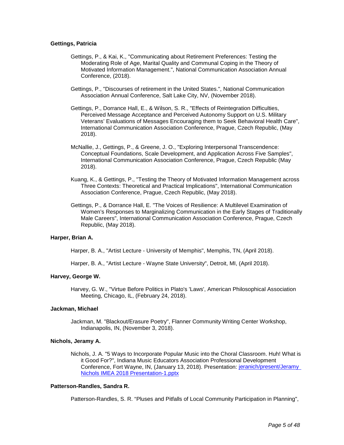## **Gettings, Patricia**

- Gettings, P., & Kai, K., "Communicating about Retirement Preferences: Testing the Moderating Role of Age, Marital Quality and Communal Coping in the Theory of Motivated Information Management.", National Communication Association Annual Conference, (2018).
- Gettings, P., "Discourses of retirement in the United States.", National Communication Association Annual Conference, Salt Lake City, NV, (November 2018).
- Gettings, P., Dorrance Hall, E., & Wilson, S. R., "Effects of Reintegration Difficulties, Perceived Message Acceptance and Perceived Autonomy Support on U.S. Military Veterans' Evaluations of Messages Encouraging them to Seek Behavioral Health Care", International Communication Association Conference, Prague, Czech Republic, (May 2018).
- McNallie, J., Gettings, P., & Greene, J. O., "Exploring Interpersonal Transcendence: Conceptual Foundations, Scale Development, and Application Across Five Samples", International Communication Association Conference, Prague, Czech Republic (May 2018).
- Kuang, K., & Gettings, P., "Testing the Theory of Motivated Information Management across Three Contexts: Theoretical and Practical Implications", International Communication Association Conference, Prague, Czech Republic, (May 2018).
- Gettings, P., & Dorrance Hall, E. "The Voices of Resilience: A Multilevel Examination of Women's Responses to Marginalizing Communication in the Early Stages of Traditionally Male Careers", International Communication Association Conference, Prague, Czech Republic, (May 2018).

## **Harper, Brian A.**

Harper, B. A., "Artist Lecture - University of Memphis", Memphis, TN, (April 2018).

Harper, B. A., "Artist Lecture - Wayne State University", Detroit, MI, (April 2018).

## **Harvey, George W.**

Harvey, G. W., "Virtue Before Politics in Plato's 'Laws', American Philosophical Association Meeting, Chicago, IL, (February 24, 2018).

## **Jackman, Michael**

Jackman, M. "Blackout/Erasure Poetry", Flanner Community Writing Center Workshop, Indianapolis, IN, (November 3, 2018).

#### **Nichols, Jeramy A.**

Nichols, J. A. "5 Ways to Incorporate Popular Music into the Choral Classroom. Huh! What is it Good For?", Indiana Music Educators Association Professional Development Conference, Fort Wayne, IN, (January 13, 2018). Presentation: [jeranich/present/Jeramy](https://www.digitalmeasures.com/login/indiana/faculty/survey/ui/showFile?file=amVyYW5pY2gvcHJlc2VudC9KZXJhbXkgTmljaG9scyBJTUVBIDIwMTggUHJlc2VudGF0aW9uLTEu%0AcHB0eA%3D%3D&surId=17829045&nodeId=1610663&sdId=88280728&sdSurId=17829045&rptId=20237&sgntr=coxq9ysTs32TxU%2BH30M2vt1FLuI%3D)  [Nichols IMEA 2018 Presentation-1.pptx](https://www.digitalmeasures.com/login/indiana/faculty/survey/ui/showFile?file=amVyYW5pY2gvcHJlc2VudC9KZXJhbXkgTmljaG9scyBJTUVBIDIwMTggUHJlc2VudGF0aW9uLTEu%0AcHB0eA%3D%3D&surId=17829045&nodeId=1610663&sdId=88280728&sdSurId=17829045&rptId=20237&sgntr=coxq9ysTs32TxU%2BH30M2vt1FLuI%3D)

## **Patterson-Randles, Sandra R.**

Patterson-Randles, S. R. "Pluses and Pitfalls of Local Community Participation in Planning",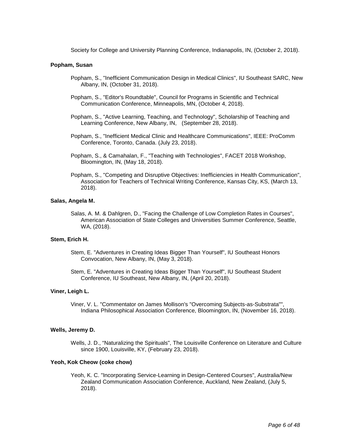Society for College and University Planning Conference, Indianapolis, IN, (October 2, 2018).

## **Popham, Susan**

- Popham, S., "Inefficient Communication Design in Medical Clinics", IU Southeast SARC, New Albany, IN, (October 31, 2018).
- Popham, S., "Editor's Roundtable", Council for Programs in Scientific and Technical Communication Conference, Minneapolis, MN, (October 4, 2018).
- Popham, S., "Active Learning, Teaching, and Technology", Scholarship of Teaching and Learning Conference, New Albany, IN, (September 28, 2018).
- Popham, S., "Inefficient Medical Clinic and Healthcare Communications", IEEE: ProComm Conference, Toronto, Canada. (July 23, 2018).
- Popham, S., & Camahalan, F., "Teaching with Technologies", FACET 2018 Workshop, Bloomington, IN, (May 18, 2018).
- Popham, S., "Competing and Disruptive Objectives: Inefficiencies in Health Communication", Association for Teachers of Technical Writing Conference, Kansas City, KS, (March 13, 2018).

#### **Salas, Angela M.**

Salas, A. M. & Dahlgren, D., "Facing the Challenge of Low Completion Rates in Courses", American Association of State Colleges and Universities Summer Conference, Seattle, WA, (2018).

## **Stem, Erich H.**

- Stem, E. "Adventures in Creating Ideas Bigger Than Yourself", IU Southeast Honors Convocation, New Albany, IN, (May 3, 2018).
- Stem, E. "Adventures in Creating Ideas Bigger Than Yourself", IU Southeast Student Conference, IU Southeast, New Albany, IN, (April 20, 2018).

## **Viner, Leigh L.**

Viner, V. L. "Commentator on James Mollison's "Overcoming Subjects-as-Substrata"", Indiana Philosophical Association Conference, Bloomington, IN, (November 16, 2018).

#### **Wells, Jeremy D.**

Wells, J. D., "Naturalizing the Spirituals", The Louisville Conference on Literature and Culture since 1900, Louisville, KY, (February 23, 2018).

## **Yeoh, Kok Cheow (coke chow)**

Yeoh, K. C. "Incorporating Service-Learning in Design-Centered Courses", Australia/New Zealand Communication Association Conference, Auckland, New Zealand, (July 5, 2018).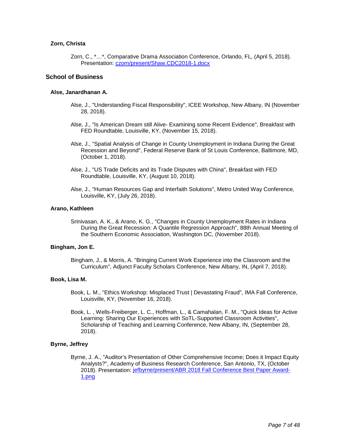## **Zorn, Christa**

Zorn, C., \*…\*, Comparative Drama Association Conference, Orlando, FL, (April 5, 2018). Presentation: [czorn/present/Shaw.CDC2018-1.docx](https://www.digitalmeasures.com/login/indiana/faculty/survey/ui/showFile?file=Y3pvcm4vcHJlc2VudC9TaGF3LkNEQzIwMTgtMS5kb2N4&surId=17691127&nodeId=1610663&sdId=88776345&sdSurId=17691127&rptId=20237&sgntr=R2dqe3zMHn%2BFFYlxUj5pjyfh%2FhI%3D)

## **School of Business**

## **Alse, Janardhanan A.**

- Alse, J., "Understanding Fiscal Responsibility", ICEE Workshop, New Albany, IN (November 28, 2018).
- Alse, J., "Is American Dream still Alive- Examining some Recent Evidence", Breakfast with FED Roundtable, Louisville, KY, (November 15, 2018).
- Alse, J., "Spatial Analysis of Change in County Unemployment in Indiana During the Great Recession and Beyond", Federal Reserve Bank of St Louis Conference, Baltimore, MD, (October 1, 2018).
- Alse, J., "US Trade Deficits and its Trade Disputes with China", Breakfast with FED Roundtable, Louisville, KY, (August 10, 2018).
- Alse, J., "Human Resources Gap and Interfaith Solutions", Metro United Way Conference, Louisville, KY, (July 26, 2018).

## **Arano, Kathleen**

Srinivasan, A. K., & Arano, K. G., "Changes in County Unemployment Rates in Indiana During the Great Recession: A Quantile Regression Approach", 88th Annual Meeting of the Southern Economic Association, Washington DC, (November 2018).

## **Bingham, Jon E.**

Bingham, J., & Morris, A. "Bringing Current Work Experience into the Classroom and the Curriculum", Adjunct Faculty Scholars Conference, New Albany, IN, (April 7, 2018).

## **Book, Lisa M.**

- Book, L. M., "Ethics Workshop: Misplaced Trust | Devastating Fraud", IMA Fall Conference, Louisville, KY, (November 16, 2018).
- Book, L. , Wells-Freiberger, L. C., Hoffman, L., & Camahalan, F. M., "Quick Ideas for Active Learning: Sharing Our Experiences with SoTL-Supported Classroom Activities", Scholarship of Teaching and Learning Conference, New Albany, IN, (September 28, 2018).

## **Byrne, Jeffrey**

Byrne, J. A., "Auditor's Presentation of Other Comprehensive Income; Does it Impact Equity Analysts?", Academy of Business Research Conference, San Antonio, TX, (October 2018). Presentation: [jefbyrne/present/ABR 2018 Fall Conference Best Paper Award-](https://www.digitalmeasures.com/login/indiana/faculty/survey/ui/showFile?file=amVmYnlybmUvcHJlc2VudC9BQlIgMjAxOCBGYWxsIENvbmZlcmVuY2UgQmVzdCBQYXBlciBBd2Fy%0AZC0xLnBuZw%3D%3D&surId=17691103&nodeId=1610663&sdId=88539087&sdSurId=17691103&rptId=20237&sgntr=VUmlx6PzdqNYUPnJX0kHWLRJMkA%3D)[1.png](https://www.digitalmeasures.com/login/indiana/faculty/survey/ui/showFile?file=amVmYnlybmUvcHJlc2VudC9BQlIgMjAxOCBGYWxsIENvbmZlcmVuY2UgQmVzdCBQYXBlciBBd2Fy%0AZC0xLnBuZw%3D%3D&surId=17691103&nodeId=1610663&sdId=88539087&sdSurId=17691103&rptId=20237&sgntr=VUmlx6PzdqNYUPnJX0kHWLRJMkA%3D)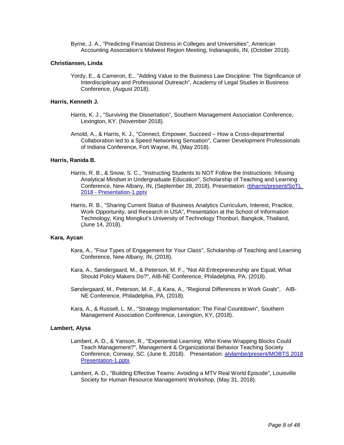Byrne, J. A., "Predicting Financial Distress in Colleges and Universities", American Accounting Association's Midwest Region Meeting, Indianapolis, IN, (October 2018).

## **Christiansen, Linda**

Yordy, E., & Cameron, E., "Adding Value to the Business Law Discipline: The Significance of Interdisciplinary and Professional Outreach", Academy of Legal Studies in Business Conference, (August 2018).

## **Harris, Kenneth J.**

- Harris, K. J., "Surviving the Dissertation", Southern Management Association Conference, Lexington, KY, (November 2018).
- Arnold, A., & Harris, K. J., "Connect, Empower, Succeed How a Cross-departmental Collaboration led to a Speed Networking Sensation", Career Development Professionals of Indiana Conference, Fort Wayne, IN, (May 2018).

#### **Harris, Ranida B.**

- Harris, R. B., & Snow, S. C., "Instructing Students to NOT Follow the Instructions: Infusing Analytical Mindset in Undergraduate Education", Scholarship of Teaching and Learning Conference, New Albany, IN, (September 28, 2018). Presentation: [rbharris/present/SoTL](https://www.digitalmeasures.com/login/indiana/faculty/survey/ui/showFile?file=cmJoYXJyaXMvcHJlc2VudC9Tb1RMIDIwMTggLSBQcmVzZW50YXRpb24tMS5wcHR4&surId=17691116&nodeId=1610663&sdId=88559567&sdSurId=17691116&rptId=20237&sgntr=mnxNOkk8zRD98iPCWsJd3%2B11lrI%3D)  2018 - [Presentation-1.pptx](https://www.digitalmeasures.com/login/indiana/faculty/survey/ui/showFile?file=cmJoYXJyaXMvcHJlc2VudC9Tb1RMIDIwMTggLSBQcmVzZW50YXRpb24tMS5wcHR4&surId=17691116&nodeId=1610663&sdId=88559567&sdSurId=17691116&rptId=20237&sgntr=mnxNOkk8zRD98iPCWsJd3%2B11lrI%3D)
- Harris, R. B., "Sharing Current Status of Business Analytics Curriculum, Interest, Practice, Work Opportunity, and Research in USA", Presentation at the School of Information Technology, King Mongkut's University of Technology Thonburi, Bangkok, Thailand, (June 14, 2018).

## **Kara, Aycan**

- Kara, A., "Four Types of Engagement for Your Class", Scholarship of Teaching and Learning Conference, New Albany, IN, (2018).
- Kara, A., Søndergaard, M., & Peterson, M. F., "Not All Entrepreneurship are Equal; What Should Policy Makers Do?", AIB-NE Conference, Philadelphia, PA, (2018).
- Søndergaard, M., Peterson, M. F., & Kara, A., "Regional Differences in Work Goals", AIB-NE Conference, Philadelphia, PA, (2018).
- Kara, A., & Russell, L. M., "Strategy Implementation: The Final Countdown", Southern Management Association Conference, Lexington, KY, (2018).

## **Lambert, Alysa**

- Lambert, A. D., & Yanson, R., "Experiential Learning: Who Knew Wrapping Blocks Could Teach Management?", Management & Organizational Behavior Teaching Society Conference, Conway, SC. (June 8, 2018). Presentation: alylambe/present/MOBTS 2018 [Presentation-1.pptx](https://www.digitalmeasures.com/login/indiana/faculty/survey/ui/showFile?file=YWx5bGFtYmUvcHJlc2VudC9NT0JUUyAyMDE4IFByZXNlbnRhdGlvbi0xLnBwdHg%3D&surId=17691088&nodeId=1610663&sdId=80726646&sdSurId=17691088&rptId=20237&sgntr=V%2FqR1Er6bvfroN6C7ejAVce6GY8%3D)
- Lambert, A. D., "Building Effective Teams: Avoiding a MTV Real World Episode", Louisville Society for Human Resource Management Workshop, (May 31, 2018).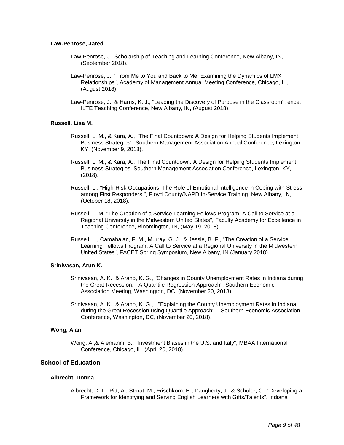## **Law-Penrose, Jared**

- Law-Penrose, J., Scholarship of Teaching and Learning Conference, New Albany, IN, (September 2018).
- Law-Penrose, J., "From Me to You and Back to Me: Examining the Dynamics of LMX Relationships", Academy of Management Annual Meeting Conference, Chicago, IL, (August 2018).
- Law-Penrose, J., & Harris, K. J., "Leading the Discovery of Purpose in the Classroom", ence, ILTE Teaching Conference, New Albany, IN, (August 2018).

#### **Russell, Lisa M.**

- Russell, L. M., & Kara, A., "The Final Countdown: A Design for Helping Students Implement Business Strategies", Southern Management Association Annual Conference, Lexington, KY, (November 9, 2018).
- Russell, L. M., & Kara, A., The Final Countdown: A Design for Helping Students Implement Business Strategies. Southern Management Association Conference, Lexington, KY, (2018).
- Russell, L., "High-Risk Occupations: The Role of Emotional Intelligence in Coping with Stress among First Responders.", Floyd County/NAPD In-Service Training, New Albany, IN, (October 18, 2018).
- Russell, L. M. "The Creation of a Service Learning Fellows Program: A Call to Service at a Regional University in the Midwestern United States", Faculty Academy for Excellence in Teaching Conference, Bloomington, IN, (May 19, 2018).
- Russell, L., Camahalan, F. M., Murray, G. J., & Jessie, B. F., "The Creation of a Service Learning Fellows Program: A Call to Service at a Regional University in the Midwestern United States", FACET Spring Symposium, New Albany, IN (January 2018).

#### **Srinivasan, Arun K.**

- Srinivasan, A. K., & Arano, K. G., "Changes in County Unemployment Rates in Indiana during the Great Recession: A Quantile Regression Approach", Southern Economic Association Meeting, Washington, DC, (November 20, 2018).
- Srinivasan, A. K., & Arano, K. G., "Explaining the County Unemployment Rates in Indiana during the Great Recession using Quantile Approach", Southern Economic Association Conference, Washington, DC, (November 20, 2018).

## **Wong, Alan**

Wong, A.,& Alemanni, B., "Investment Biases in the U.S. and Italy", MBAA International Conference, Chicago, IL, (April 20, 2018).

## **School of Education**

## **Albrecht, Donna**

Albrecht, D. L., Pitt, A., Strnat, M., Frischkorn, H., Daugherty, J., & Schuler, C., "Developing a Framework for Identifying and Serving English Learners with Gifts/Talents", Indiana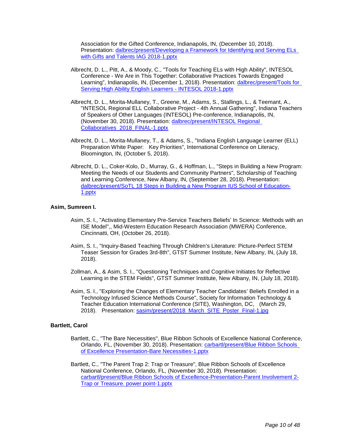Association for the Gifted Conference, Indianapolis, IN, (December 10, 2018). Presentation: [dalbrec/present/Developing a Framework for Identifying and Serving ELs](https://www.digitalmeasures.com/login/indiana/faculty/survey/ui/showFile?file=ZGFsYnJlYy9wcmVzZW50L0RldmVsb3BpbmcgYSBGcmFtZXdvcmsgZm9yIElkZW50aWZ5aW5nIGFu%0AZCBTZXJ2aW5nIEVMcyB3aXRoIEdpZnRzIGFuZCBUYWxlbnRzIElBRyAyMDE4LTEucHB0eA%3D%3D&surId=17918974&nodeId=1610663&sdId=88642015&sdSurId=17918974&rptId=20237&sgntr=eCPzIIkZEJgt2BgKtsvlE%2BeR6DI%3D)  with Gifts and [Talents IAG 2018-1.pptx](https://www.digitalmeasures.com/login/indiana/faculty/survey/ui/showFile?file=ZGFsYnJlYy9wcmVzZW50L0RldmVsb3BpbmcgYSBGcmFtZXdvcmsgZm9yIElkZW50aWZ5aW5nIGFu%0AZCBTZXJ2aW5nIEVMcyB3aXRoIEdpZnRzIGFuZCBUYWxlbnRzIElBRyAyMDE4LTEucHB0eA%3D%3D&surId=17918974&nodeId=1610663&sdId=88642015&sdSurId=17918974&rptId=20237&sgntr=eCPzIIkZEJgt2BgKtsvlE%2BeR6DI%3D)

- Albrecht, D. L., Pitt, A., & Moody, C., "Tools for Teaching ELs with High Ability", INTESOL Conference - We Are in This Together: Collaborative Practices Towards Engaged Learning", Indianapolis, IN, (December 1, 2018). Presentation: [dalbrec/present/Tools for](https://www.digitalmeasures.com/login/indiana/faculty/survey/ui/showFile?file=ZGFsYnJlYy9wcmVzZW50L1Rvb2xzIGZvciBTZXJ2aW5nIEhpZ2ggQWJpbGl0eSBFbmdsaXNoIExl%0AYXJuZXJzIC0gSU5URVNPTCAyMDE4LTEucHB0eA%3D%3D&surId=17918974&nodeId=1610663&sdId=88634488&sdSurId=17918974&rptId=20237&sgntr=pRV5ZT5JA%2BA4%2FWU0MzpOLJ5CKNA%3D)  [Serving High Ability English Learners -](https://www.digitalmeasures.com/login/indiana/faculty/survey/ui/showFile?file=ZGFsYnJlYy9wcmVzZW50L1Rvb2xzIGZvciBTZXJ2aW5nIEhpZ2ggQWJpbGl0eSBFbmdsaXNoIExl%0AYXJuZXJzIC0gSU5URVNPTCAyMDE4LTEucHB0eA%3D%3D&surId=17918974&nodeId=1610663&sdId=88634488&sdSurId=17918974&rptId=20237&sgntr=pRV5ZT5JA%2BA4%2FWU0MzpOLJ5CKNA%3D) INTESOL 2018-1.pptx
- Albrecht, D. L., Morita-Mullaney, T., Greene, M., Adams, S., Stallings, L., & Teemant, A., "INTESOL Regional ELL Collaborative Project - 4th Annual Gathering", Indiana Teachers of Speakers of Other Languages (INTESOL) Pre-conference, Indianapolis, IN, (November 30, 2018). Presentation: [dalbrec/present/INTESOL Regional](https://www.digitalmeasures.com/login/indiana/faculty/survey/ui/showFile?file=ZGFsYnJlYy9wcmVzZW50L0lOVEVTT0wgUmVnaW9uYWwgQ29sbGFib3JhdGl2ZXNfMjAxOF9GSU5B%0ATC0xLnBwdHg%3D&surId=17918974&nodeId=1610663&sdId=88642570&sdSurId=17918974&rptId=20237&sgntr=k1D0pWOXAzC0HUL5lzfXYelo5lQ%3D)  [Collaboratives\\_2018\\_FINAL-1.pptx](https://www.digitalmeasures.com/login/indiana/faculty/survey/ui/showFile?file=ZGFsYnJlYy9wcmVzZW50L0lOVEVTT0wgUmVnaW9uYWwgQ29sbGFib3JhdGl2ZXNfMjAxOF9GSU5B%0ATC0xLnBwdHg%3D&surId=17918974&nodeId=1610663&sdId=88642570&sdSurId=17918974&rptId=20237&sgntr=k1D0pWOXAzC0HUL5lzfXYelo5lQ%3D)
- Albrecht, D. L., Morita-Mullaney, T., & Adams, S., "Indiana English Language Learner (ELL) Preparation White Paper: Key Priorities", International Conference on Literacy, Bloomington, IN, (October 5, 2018).
- Albrecht, D. L., Coker-Kolo, D., Murray, G., & Hoffman, L., "Steps in Building a New Program: Meeting the Needs of our Students and Community Partners", Scholarship of Teaching and Learning Conference, New Albany, IN, (September 28, 2018). Presentation: [dalbrec/present/SoTL 18 Steps in Building a New Program IUS School of Education-](https://www.digitalmeasures.com/login/indiana/faculty/survey/ui/showFile?file=ZGFsYnJlYy9wcmVzZW50L1NvVEwgMTggU3RlcHMgaW4gQnVpbGRpbmcgYSBOZXcgUHJvZ3JhbSBJ%0AVVMgU2Nob29sIG9mIEVkdWNhdGlvbi0xLnBwdHg%3D&surId=17918974&nodeId=1610663&sdId=88643007&sdSurId=17918974&rptId=20237&sgntr=O%2F7oFnA55s%2F3DPpcBv9eK05XfaE%3D)[1.pptx](https://www.digitalmeasures.com/login/indiana/faculty/survey/ui/showFile?file=ZGFsYnJlYy9wcmVzZW50L1NvVEwgMTggU3RlcHMgaW4gQnVpbGRpbmcgYSBOZXcgUHJvZ3JhbSBJ%0AVVMgU2Nob29sIG9mIEVkdWNhdGlvbi0xLnBwdHg%3D&surId=17918974&nodeId=1610663&sdId=88643007&sdSurId=17918974&rptId=20237&sgntr=O%2F7oFnA55s%2F3DPpcBv9eK05XfaE%3D)

## **Asim, Sumreen I.**

- Asim, S. I., "Activating Elementary Pre-Service Teachers Beliefs' In Science: Methods with an ISE Model",, Mid-Western Education Research Association (MWERA) Conference, Cincinnatti, OH, (October 26, 2018).
- Asim, S. I., "Inquiry-Based Teaching Through Children's Literature: Picture-Perfect STEM Teaser Session for Grades 3rd-8th", GTST Summer Institute, New Albany, IN, (July 18, 2018).
- Zollman, A., & Asim, S. I., "Questioning Techniques and Cognitive Initiates for Reflective Learning in the STEM Fields", GTST Summer Institute, New Albany, IN, (July 18, 2018).
- Asim, S. I., "Exploring the Changes of Elementary Teacher Candidates' Beliefs Enrolled in a Technology Infused Science Methods Course", Society for Information Technology & Teacher Education International Conference (SITE), Washington, DC, (March 29, 2018). Presentation: [sasim/present/2018\\_March\\_SITE\\_Poster\\_Final-1.jpg](https://www.digitalmeasures.com/login/indiana/faculty/survey/ui/showFile?file=c2FzaW0vcHJlc2VudC8yMDE4X01hcmNoX1NJVEVfUG9zdGVyX0ZpbmFsLTEuanBn&surId=17829051&nodeId=1610663&sdId=88302363&sdSurId=17829051&rptId=20237&sgntr=%2B7%2FM22DasBwLdVYSWdX4fvddNok%3D)

## **Bartlett, Carol**

- Bartlett, C., "The Bare Necessities", Blue Ribbon Schools of Excellence National Conference, Orlando, FL, (November 30, 2018). Presentation: [carbartl/present/Blue Ribbon Schools](https://www.digitalmeasures.com/login/indiana/faculty/survey/ui/showFile?file=Y2FyYmFydGwvcHJlc2VudC9CbHVlIFJpYmJvbiBTY2hvb2xzIG9mIEV4Y2VsbGVuY2UgUHJlc2Vu%0AdGF0aW9uLUJhcmUgTmVjZXNzaXRpZXMtMS5wcHR4&surId=17829053&nodeId=1610663&sdId=88524052&sdSurId=17829053&rptId=20237&sgntr=1xJ4jjqKtVby9ujBQR7ER8YN%2B%2Fw%3D)  [of Excellence Presentation-Bare Necessities-1.pptx](https://www.digitalmeasures.com/login/indiana/faculty/survey/ui/showFile?file=Y2FyYmFydGwvcHJlc2VudC9CbHVlIFJpYmJvbiBTY2hvb2xzIG9mIEV4Y2VsbGVuY2UgUHJlc2Vu%0AdGF0aW9uLUJhcmUgTmVjZXNzaXRpZXMtMS5wcHR4&surId=17829053&nodeId=1610663&sdId=88524052&sdSurId=17829053&rptId=20237&sgntr=1xJ4jjqKtVby9ujBQR7ER8YN%2B%2Fw%3D)
- Bartlett, C., "The Parent Trap 2: Trap or Treasure", Blue Ribbon Schools of Excellence National Conference, Orlando, FL, (November 30, 2018). Presentation: [carbartl/present/Blue Ribbon Schools of Excellence-Presentation-Parent Involvement 2-](https://www.digitalmeasures.com/login/indiana/faculty/survey/ui/showFile?file=Y2FyYmFydGwvcHJlc2VudC9CbHVlIFJpYmJvbiBTY2hvb2xzIG9mIEV4Y2VsbGVuY2UtUHJlc2Vu%0AdGF0aW9uLVBhcmVudCBJbnZvbHZlbWVudCAyLVRyYXAgb3IgVHJlYXN1cmUuIHBvd2VyIHBvaW50%0ALTEucHB0eA%3D%3D&surId=17829053&nodeId=1610663&sdId=88523988&sdSurId=17829053&rptId=20237&sgntr=ciMkVomCJYkxjdZhA5ThvL0dfrk%3D) [Trap or Treasure. power point-1.pptx](https://www.digitalmeasures.com/login/indiana/faculty/survey/ui/showFile?file=Y2FyYmFydGwvcHJlc2VudC9CbHVlIFJpYmJvbiBTY2hvb2xzIG9mIEV4Y2VsbGVuY2UtUHJlc2Vu%0AdGF0aW9uLVBhcmVudCBJbnZvbHZlbWVudCAyLVRyYXAgb3IgVHJlYXN1cmUuIHBvd2VyIHBvaW50%0ALTEucHB0eA%3D%3D&surId=17829053&nodeId=1610663&sdId=88523988&sdSurId=17829053&rptId=20237&sgntr=ciMkVomCJYkxjdZhA5ThvL0dfrk%3D)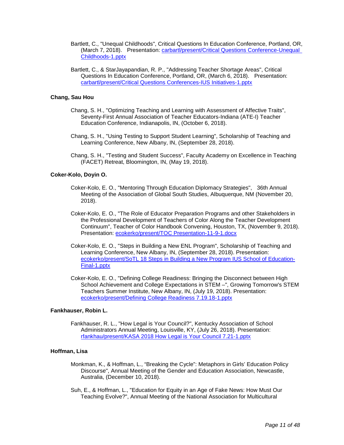- Bartlett, C., "Unequal Childhoods", Critical Questions In Education Conference, Portland, OR, (March 7, 2018). Presentation: [carbartl/present/Critical Questions Conference-Unequal](https://www.digitalmeasures.com/login/indiana/faculty/survey/ui/showFile?file=Y2FyYmFydGwvcHJlc2VudC9Dcml0aWNhbCBRdWVzdGlvbnMgQ29uZmVyZW5jZS1VbmVxdWFsIENo%0AaWxkaG9vZHMtMS5wcHR4&surId=17829053&nodeId=1610663&sdId=78322722&sdSurId=17829053&rptId=20237&sgntr=2X4%2BrfUSv84fuYmHDwb8FFK6lLg%3D)  [Childhoods-1.pptx](https://www.digitalmeasures.com/login/indiana/faculty/survey/ui/showFile?file=Y2FyYmFydGwvcHJlc2VudC9Dcml0aWNhbCBRdWVzdGlvbnMgQ29uZmVyZW5jZS1VbmVxdWFsIENo%0AaWxkaG9vZHMtMS5wcHR4&surId=17829053&nodeId=1610663&sdId=78322722&sdSurId=17829053&rptId=20237&sgntr=2X4%2BrfUSv84fuYmHDwb8FFK6lLg%3D)
- Bartlett, C., & StarJayapandian, R. P., "Addressing Teacher Shortage Areas", Critical Questions In Education Conference, Portland, OR, (March 6, 2018). Presentation: [carbartl/present/Critical Questions Conferences-IUS Initiatives-1.pptx](https://www.digitalmeasures.com/login/indiana/faculty/survey/ui/showFile?file=Y2FyYmFydGwvcHJlc2VudC9Dcml0aWNhbCBRdWVzdGlvbnMgQ29uZmVyZW5jZXMtSVVTIEluaXRp%0AYXRpdmVzLTEucHB0eA%3D%3D&surId=17829053&nodeId=1610663&sdId=78322790&sdSurId=17829053&rptId=20237&sgntr=rP6j3S%2Bv5UP%2FaLjCTfZrKTvrsY0%3D)

## **Chang, Sau Hou**

- Chang, S. H., "Optimizing Teaching and Learning with Assessment of Affective Traits", Seventy-First Annual Association of Teacher Educators-Indiana (ATE-I) Teacher Education Conference, Indianapolis, IN, (October 6, 2018).
- Chang, S. H., "Using Testing to Support Student Learning", Scholarship of Teaching and Learning Conference, New Albany, IN, (September 28, 2018).
- Chang, S. H., "Testing and Student Success", Faculty Academy on Excellence in Teaching (FACET) Retreat, Bloomington, IN, (May 19, 2018).

## **Coker-Kolo, Doyin O.**

- Coker-Kolo, E. O., "Mentoring Through Education Diplomacy Strategies", 36th Annual Meeting of the Association of Global South Studies, Albuquerque, NM (November 20, 2018).
- Coker-Kolo, E. O., "The Role of Educator Preparation Programs and other Stakeholders in the Professional Development of Teachers of Color Along the Teacher Development Continuum", Teacher of Color Handbook Convening, Houston, TX, (November 9, 2018). Presentation: [ecokerko/present/TOC Presentation-11-9-1.docx](https://www.digitalmeasures.com/login/indiana/faculty/survey/ui/showFile?file=ZWNva2Vya28vcHJlc2VudC9UT0MgUHJlc2VudGF0aW9uLTExLTktMS5kb2N4&surId=17691036&nodeId=1610663&sdId=88275367&sdSurId=17691036&rptId=20237&sgntr=txJvJkrkHVqrOWNlobKcht%2FIe9E%3D)
- Coker-Kolo, E. O., "Steps in Building a New ENL Program", Scholarship of Teaching and Learning Conference, New Albany, IN, (September 28, 2018). Presentation: [ecokerko/present/SoTL 18 Steps in Building a New Program IUS School of Education-](https://www.digitalmeasures.com/login/indiana/faculty/survey/ui/showFile?file=ZWNva2Vya28vcHJlc2VudC9Tb1RMIDE4IFN0ZXBzIGluIEJ1aWxkaW5nIGEgTmV3IFByb2dyYW0g%0ASVVTIFNjaG9vbCBvZiBFZHVjYXRpb24tRmluYWwtMS5wcHR4&surId=17691036&nodeId=1610663&sdId=88275708&sdSurId=17691036&rptId=20237&sgntr=VLU7UfIRPBSvcIwDXBT8hZX1Bic%3D)[Final-1.pptx](https://www.digitalmeasures.com/login/indiana/faculty/survey/ui/showFile?file=ZWNva2Vya28vcHJlc2VudC9Tb1RMIDE4IFN0ZXBzIGluIEJ1aWxkaW5nIGEgTmV3IFByb2dyYW0g%0ASVVTIFNjaG9vbCBvZiBFZHVjYXRpb24tRmluYWwtMS5wcHR4&surId=17691036&nodeId=1610663&sdId=88275708&sdSurId=17691036&rptId=20237&sgntr=VLU7UfIRPBSvcIwDXBT8hZX1Bic%3D)
- Coker-Kolo, E. O., "Defining College Readiness: Bringing the Disconnect between High School Achievement and College Expectations in STEM –", Growing Tomorrow's STEM Teachers Summer Institute, New Albany, IN, (July 19, 2018). Presentation: [ecokerko/present/Defining College Readiness 7.19.18-1.pptx](https://www.digitalmeasures.com/login/indiana/faculty/survey/ui/showFile?file=ZWNva2Vya28vcHJlc2VudC9EZWZpbmluZyBDb2xsZWdlIFJlYWRpbmVzcyA3LjE5LjE4LTEucHB0%0AeA%3D%3D&surId=17691036&nodeId=1610663&sdId=88276022&sdSurId=17691036&rptId=20237&sgntr=KMfG3biaynlekhJSwzJKJNJUyPU%3D)

## **Fankhauser, Robin L.**

Fankhauser, R. L., "How Legal is Your Council?", Kentucky Association of School Administrators Annual Meeting, Louisville, KY, (July 26, 2018). Presentation: [rfankhau/present/KASA 2018 How Legal is Your Council 7.21-1.pptx](https://www.digitalmeasures.com/login/indiana/faculty/survey/ui/showFile?file=cmZhbmtoYXUvcHJlc2VudC9LQVNBIDIwMTggSG93IExlZ2FsIGlzIFlvdXIgQ291bmNpbCA3LjIx%0ALTEucHB0eA%3D%3D&surId=17691049&nodeId=1610663&sdId=88566461&sdSurId=17691049&rptId=20237&sgntr=DiSv%2FUnqwWE6YNbsgGS1%2FSZR1o0%3D)

#### **Hoffman, Lisa**

- Monkman, K., & Hoffman, L., "Breaking the Cycle": Metaphors in Girls' Education Policy Discourse", Annual Meeting of the Gender and Education Association, Newcastle, Australia, (December 10, 2018).
- Suh, E., & Hoffman, L., "Education for Equity in an Age of Fake News: How Must Our Teaching Evolve?", Annual Meeting of the National Association for Multicultural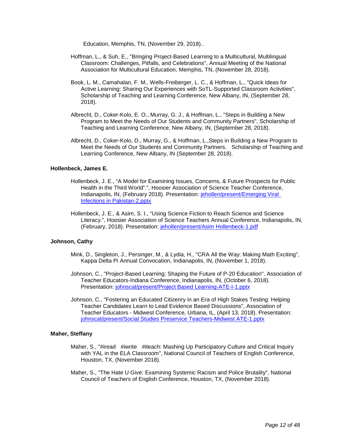Education, Memphis, TN, (November 29, 2018)..

- Hoffman, L., & Suh, E., "Bringing Project-Based Learning to a Multicultural, Multilingual Classroom: Challenges, Pitfalls, and Celebrations", Annual Meeting of the National Association for Multicultural Education, Memphis, TN, (November 28, 2018).
- Book, L. M., Camahalan, F. M., Wells-Freiberger, L. C., & Hoffman, L., "Quick Ideas for Active Learning: Sharing Our Experiences with SoTL-Supported Classroom Activities", Scholarship of Teaching and Learning Conference, New Albany, IN, (September 28, 2018).
- Albrecht, D., Coker-Kolo, E. O., Murray, G. J., & Hoffman, L., "Steps in Building a New Program to Meet the Needs of Our Students and Community Partners", Scholarship of Teaching and Learning Conference, New Albany, IN, (September 28, 2018).
- Albrecht, D., Coker-Kolo, D., Murray, G., & Hoffman, L.,Steps in Building a New Program to Meet the Needs of Our Students and Community Partners. Scholarship of Teaching and Learning Conference, New Albany, IN (September 28, 2018).

## **Hollenbeck, James E.**

- Hollenbeck, J. E., "A Model for Examining Issues, Concerns, & Future Prospects for Public Health in the Third World".", Hoosier Association of Science Teacher Conference, Indianapolis, IN, (February 2018). Presentation: [jehollen/present/Emerging Viral](https://www.digitalmeasures.com/login/indiana/faculty/survey/ui/showFile?file=amVob2xsZW4vcHJlc2VudC9FbWVyZ2luZyBWaXJhbCBJbmZlY3Rpb25zIGluIFBha2lzdGFuLTIu%0AcHB0eA%3D%3D&surId=17691040&nodeId=1610663&sdId=87355703&sdSurId=17691040&rptId=20237&sgntr=BjhI3zrDYHxoiUZFjWDWyGOf5EQ%3D)  [Infections in Pakistan-2.pptx](https://www.digitalmeasures.com/login/indiana/faculty/survey/ui/showFile?file=amVob2xsZW4vcHJlc2VudC9FbWVyZ2luZyBWaXJhbCBJbmZlY3Rpb25zIGluIFBha2lzdGFuLTIu%0AcHB0eA%3D%3D&surId=17691040&nodeId=1610663&sdId=87355703&sdSurId=17691040&rptId=20237&sgntr=BjhI3zrDYHxoiUZFjWDWyGOf5EQ%3D)
- Hollenbeck, J. E., & Asim, S. I., "Using Science Fiction to Reach Science and Science Literacy.", Hoosier Association of Science Teachers Annual Conference, Indianapolis, IN, (February, 2018). Presentation: [jehollen/present/Asim Hollenbeck-1.pdf](https://www.digitalmeasures.com/login/indiana/faculty/survey/ui/showFile?file=amVob2xsZW4vcHJlc2VudC9Bc2ltIEhvbGxlbmJlY2stMS5wZGY%3D&surId=17691040&nodeId=1610663&sdId=87355559&sdSurId=17691040&rptId=20237&sgntr=IDBo02GDU9bx0CDptf0ndaMxLjs%3D)

## **Johnson, Cathy**

- Mink, D., Singleton, J., Persinger, M., & Lydia, H., "CRA All the Way: Making Math Exciting", Kappa Delta Pi Annual Convocation, Indianapolis, IN, (November 1, 2018).
- Johnson, C., "Project-Based Learning: Shaping the Future of P-20 Education", Association of Teacher Educators-Indiana Conference, Indianapolis, IN, (October 6, 2018). Presentation: [johnscat/present/Project Based Learning-ATE-I-1.pptx](https://www.digitalmeasures.com/login/indiana/faculty/survey/ui/showFile?file=am9obnNjYXQvcHJlc2VudC9Qcm9qZWN0IEJhc2VkIExlYXJuaW5nLUFURS1JLTEucHB0eA%3D%3D&surId=17691041&nodeId=1610663&sdId=88586426&sdSurId=17691041&rptId=20237&sgntr=fG4ndIL8QN3OziLPE88vJ4KP%2BQw%3D)
- Johnson, C., "Fostering an Educated Citizenry in an Era of High Stakes Testing: Helping Teacher Candidates Learn to Lead Evidence Based Discussions", Association of Teacher Educators - Midwest Conference, Urbana, IL, (April 13, 2018). Presentation: [johnscat/present/Social Studies Preservice Teachers-Midwest ATE-1.pptx](https://www.digitalmeasures.com/login/indiana/faculty/survey/ui/showFile?file=am9obnNjYXQvcHJlc2VudC9Tb2NpYWwgU3R1ZGllcyBQcmVzZXJ2aWNlIFRlYWNoZXJzLU1pZHdl%0Ac3QgQVRFLTEucHB0eA%3D%3D&surId=17691041&nodeId=1610663&sdId=88586757&sdSurId=17691041&rptId=20237&sgntr=99oHSMJMyReKJrzFuBozIvul16s%3D)

#### **Maher, Steffany**

- Maher, S., "#iread #iwrite #iteach: Mashing Up Participatory Culture and Critical Inquiry with YAL in the ELA Classroom", National Council of Teachers of English Conference, Houston, TX, (November 2018).
- Maher, S., "The Hate U Give: Examining Systemic Racism and Police Brutality", National Council of Teachers of English Conference, Houston, TX, (November 2018).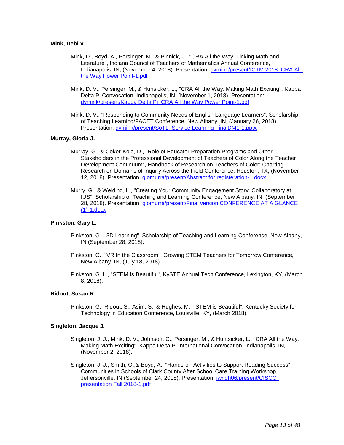## **Mink, Debi V.**

- Mink, D., Boyd, A., Persinger, M., & Pinnick, J., "CRA All the Way: Linking Math and Literature", Indiana Council of Teachers of Mathematics Annual Conference, Indianapolis, IN, (November 4, 2018). Presentation: [dvmink/present/ICTM 2018\\_CRA All](https://www.digitalmeasures.com/login/indiana/faculty/survey/ui/showFile?file=ZHZtaW5rL3ByZXNlbnQvSUNUTSAyMDE4X0NSQSBBbGwgdGhlIFdheSBQb3dlciBQb2ludC0xLnBk%0AZg%3D%3D&surId=17691035&nodeId=1610663&sdId=83878331&sdSurId=17691035&rptId=20237&sgntr=0mB9%2Bwe%2BbnbhfaLBmHKl%2BTyCiAU%3D)  [the Way Power Point-1.pdf](https://www.digitalmeasures.com/login/indiana/faculty/survey/ui/showFile?file=ZHZtaW5rL3ByZXNlbnQvSUNUTSAyMDE4X0NSQSBBbGwgdGhlIFdheSBQb3dlciBQb2ludC0xLnBk%0AZg%3D%3D&surId=17691035&nodeId=1610663&sdId=83878331&sdSurId=17691035&rptId=20237&sgntr=0mB9%2Bwe%2BbnbhfaLBmHKl%2BTyCiAU%3D)
- Mink, D. V., Persinger, M., & Hunsicker, L., "CRA All the Way: Making Math Exciting", Kappa Delta Pi Convocation, Indianapolis, IN, (November 1, 2018). Presentation: [dvmink/present/Kappa Delta Pi\\_CRA All the Way Power Point-1.pdf](https://www.digitalmeasures.com/login/indiana/faculty/survey/ui/showFile?file=ZHZtaW5rL3ByZXNlbnQvS2FwcGEgRGVsdGEgUGlfQ1JBIEFsbCB0aGUgV2F5IFBvd2VyIFBvaW50%0ALTEucGRm&surId=17691035&nodeId=1610663&sdId=78624525&sdSurId=17691035&rptId=20237&sgntr=faK4tja26E5XLmuvhDFtS57CAN8%3D)
- Mink, D. V., "Responding to Community Needs of English Language Learners", Scholarship of Teaching Learning/FACET Conference, New Albany, IN, (January 26, 2018). Presentation: [dvmink/present/SoTL\\_Service Learning FinalDM1-1.pptx](https://www.digitalmeasures.com/login/indiana/faculty/survey/ui/showFile?file=ZHZtaW5rL3ByZXNlbnQvU29UTF9TZXJ2aWNlIExlYXJuaW5nIEZpbmFsRE0xLTEucHB0eA%3D%3D&surId=17691035&nodeId=1610663&sdId=78097237&sdSurId=17691035&rptId=20237&sgntr=YhG%2FWfuduAct0tQbl%2F%2BOnnOgENo%3D)

## **Murray, Gloria J.**

- Murray, G., & Coker-Kolo, D., "Role of Educator Preparation Programs and Other Stakeholders in the Professional Development of Teachers of Color Along the Teacher Development Continuum", Handbook of Research on Teachers of Color: Charting Research on Domains of Inquiry Across the Field Conference, Houston, TX, (November 12, 2018). Presentation: [glomurra/present/Abstract for registeration-1.docx](https://www.digitalmeasures.com/login/indiana/faculty/survey/ui/showFile?file=Z2xvbXVycmEvcHJlc2VudC9BYnN0cmFjdCBmb3IgcmVnaXN0ZXJhdGlvbi0xLmRvY3g%3D&surId=17691038&nodeId=1610663&sdId=88628492&sdSurId=17691038&rptId=20237&sgntr=oMynHIjKEsQQSeS74PlK6p6nTxc%3D)
- Murry, G., & Welding, L., "Creating Your Community Engagement Story: Collaboratory at IUS", Scholarship of Teaching and Learning Conference, New Albany, IN, (September 28, 2018). Presentation: [glomurra/present/Final version CONFERENCE AT A GLANCE](https://www.digitalmeasures.com/login/indiana/faculty/survey/ui/showFile?file=Z2xvbXVycmEvcHJlc2VudC9GaW5hbCB2ZXJzaW9uIENPTkZFUkVOQ0UgQVQgQSBHTEFOQ0UgKDEp%0ALTEuZG9jeA%3D%3D&surId=17691038&nodeId=1610663&sdId=88627779&sdSurId=17691038&rptId=20237&sgntr=UAk9NEkxkQm6A2a9kZeFY1fGso8%3D)  [\(1\)-1.docx](https://www.digitalmeasures.com/login/indiana/faculty/survey/ui/showFile?file=Z2xvbXVycmEvcHJlc2VudC9GaW5hbCB2ZXJzaW9uIENPTkZFUkVOQ0UgQVQgQSBHTEFOQ0UgKDEp%0ALTEuZG9jeA%3D%3D&surId=17691038&nodeId=1610663&sdId=88627779&sdSurId=17691038&rptId=20237&sgntr=UAk9NEkxkQm6A2a9kZeFY1fGso8%3D)

## **Pinkston, Gary L.**

- Pinkston, G., "3D Learning", Scholarship of Teaching and Learning Conference, New Albany, IN (September 28, 2018).
- Pinkston, G., "VR In the Classroom", Growing STEM Teachers for Tomorrow Conference, New Albany, IN, (July 18, 2018).
- Pinkston, G. L., "STEM Is Beautiful", KySTE Annual Tech Conference, Lexington, KY, (March 8, 2018).

#### **Ridout, Susan R.**

Pinkston, G., Ridout, S., Asim, S., & Hughes, M., "STEM is Beautiful", Kentucky Society for Technology in Education Conference, Louisville, KY, (March 2018).

## **Singleton, Jacque J.**

- Singleton, J. J., Mink, D. V., Johnson, C., Persinger, M., & Huntsicker, L., "CRA All the Way: Making Math Exciting", Kappa Delta Pi International Convocation, Indianapolis, IN, (November 2, 2018).
- Singleton, J. J., Smith, O.,& Boyd, A., "Hands-on Activities to Support Reading Success", Communities in Schools of Clark County After School Care Training Workshop, Jeffersonville, IN (September 24, 2018). Presentation: [jwrigh06/present/CISCC](https://www.digitalmeasures.com/login/indiana/faculty/survey/ui/showFile?file=andyaWdoMDYvcHJlc2VudC9DSVNDQyBwcmVzZW50YXRpb24gRmFsbCAyMDE4LTEucGRm&surId=17691042&nodeId=1610663&sdId=86384796&sdSurId=17691042&rptId=20237&sgntr=8oP72jTt5THoS%2Bmlul34ddGkCKM%3D)  [presentation Fall 2018-1.pdf](https://www.digitalmeasures.com/login/indiana/faculty/survey/ui/showFile?file=andyaWdoMDYvcHJlc2VudC9DSVNDQyBwcmVzZW50YXRpb24gRmFsbCAyMDE4LTEucGRm&surId=17691042&nodeId=1610663&sdId=86384796&sdSurId=17691042&rptId=20237&sgntr=8oP72jTt5THoS%2Bmlul34ddGkCKM%3D)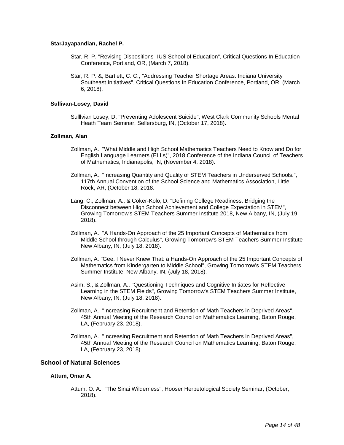## **StarJayapandian, Rachel P.**

- Star, R. P. "Revising Dispositions- IUS School of Education", Critical Questions In Education Conference, Portland, OR, (March 7, 2018).
- Star, R. P. &, Bartlett, C. C., "Addressing Teacher Shortage Areas: Indiana University Southeast Initiatives", Critical Questions In Education Conference, Portland, OR, (March 6, 2018).

## **Sullivan-Losey, David**

Sulllvian Losey, D. "Preventing Adolescent Suicide", West Clark Community Schools Mental Heath Team Seminar, Sellersburg, IN, (October 17, 2018).

## **Zollman, Alan**

- Zollman, A., "What Middle and High School Mathematics Teachers Need to Know and Do for English Language Learners (ELLs)", 2018 Conference of the Indiana Council of Teachers of Mathematics, Indianapolis, IN, (November 4, 2018).
- Zollman, A., "Increasing Quantity and Quality of STEM Teachers in Underserved Schools.", 117th Annual Convention of the School Science and Mathematics Association, Little Rock, AR, (October 18, 2018.
- Lang, C., Zollman, A., & Coker-Kolo, D. "Defining College Readiness: Bridging the Disconnect between High School Achievement and College Expectation in STEM", Growing Tomorrow's STEM Teachers Summer Institute 2018, New Albany, IN, (July 19, 2018).
- Zollman, A., "A Hands-On Approach of the 25 Important Concepts of Mathematics from Middle School through Calculus", Growing Tomorrow's STEM Teachers Summer Institute New Albany, IN, (July 18, 2018).
- Zollman, A. "Gee, I Never Knew That: a Hands-On Approach of the 25 Important Concepts of Mathematics from Kindergarten to Middle School", Growing Tomorrow's STEM Teachers Summer Institute, New Albany, IN, (July 18, 2018).
- Asim, S., & Zollman, A., "Questioning Techniques and Cognitive Initiates for Reflective Learning in the STEM Fields", Growing Tomorrow's STEM Teachers Summer Institute, New Albany, IN, (July 18, 2018).
- Zollman, A., "Increasing Recruitment and Retention of Math Teachers in Deprived Areas", 45th Annual Meeting of the Research Council on Mathematics Learning, Baton Rouge, LA, (February 23, 2018).
- Zollman, A., "Increasing Recruitment and Retention of Math Teachers in Deprived Areas", 45th Annual Meeting of the Research Council on Mathematics Learning, Baton Rouge, LA, (February 23, 2018).

## **School of Natural Sciences**

## **Attum, Omar A.**

Attum, O. A., "The Sinai Wilderness", Hooser Herpetological Society Seminar, (October, 2018).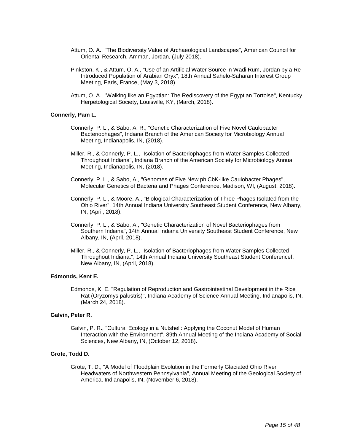- Attum, O. A., "The Biodiversity Value of Archaeological Landscapes", American Council for Oriental Research, Amman, Jordan, (July 2018).
- Pinkston, K., & Attum, O. A., "Use of an Artificial Water Source in Wadi Rum, Jordan by a Re-Introduced Population of Arabian Oryx", 18th Annual Sahelo-Saharan Interest Group Meeting, Paris, France, (May 3, 2018).
- Attum, O. A., "Walking like an Egyptian: The Rediscovery of the Egyptian Tortoise", Kentucky Herpetological Society, Louisville, KY, (March, 2018).

## **Connerly, Pam L.**

- Connerly, P. L., & Sabo, A. R., "Genetic Characterization of Five Novel Caulobacter Bacteriophages", Indiana Branch of the American Society for Microbiology Annual Meeting, Indianapolis, IN, (2018).
- Miller, R., & Connerly, P. L., "Isolation of Bacteriophages from Water Samples Collected Throughout Indiana", Indiana Branch of the American Society for Microbiology Annual Meeting, Indianapolis, IN, (2018).
- Connerly, P. L., & Sabo, A., "Genomes of Five New phiCbK-like Caulobacter Phages", Molecular Genetics of Bacteria and Phages Conference, Madison, WI, (August, 2018).
- Connerly, P. L., & Moore, A., "Biological Characterization of Three Phages Isolated from the Ohio River", 14th Annual Indiana University Southeast Student Conference, New Albany, IN, (April, 2018).
- Connerly, P. L., & Sabo, A., "Genetic Characterization of Novel Bacteriophages from Southern Indiana", 14th Annual Indiana University Southeast Student Conference, New Albany, IN, (April, 2018).
- Miller, R., & Connerly, P. L., "Isolation of Bacteriophages from Water Samples Collected Throughout Indiana.", 14th Annual Indiana University Southeast Student Conferencef, New Albany, IN, (April, 2018).

## **Edmonds, Kent E.**

Edmonds, K. E. "Regulation of Reproduction and Gastrointestinal Development in the Rice Rat (Oryzomys palustris)", Indiana Academy of Science Annual Meeting, Indianapolis, IN, (March 24, 2018).

#### **Galvin, Peter R.**

Galvin, P. R., "Cultural Ecology in a Nutshell: Applying the Coconut Model of Human Interaction with the Environment", 89th Annual Meeting of the Indiana Academy of Social Sciences, New Albany, IN, (October 12, 2018).

## **Grote, Todd D.**

Grote, T. D., "A Model of Floodplain Evolution in the Formerly Glaciated Ohio River Headwaters of Northwestern Pennsylvania", Annual Meeting of the Geological Society of America, Indianapolis, IN, (November 6, 2018).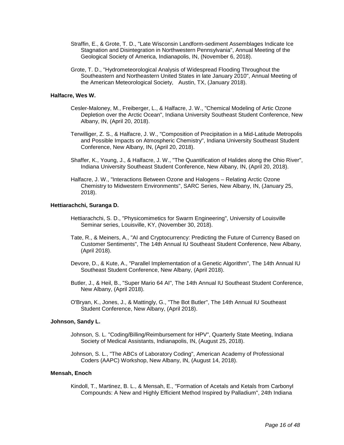- Straffin, E., & Grote, T. D., "Late Wisconsin Landform-sediment Assemblages Indicate Ice Stagnation and Disintegration in Northwestern Pennsylvania", Annual Meeting of the Geological Society of America, Indianapolis, IN, (November 6, 2018).
- Grote, T. D., "Hydrometeorological Analysis of Widespread Flooding Throughout the Southeastern and Northeastern United States in late January 2010", Annual Meeting of the American Meteorological Society, Austin, TX, (January 2018).

## **Halfacre, Wes W.**

- Cesler-Maloney, M., Freiberger, L., & Halfacre, J. W., "Chemical Modeling of Artic Ozone Depletion over the Arctic Ocean", Indiana University Southeast Student Conference, New Albany, IN, (April 20, 2018).
- Terwilliger, Z. S., & Halfacre, J. W., "Composition of Precipitation in a Mid-Latitude Metropolis and Possible Impacts on Atmospheric Chemistry", Indiana University Southeast Student Conference, New Albany, IN, (April 20, 2018).
- Shaffer, K., Young, J., & Halfacre, J. W., "The Quantification of Halides along the Ohio River", Indiana University Southeast Student Conference, New Albany, IN, (April 20, 2018).
- Halfacre, J. W., "Interactions Between Ozone and Halogens Relating Arctic Ozone Chemistry to Midwestern Environments", SARC Series, New Albany, IN, (January 25, 2018).

## **Hettiarachchi, Suranga D.**

- Hettiarachchi, S. D., "Physicomimetics for Swarm Engineering", University of Louisville Seminar series, Louisville, KY, (November 30, 2018).
- Tate, R., & Meiners, A., "AI and Cryptocurrency: Predicting the Future of Currency Based on Customer Sentiments", The 14th Annual IU Southeast Student Conference, New Albany, (April 2018).
- Devore, D., & Kute, A., "Parallel Implementation of a Genetic Algorithm", The 14th Annual IU Southeast Student Conference, New Albany, (April 2018).
- Butler, J., & Heil, B., "Super Mario 64 AI", The 14th Annual IU Southeast Student Conference, New Albany, (April 2018).
- O'Bryan, K., Jones, J., & Mattingly, G., "The Bot Butler", The 14th Annual IU Southeast Student Conference, New Albany, (April 2018).

## **Johnson, Sandy L.**

- Johnson, S. L. "Coding/Billing/Reimbursement for HPV", Quarterly State Meeting, Indiana Society of Medical Assistants, Indianapolis, IN, (August 25, 2018).
- Johnson, S. L., "The ABCs of Laboratory Coding", American Academy of Professional Coders (AAPC) Workshop, New Albany, IN, (August 14, 2018).

#### **Mensah, Enoch**

Kindoll, T., Martinez, B. L., & Mensah, E., "Formation of Acetals and Ketals from Carbonyl Compounds: A New and Highly Efficient Method Inspired by Palladium", 24th Indiana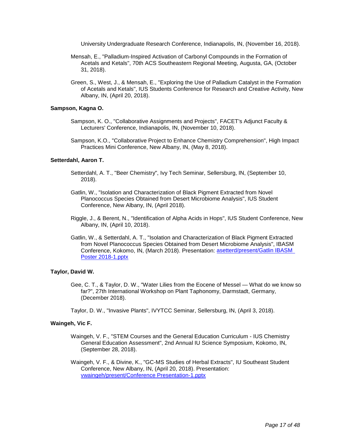University Undergraduate Research Conference, Indianapolis, IN, (November 16, 2018).

- Mensah, E., "Palladium-Inspired Activation of Carbonyl Compounds in the Formation of Acetals and Ketals", 70th ACS Southeastern Regional Meeting, Augusta, GA, (October 31, 2018).
- Green, S., West, J., & Mensah, E., "Exploring the Use of Palladium Catalyst in the Formation of Acetals and Ketals", IUS Students Conference for Research and Creative Activity, New Albany, IN, (April 20, 2018).

## **Sampson, Kagna O.**

- Sampson, K. O., "Collaborative Assignments and Projects", FACET's Adjunct Faculty & Lecturers' Conference, Indianapolis, IN, (November 10, 2018).
- Sampson, K.O., "Collaborative Project to Enhance Chemistry Comprehension", High Impact Practices Mini Conference, New Albany, IN, (May 8, 2018).

#### **Setterdahl, Aaron T.**

- Setterdahl, A. T., "Beer Chemistry", Ivy Tech Seminar, Sellersburg, IN, (September 10, 2018).
- Gatlin, W., "Isolation and Characterization of Black Pigment Extracted from Novel Planococcus Species Obtained from Desert Microbiome Analysis", IUS Student Conference, New Albany, IN, (April 2018).
- Riggle, J., & Berent, N., "Identification of Alpha Acids in Hops", IUS Student Conference, New Albany, IN, (April 10, 2018).
- Gatlin, W., & Setterdahl, A. T., "Isolation and Characterization of Black Pigment Extracted from Novel Planococcus Species Obtained from Desert Microbiome Analysis", IBASM Conference, Kokomo, IN, (March 2018). Presentation: [asetterd/present/Gatlin IBASM](https://www.digitalmeasures.com/login/indiana/faculty/survey/ui/showFile?file=YXNldHRlcmQvcHJlc2VudC9HYXRsaW4gSUJBU00gUG9zdGVyIDIwMTgtMS5wcHR4&surId=17689434&nodeId=1610663&sdId=88676329&sdSurId=17689434&rptId=20237&sgntr=6uWvMrS9xuuc4DkG655j%2FC0I4Cc%3D)  [Poster 2018-1.pptx](https://www.digitalmeasures.com/login/indiana/faculty/survey/ui/showFile?file=YXNldHRlcmQvcHJlc2VudC9HYXRsaW4gSUJBU00gUG9zdGVyIDIwMTgtMS5wcHR4&surId=17689434&nodeId=1610663&sdId=88676329&sdSurId=17689434&rptId=20237&sgntr=6uWvMrS9xuuc4DkG655j%2FC0I4Cc%3D)

#### **Taylor, David W.**

- Gee, C. T., & Taylor, D. W., "Water Lilies from the Eocene of Messel What do we know so far?", 27th International Workshop on Plant Taphonomy, Darmstadt, Germany, (December 2018).
- Taylor, D. W., "Invasive Plants", IVYTCC Seminar, Sellersburg, IN, (April 3, 2018).

## **Waingeh, Vic F.**

- Waingeh, V. F., "STEM Courses and the General Education Curriculum IUS Chemistry General Education Assessment", 2nd Annual IU Science Symposium, Kokomo, IN, (September 28, 2018).
- Waingeh, V. F., & Divine, K., "GC-MS Studies of Herbal Extracts", IU Southeast Student Conference, New Albany, IN, (April 20, 2018). Presentation: [vwaingeh/present/Conference Presentation-1.pptx](https://www.digitalmeasures.com/login/indiana/faculty/survey/ui/showFile?file=dndhaW5nZWgvcHJlc2VudC9Db25mZXJlbmNlIFByZXNlbnRhdGlvbi0xLnBwdHg%3D&surId=17689476&nodeId=1610663&sdId=88612335&sdSurId=17689476&rptId=20237&sgntr=idTGuuxkZcrlL9IvBua9pboae9Y%3D)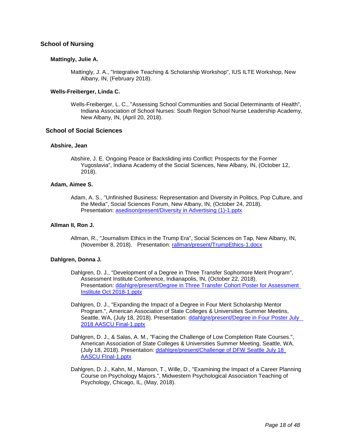## **School of Nursing**

## **Mattingly, Julie A.**

Mattingly, J. A., "Integrative Teaching & Scholarship Workshop", IUS ILTE Workshop, New Albany, IN, (February 2018).

## **Wells-Freiberger, Linda C.**

Wells-Freiberger, L. C., "Assessing School Communities and Social Determinants of Health", Indiana Association of School Nurses: South Region School Nurse Leadership Academy, New Albany, IN, (April 20, 2018).

## **School of Social Sciences**

## **Abshire, Jean**

Abshire, J. E. Ongoing Peace or Backsliding into Conflict: Prospects for the Former Yugoslavia", Indiana Academy of the Social Sciences, New Albany, IN, (October 12, 2018).

## **Adam, Aimee S.**

Adam, A. S., "Unfinished Business: Representation and Diversity in Politics, Pop Culture, and the Media", Social Sciences Forum, New Albany, IN, (October 24, 2018). Presentation: [asedison/present/Diversity in Advertising \(1\)-1.pptx](https://www.digitalmeasures.com/login/indiana/faculty/survey/ui/showFile?file=YXNlZGlzb24vcHJlc2VudC9EaXZlcnNpdHkgaW4gQWR2ZXJ0aXNpbmcgKDEpLTEucHB0eA%3D%3D&surId=17998859&nodeId=1610663&sdId=88528690&sdSurId=17998859&rptId=20237&sgntr=K4UCEGjMZG2wgRQNWDIPSpHcMHY%3D)

## **Allman II, Ron J.**

Allman, R., "Journalism Ethics in the Trump Era", Social Sciences on Tap, New Albany, IN, (November 8, 2018). Presentation: [rallman/present/TrumpEthics-1.docx](https://www.digitalmeasures.com/login/indiana/faculty/survey/ui/showFile?file=cmFsbG1hbi9wcmVzZW50L1RydW1wRXRoaWNzLTEuZG9jeA%3D%3D&surId=17689306&nodeId=1610663&sdId=88407196&sdSurId=17689306&rptId=20237&sgntr=zcnkyjdHTyHTz1ZdAPzRtTEsUyk%3D)

## **Dahlgren, Donna J.**

- Dahlgren, D. J., "Development of a Degree in Three Transfer Sophomore Merit Program", Assessment Institute Conference, Indianapolis, IN, (October 22, 2018). Presentation: [ddahlgre/present/Degree in Three Transfer Cohort Poster for Assessment](https://www.digitalmeasures.com/login/indiana/faculty/survey/ui/showFile?file=ZGRhaGxncmUvcHJlc2VudC9EZWdyZWUgaW4gVGhyZWUgVHJhbnNmZXIgQ29ob3J0IFBvc3RlciBm%0Ab3IgQXNzZXNzbWVudCBJbnN0aXR1dGUgT2N0IDIwMTgtMS5wcHR4&surId=17689292&nodeId=1610663&sdId=88587263&sdSurId=17689292&rptId=20237&sgntr=pu3qtMp%2FFv8cVFJAhq79618gX1Q%3D)  [Institute Oct 2018-1.pptx](https://www.digitalmeasures.com/login/indiana/faculty/survey/ui/showFile?file=ZGRhaGxncmUvcHJlc2VudC9EZWdyZWUgaW4gVGhyZWUgVHJhbnNmZXIgQ29ob3J0IFBvc3RlciBm%0Ab3IgQXNzZXNzbWVudCBJbnN0aXR1dGUgT2N0IDIwMTgtMS5wcHR4&surId=17689292&nodeId=1610663&sdId=88587263&sdSurId=17689292&rptId=20237&sgntr=pu3qtMp%2FFv8cVFJAhq79618gX1Q%3D)
- Dahlgren, D. J., "Expanding the Impact of a Degree in Four Merit Scholarship Mentor Program.", American Association of State Colleges & Universities Summer Meetins, Seattle, WA, (July 18, 2018). Presentation: ddahlgre/present/Degree in Four Poster July [2018 AASCU Final-1.pptx](https://www.digitalmeasures.com/login/indiana/faculty/survey/ui/showFile?file=ZGRhaGxncmUvcHJlc2VudC9EZWdyZWUgaW4gRm91ciBQb3N0ZXIgSnVseSAgMjAxOCBBQVNDVSBG%0AaW5hbC0xLnBwdHg%3D&surId=17689292&nodeId=1610663&sdId=88587536&sdSurId=17689292&rptId=20237&sgntr=cKaBfTuM6NMlSA33SGkIXX9xvzE%3D)
- Dahlgren, D. J., & Salas, A. M., "Facing the Challenge of Low Completion Rate Courses.", American Association of State Colleges & Universities Summer Meeting, Seattle, WA, (July 18, 2018). Presentation: [ddahlgre/present/Challenge of DFW Seattle July 18](https://www.digitalmeasures.com/login/indiana/faculty/survey/ui/showFile?file=ZGRhaGxncmUvcHJlc2VudC9DaGFsbGVuZ2Ugb2YgREZXIFNlYXR0bGUgSnVseSAxOCBBQVNDVSBG%0ASW5hbC0xLnBwdHg%3D&surId=17689292&nodeId=1610663&sdId=88587374&sdSurId=17689292&rptId=20237&sgntr=m8efVB40OHD0VL2geBarsq72Ysg%3D)  [AASCU FInal-1.pptx](https://www.digitalmeasures.com/login/indiana/faculty/survey/ui/showFile?file=ZGRhaGxncmUvcHJlc2VudC9DaGFsbGVuZ2Ugb2YgREZXIFNlYXR0bGUgSnVseSAxOCBBQVNDVSBG%0ASW5hbC0xLnBwdHg%3D&surId=17689292&nodeId=1610663&sdId=88587374&sdSurId=17689292&rptId=20237&sgntr=m8efVB40OHD0VL2geBarsq72Ysg%3D)
- Dahlgren, D. J., Kahn, M., Manson, T., Wille, D., "Examining the Impact of a Career Planning Course on Psychology Majors.", Midwestern Psychological Association Teaching of Psychology, Chicago, IL, (May, 2018).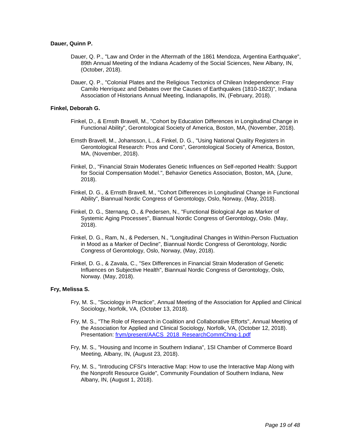## **Dauer, Quinn P.**

- Dauer, Q. P., "Law and Order in the Aftermath of the 1861 Mendoza, Argentina Earthquake", 89th Annual Meeting of the Indiana Academy of the Social Sciences, New Albany, IN, (October, 2018).
- Dauer, Q. P., "Colonial Plates and the Religious Tectonics of Chilean Independence: Fray Camilo Henríquez and Debates over the Causes of Earthquakes (1810-1823)", Indiana Association of Historians Annual Meeting, Indianapolis, IN, (February, 2018).

## **Finkel, Deborah G.**

- Finkel, D., & Ernsth Bravell, M., "Cohort by Education Differences in Longitudinal Change in Functional Ability", Gerontological Society of America, Boston, MA, (November, 2018).
- Ernsth Bravell, M., Johansson, L., & Finkel, D. G., "Using National Quality Registers in Gerontological Research: Pros and Cons", Gerontological Society of America, Boston, MA, (November, 2018).
- Finkel, D., "Financial Strain Moderates Genetic Influences on Self-reported Health: Support for Social Compensation Model.", Behavior Genetics Association, Boston, MA, (June, 2018).
- Finkel, D. G., & Ernsth Bravell, M., "Cohort Differences in Longitudinal Change in Functional Ability", Biannual Nordic Congress of Gerontology, Oslo, Norway, (May, 2018).
- Finkel, D. G., Sternang, O., & Pedersen, N., "Functional Biological Age as Marker of Systemic Aging Processes", Biannual Nordic Congress of Gerontology, Oslo. (May, 2018).
- Finkel, D. G., Ram, N., & Pedersen, N., "Longitudinal Changes in Within-Person Fluctuation in Mood as a Marker of Decline", Biannual Nordic Congress of Gerontology, Nordic Congress of Gerontology, Oslo, Norway, (May, 2018).
- Finkel, D. G., & Zavala, C., "Sex Differences in Financial Strain Moderation of Genetic Influences on Subjective Health", Biannual Nordic Congress of Gerontology, Oslo, Norway. (May, 2018).

#### **Fry, Melissa S.**

- Fry, M. S., "Sociology in Practice", Annual Meeting of the Association for Applied and Clinical Sociology, Norfolk, VA, (October 13, 2018).
- Fry, M. S., "The Role of Research in Coalition and Collaborative Efforts", Annual Meeting of the Association for Applied and Clinical Sociology, Norfolk, VA, (October 12, 2018). Presentation: [frym/present/AACS\\_2018\\_ResearchCommChng-1.pdf](https://www.digitalmeasures.com/login/indiana/faculty/survey/ui/showFile?file=ZnJ5bS9wcmVzZW50L0FBQ1NfMjAxOF9SZXNlYXJjaENvbW1DaG5nLTEucGRm&surId=17689296&nodeId=1610663&sdId=88564768&sdSurId=17689296&rptId=20237&sgntr=iG778uiz8BANqwiLgB1ZaSb8LsY%3D)
- Fry, M. S., "Housing and Income in Southern Indiana", 1SI Chamber of Commerce Board Meeting, Albany, IN, (August 23, 2018).
- Fry, M. S., "Introducing CFSI's Interactive Map: How to use the Interactive Map Along with the Nonprofit Resource Guide", Community Foundation of Southern Indiana, New Albany, IN, (August 1, 2018).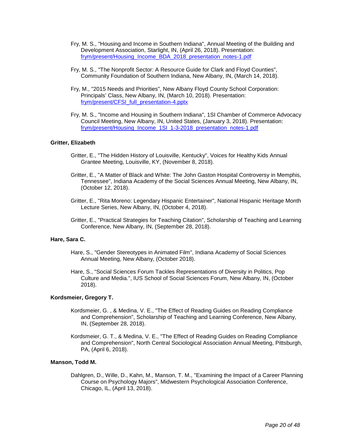- Fry, M. S., "Housing and Income in Southern Indiana", Annual Meeting of the Building and Development Association, Starlight, IN, (April 26, 2018). Presentation: [frym/present/Housing\\_Income\\_BDA\\_2018\\_presentation\\_notes-1.pdf](https://www.digitalmeasures.com/login/indiana/faculty/survey/ui/showFile?file=ZnJ5bS9wcmVzZW50L0hvdXNpbmdfSW5jb21lX0JEQV8yMDE4X3ByZXNlbnRhdGlvbl9ub3Rlcy0x%0ALnBkZg%3D%3D&surId=17689296&nodeId=1610663&sdId=88564071&sdSurId=17689296&rptId=20237&sgntr=2l1C%2FCu%2Fpy4xZhRIVUf2JKRZkXw%3D)
- Fry, M. S., "The Nonprofit Sector: A Resource Guide for Clark and Floyd Counties", Community Foundation of Southern Indiana, New Albany, IN, (March 14, 2018).
- Fry, M., "2015 Needs and Priorities", New Albany Floyd County School Corporation: Principals' Class, New Albany, IN, (March 10, 2018). Presentation: [frym/present/CFSI\\_full\\_presentation-4.pptx](https://www.digitalmeasures.com/login/indiana/faculty/survey/ui/showFile?file=ZnJ5bS9wcmVzZW50L0NGU0lfZnVsbF9wcmVzZW50YXRpb24tNC5wcHR4&surId=17689296&nodeId=1610663&sdId=88563571&sdSurId=17689296&rptId=20237&sgntr=w2MLl6SxzjlAx%2FbXMDl7rxrGagw%3D)
- Fry, M. S., "Income and Housing in Southern Indiana", 1SI Chamber of Commerce Advocacy Council Meeting, New Albany, IN, United States, (January 3, 2018). Presentation: [frym/present/Housing\\_Income\\_1SI\\_1-3-2018\\_presentation\\_notes-1.pdf](https://www.digitalmeasures.com/login/indiana/faculty/survey/ui/showFile?file=ZnJ5bS9wcmVzZW50L0hvdXNpbmdfSW5jb21lXzFTSV8xLTMtMjAxOF9wcmVzZW50YXRpb25fbm90%0AZXMtMS5wZGY%3D&surId=17689296&nodeId=1610663&sdId=88563367&sdSurId=17689296&rptId=20237&sgntr=hP5yP%2BwC9dpoRr%2BM2VhY0icJS%2B0%3D)

## **Gritter, Elizabeth**

- Gritter, E., "The Hidden History of Louisville, Kentucky", Voices for Healthy Kids Annual Grantee Meeting, Louisville, KY, (November 8, 2018).
- Gritter, E., "A Matter of Black and White: The John Gaston Hospital Controversy in Memphis, Tennessee", Indiana Academy of the Social Sciences Annual Meeting, New Albany, IN, (October 12, 2018).
- Gritter, E., "Rita Moreno: Legendary Hispanic Entertainer", National Hispanic Heritage Month Lecture Series, New Albany, IN, (October 4, 2018).
- Gritter, E., "Practical Strategies for Teaching Citation", Scholarship of Teaching and Learning Conference, New Albany, IN, (September 28, 2018).

## **Hare, Sara C.**

- Hare, S., "Gender Stereotypes in Animated Film", Indiana Academy of Social Sciences Annual Meeting, New Albany, (October 2018).
- Hare, S., "Social Sciences Forum Tackles Representations of Diversity in Politics, Pop Culture and Media.", IUS School of Social Sciences Forum, New Albany, IN, (October 2018).

#### **Kordsmeier, Gregory T.**

- Kordsmeier, G. , & Medina, V. E., "The Effect of Reading Guides on Reading Compliance and Comprehension", Scholarship of Teaching and Learning Conference, New Albany, IN, (September 28, 2018).
- Kordsmeier, G. T., & Medina, V. E., "The Effect of Reading Guides on Reading Compliance and Comprehension", North Central Sociological Association Annual Meeting, Pittsburgh, PA, (April 6, 2018).

## **Manson, Todd M.**

Dahlgren, D., Wille, D., Kahn, M., Manson, T. M., "Examining the Impact of a Career Planning Course on Psychology Majors", Midwestern Psychological Association Conference, Chicago, IL, (April 13, 2018).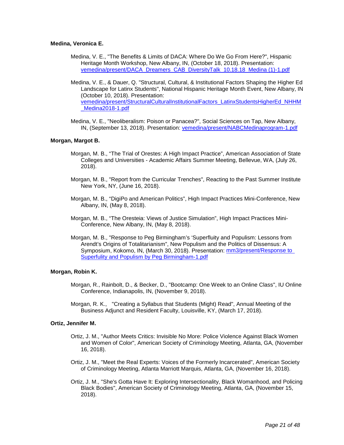## **Medina, Veronica E.**

- Medina, V. E., "The Benefits & Limits of DACA: Where Do We Go From Here?", Hispanic Heritage Month Workshop, New Albany, IN, (October 18, 2018). Presentation: [vemedina/present/DACA\\_Dreamers\\_CAB\\_DiversityTalk\\_10.18.18\\_Medina \(1\)-1.pdf](https://www.digitalmeasures.com/login/indiana/faculty/survey/ui/showFile?file=dmVtZWRpbmEvcHJlc2VudC9EQUNBX0RyZWFtZXJzX0NBQl9EaXZlcnNpdHlUYWxrXzEwLjE4LjE4%0AX01lZGluYSAoMSktMS5wZGY%3D&surId=17689315&nodeId=1610663&sdId=88646773&sdSurId=17689315&rptId=20237&sgntr=P2Qz1Ml9O30axcD2jBfaZtyjNPk%3D)
- Medina, V. E., & Dauer, Q. "Structural, Cultural, & Institutional Factors Shaping the Higher Ed Landscape for Latinx Students", National Hispanic Heritage Month Event, New Albany, IN (October 10, 2018). Presentation: [vemedina/present/StructuralCulturalInstitutionalFactors\\_LatinxStudentsHigherEd\\_NHHM](https://www.digitalmeasures.com/login/indiana/faculty/survey/ui/showFile?file=dmVtZWRpbmEvcHJlc2VudC9TdHJ1Y3R1cmFsQ3VsdHVyYWxJbnN0aXR1dGlvbmFsRmFjdG9yc19M%0AYXRpbnhTdHVkZW50c0hpZ2hlckVkX05ISE1fTWVkaW5hMjAxOC0xLnBkZg%3D%3D&surId=17689315&nodeId=1610663&sdId=88646795&sdSurId=17689315&rptId=20237&sgntr=5LPG%2FhWnLrN443RMrjee5sLNqEk%3D) Medina2018-1.pdf
- Medina, V. E., "Neoliberalism: Poison or Panacea?", Social Sciences on Tap, New Albany, IN, (September 13, 2018). Presentation: [vemedina/present/NABCMedinaprogram-1.pdf](https://www.digitalmeasures.com/login/indiana/faculty/survey/ui/showFile?file=dmVtZWRpbmEvcHJlc2VudC9OQUJDTWVkaW5hcHJvZ3JhbS0xLnBkZg%3D%3D&surId=17689315&nodeId=1610663&sdId=88646723&sdSurId=17689315&rptId=20237&sgntr=d2xExR41g2PibNxfsQuQocEdnAc%3D)

## **Morgan, Margot B.**

- Morgan, M. B., "The Trial of Orestes: A High Impact Practice", American Association of State Colleges and Universities - Academic Affairs Summer Meeting, Bellevue, WA, (July 26, 2018).
- Morgan, M. B., "Report from the Curricular Trenches", Reacting to the Past Summer Institute New York, NY, (June 16, 2018).
- Morgan, M. B., "DigiPo and American Politics", High Impact Practices Mini-Conference, New Albany, IN, (May 8, 2018).
- Morgan, M. B., "The Oresteia: Views of Justice Simulation", High Impact Practices Mini-Conference, New Albany, IN, (May 8, 2018).
- Morgan, M. B., "Response to Peg Birmingham's 'Superfluity and Populism: Lessons from Arendt's Origins of Totalitarianism", New Populism and the Politics of Dissensus: A Symposium, Kokomo, IN, (March 30, 2018). Presentation: [mm3/present/Response to](https://www.digitalmeasures.com/login/indiana/faculty/survey/ui/showFile?file=bW0zL3ByZXNlbnQvUmVzcG9uc2UgdG8gU3VwZXJmdWxpdHkgYW5kIFBvcHVsaXNtIGJ5IFBlZyBC%0AaXJtaW5naGFtLTEucGRm&surId=17689304&nodeId=1610663&sdId=88557774&sdSurId=17689304&rptId=20237&sgntr=%2F47tJtirJi%2FCQ7AI%2BHlkZrXGkwU%3D)  [Superfulity and Populism by Peg Birmingham-1.pdf](https://www.digitalmeasures.com/login/indiana/faculty/survey/ui/showFile?file=bW0zL3ByZXNlbnQvUmVzcG9uc2UgdG8gU3VwZXJmdWxpdHkgYW5kIFBvcHVsaXNtIGJ5IFBlZyBC%0AaXJtaW5naGFtLTEucGRm&surId=17689304&nodeId=1610663&sdId=88557774&sdSurId=17689304&rptId=20237&sgntr=%2F47tJtirJi%2FCQ7AI%2BHlkZrXGkwU%3D)

#### **Morgan, Robin K.**

- Morgan, R., Rainbolt, D., & Becker, D., "Bootcamp: One Week to an Online Class", IU Online Conference, Indianapolis, IN, (November 9, 2018).
- Morgan, R. K., "Creating a Syllabus that Students (Might) Read", Annual Meeting of the Business Adjunct and Resident Faculty, Louisville, KY, (March 17, 2018).

#### **Ortiz, Jennifer M.**

- Ortiz, J. M., "Author Meets Critics: Invisible No More: Police Violence Against Black Women and Women of Color", American Society of Criminology Meeting, Atlanta, GA, (November 16, 2018).
- Ortiz, J. M., "Meet the Real Experts: Voices of the Formerly Incarcerated", American Society of Criminology Meeting, Atlanta Marriott Marquis, Atlanta, GA, (November 16, 2018).
- Ortiz, J. M., "She's Gotta Have It: Exploring Intersectionality, Black Womanhood, and Policing Black Bodies", American Society of Criminology Meeting, Atlanta, GA, (November 15, 2018).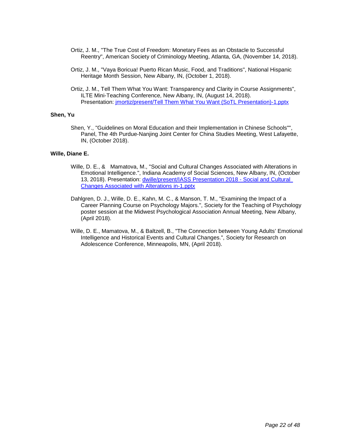- Ortiz, J. M., "The True Cost of Freedom: Monetary Fees as an Obstacle to Successful Reentry", American Society of Criminology Meeting, Atlanta, GA, (November 14, 2018).
- Ortiz, J. M., "Vaya Boricua! Puerto Rican Music, Food, and Traditions", National Hispanic Heritage Month Session, New Albany, IN, (October 1, 2018).
- Ortiz, J. M., Tell Them What You Want: Transparency and Clarity in Course Assignments", ILTE Mini-Teaching Conference, New Albany, IN, (August 14, 2018). Presentation: [jmortiz/present/Tell Them What You Want \(SoTL Presentation\)-1.pptx](https://www.digitalmeasures.com/login/indiana/faculty/survey/ui/showFile?file=am1vcnRpei9wcmVzZW50L1RlbGwgVGhlbSBXaGF0IFlvdSBXYW50IChTb1RMIFByZXNlbnRhdGlv%0AbiktMS5wcHR4&surId=17829050&nodeId=1610663&sdId=82893873&sdSurId=17829050&rptId=20237&sgntr=zB7GKkF8iLu7UjaLxKF5esmryPY%3D)

## **Shen, Yu**

Shen, Y., "Guidelines on Moral Education and their Implementation in Chinese Schools"", Panel, The 4th Purdue-Nanjing Joint Center for China Studies Meeting, West Lafayette, IN, (October 2018).

## **Wille, Diane E.**

- Wille, D. E., & Mamatova, M., "Social and Cultural Changes Associated with Alterations in Emotional Intelligence.", Indiana Academy of Social Sciences, New Albany, IN, (October 13, 2018). Presentation: [dwille/present/IASS Presentation 2018 -](https://www.digitalmeasures.com/login/indiana/faculty/survey/ui/showFile?file=ZHdpbGxlL3ByZXNlbnQvSUFTUyBQcmVzZW50YXRpb24gMjAxOCAtIFNvY2lhbCBhbmQgQ3VsdHVy%0AYWwgQ2hhbmdlcyBBc3NvY2lhdGVkIHdpdGggQWx0ZXJhdGlvbnMgaW4tMS5wcHR4&surId=17689294&nodeId=1610663&sdId=88643385&sdSurId=17689294&rptId=20237&sgntr=32poNQBnQEY%2FXSbJs1qj3m2u0aE%3D) Social and Cultural [Changes Associated with Alterations in-1.pptx](https://www.digitalmeasures.com/login/indiana/faculty/survey/ui/showFile?file=ZHdpbGxlL3ByZXNlbnQvSUFTUyBQcmVzZW50YXRpb24gMjAxOCAtIFNvY2lhbCBhbmQgQ3VsdHVy%0AYWwgQ2hhbmdlcyBBc3NvY2lhdGVkIHdpdGggQWx0ZXJhdGlvbnMgaW4tMS5wcHR4&surId=17689294&nodeId=1610663&sdId=88643385&sdSurId=17689294&rptId=20237&sgntr=32poNQBnQEY%2FXSbJs1qj3m2u0aE%3D)
- Dahlgren, D. J., Wille, D. E., Kahn, M. C., & Manson, T. M., "Examining the Impact of a Career Planning Course on Psychology Majors.", Society for the Teaching of Psychology poster session at the Midwest Psychological Association Annual Meeting, New Albany, (April 2018).
- Wille, D. E., Mamatova, M., & Baltzell, B., "The Connection between Young Adults' Emotional Intelligence and Historical Events and Cultural Changes.", Society for Research on Adolescence Conference, Minneapolis, MN, (April 2018).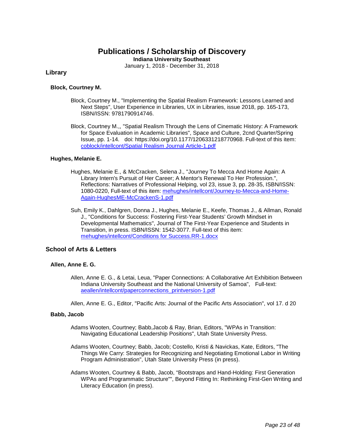## **Publications / Scholarship of Discovery**

**Indiana University Southeast**

January 1, 2018 - December 31, 2018

## **Library**

## **Block, Courtney M.**

- Block, Courtney M., "Implementing the Spatial Realism Framework: Lessons Learned and Next Steps", User Experience in Libraries, UX in Libraries, issue 2018, pp. 165-173, ISBN/ISSN: 9781790914746.
- Block, Courtney M.,, "Spatial Realism Through the Lens of Cinematic History: A Framework for Space Evaluation in Academic Libraries", Space and Culture, 2cnd Quarter/Spring Issue, pp. 1-14. doi: https://doi.org/10.1177/1206331218770968. Full-text of this item: [coblock/intellcont/Spatial Realism Journal Article-1.pdf](https://www.digitalmeasures.com/login/indiana/faculty/survey/ui/showFile?file=Y29ibG9jay9pbnRlbGxjb250L1NwYXRpYWwgUmVhbGlzbSBKb3VybmFsIEFydGljbGUtMS5wZGY%3D&surId=17691684&nodeId=1610518&sdId=88284002&sdSurId=17691684&rptId=20226&sgntr=d9ayFTHlMGgcozjTPkWCo%2FHcMog%3D)

## **Hughes, Melanie E.**

- Hughes, Melanie E., & McCracken, Selena J., "Journey To Mecca And Home Again: A Library Intern's Pursuit of Her Career; A Mentor's Renewal To Her Profession.", Reflections: Narratives of Professional Helping, vol 23, issue 3, pp. 28-35, ISBN/ISSN: 1080-0220, Full-text of this item: [mehughes/intellcont/Journey-to-Mecca-and-Home-](https://www.digitalmeasures.com/login/indiana/faculty/survey/ui/showFile?file=bWVodWdoZXMvaW50ZWxsY29udC9Kb3VybmV5LXRvLU1lY2NhLWFuZC1Ib21lLUFnYWluLUh1Z2hl%0Ac01FLU1jQ3JhY2tlblMtMS5wZGY%3D&surId=17691688&nodeId=1610518&sdId=78529751&sdSurId=17691688&rptId=20226&sgntr=jRs%2FXhdWZ1zt1ayDNUlzmxm7AIM%3D)[Again-HughesME-McCrackenS-1.pdf](https://www.digitalmeasures.com/login/indiana/faculty/survey/ui/showFile?file=bWVodWdoZXMvaW50ZWxsY29udC9Kb3VybmV5LXRvLU1lY2NhLWFuZC1Ib21lLUFnYWluLUh1Z2hl%0Ac01FLU1jQ3JhY2tlblMtMS5wZGY%3D&surId=17691688&nodeId=1610518&sdId=78529751&sdSurId=17691688&rptId=20226&sgntr=jRs%2FXhdWZ1zt1ayDNUlzmxm7AIM%3D)
- Suh, Emily K., Dahlgren, Donna J., Hughes, Melanie E., Keefe, Thomas J., & Allman, Ronald J., "Conditions for Success: Fostering First-Year Students' Growth Mindset in Developmental Mathematics", Journal of The First-Year Experience and Students in Transition, in press. ISBN/ISSN: 1542-3077. Full-text of this item: [mehughes/intellcont/Conditions for Success.RR-1.docx](https://www.digitalmeasures.com/login/indiana/faculty/survey/ui/showFile?file=bWVodWdoZXMvaW50ZWxsY29udC9Db25kaXRpb25zIGZvciBTdWNjZXNzLlJSLTEuZG9jeA%3D%3D&surId=17691688&nodeId=1610518&sdId=88533245&sdSurId=17691688&rptId=20226&sgntr=fBuaccyWMpj9TfHqTyLPFw%2BKIzE%3D)

## **School of Arts & Letters**

## **Allen, Anne E. G.**

- Allen, Anne E. G., & Letai, Leua, "Paper Connections: A Collaborative Art Exhibition Between Indiana University Southeast and the National University of Samoa", Full-text: [aeallen/intellcont/paperconnections\\_printversion-1.pdf](https://www.digitalmeasures.com/login/indiana/faculty/survey/ui/showFile?file=YWVhbGxlbi9pbnRlbGxjb250L3BhcGVyY29ubmVjdGlvbnNfcHJpbnR2ZXJzaW9uLTEucGRm&surId=17691120&nodeId=1610518&sdId=88588205&sdSurId=17691120&rptId=20226&sgntr=7VIuBKqz0fYxltm9x%2Fftn%2FaAZi4%3D)
- Allen, Anne E. G., Editor, "Pacific Arts: Journal of the Pacific Arts Association", vol 17. d 20

#### **Babb, Jacob**

- Adams Wooten, Courtney; Babb,Jacob & Ray, Brian, Editors, "WPAs in Transition: Navigating Educational Leadership Positions", Utah State University Press.
- Adams Wooten, Courtney; Babb, Jacob; Costello, Kristi & Navickas, Kate, Editors, "The Things We Carry: Strategies for Recognizing and Negotiating Emotional Labor in Writing Program Administration", Utah State University Press (in press).
- Adams Wooten, Courtney & Babb, Jacob, "Bootstraps and Hand-Holding: First Generation WPAs and Programmatic Structure"", Beyond Fitting In: Rethinking First-Gen Writing and Literacy Education (in press).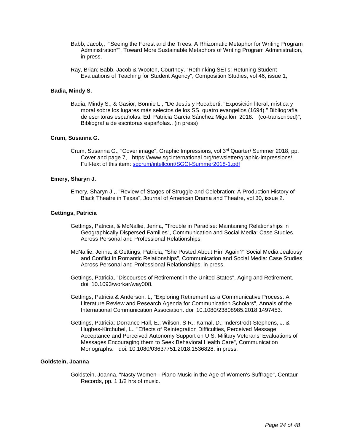- Babb, Jacob,, ""Seeing the Forest and the Trees: A Rhizomatic Metaphor for Writing Program Administration"", Toward More Sustainable Metaphors of Writing Program Administration, in press.
- Ray, Brian; Babb, Jacob & Wooten, Courtney, "Rethinking SETs: Retuning Student Evaluations of Teaching for Student Agency", Composition Studies, vol 46, issue 1,

## **Badia, Mindy S.**

Badia, Mindy S., & Gasior, Bonnie L., "De Jesús y Rocaberti, "Exposición literal, mística y moral sobre los lugares más selectos de los SS. quatro evangelios (1694)." Bibliografía de escritoras españolas. Ed. Patricia García Sánchez Migallón. 2018. (co-transcribed)", Bibliografía de escritoras españolas., (in press)

#### **Crum, Susanna G.**

Crum, Susanna G., "Cover image", Graphic Impressions, vol 3rd Quarter/ Summer 2018, pp. Cover and page 7, https://www.sgcinternational.org/newsletter/graphic-impressions/. Full-text of this item: [sgcrum/intellcont/SGCI-Summer2018-1.pdf](https://www.digitalmeasures.com/login/indiana/faculty/survey/ui/showFile?file=c2djcnVtL2ludGVsbGNvbnQvU0dDSS1TdW1tZXIyMDE4LTEucGRm&surId=17691155&nodeId=1610518&sdId=88510626&sdSurId=17691155&rptId=20226&sgntr=UgogZNy71YyDlzL0HVg%2F74%2FHh2Q%3D)

## **Emery, Sharyn J.**

Emery, Sharyn J.,, "Review of Stages of Struggle and Celebration: A Production History of Black Theatre in Texas", Journal of American Drama and Theatre, vol 30, issue 2.

## **Gettings, Patricia**

- Gettings, Patricia, & McNallie, Jenna, "Trouble in Paradise: Maintaining Relationships in Geographically Dispersed Families", Communication and Social Media: Case Studies Across Personal and Professional Relationships.
- McNallie, Jenna, & Gettings, Patricia, "She Posted About Him Again?" Social Media Jealousy and Conflict in Romantic Relationships", Communication and Social Media: Case Studies Across Personal and Professional Relationships, in press.
- Gettings, Patricia, "Discourses of Retirement in the United States", Aging and Retirement. doi: 10.1093/workar/way008.
- Gettings, Patricia & Anderson, L, "Exploring Retirement as a Communicative Process: A Literature Review and Research Agenda for Communication Scholars", Annals of the International Communication Association. doi: 10.1080/23808985.2018.1497453.
- Gettings, Patricia; Dorrance Hall, E.; Wilson, S R.; Kamal, D.; Inderstrodt-Stephens, J. & Hughes-Kirchubel, L., "Effects of Reintegration Difficulties, Perceived Message Acceptance and Perceived Autonomy Support on U.S. Military Veterans' Evaluations of Messages Encouraging them to Seek Behavioral Health Care", Communication Monographs. doi: 10.1080/03637751.2018.1536828. in press.

## **Goldstein, Joanna**

Goldstein, Joanna, "Nasty Women - Piano Music in the Age of Women's Suffrage", Centaur Records, pp. 1 1/2 hrs of music.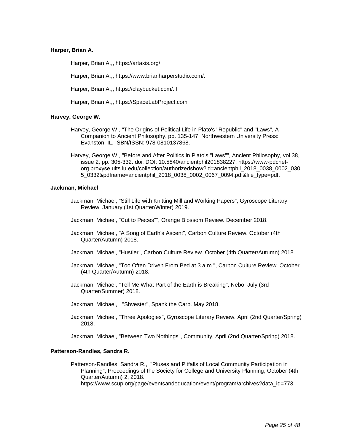## **Harper, Brian A.**

Harper, Brian A.,, https://artaxis.org/.

Harper, Brian A.,, https://www.brianharperstudio.com/.

Harper, Brian A.,, https://claybucket.com/. I

Harper, Brian A.,, https://SpaceLabProject.com

## **Harvey, George W.**

- Harvey, George W., "The Origins of Political Life in Plato's "Republic" and "Laws", A Companion to Ancient Philosophy, pp. 135-147, Northwestern University Press: Evanston, IL. ISBN/ISSN: 978-0810137868.
- Harvey, George W., "Before and After Politics in Plato's "Laws"", Ancient Philosophy, vol 38, issue 2, pp. 305-332. doi: DOI: 10.5840/ancientphil201838227, https://www-pdcnetorg.proxyse.uits.iu.edu/collection/authorizedshow?id=ancientphil\_2018\_0038\_0002\_030 5\_0332&pdfname=ancientphil\_2018\_0038\_0002\_0067\_0094.pdf&file\_type=pdf.

#### **Jackman, Michael**

- Jackman, Michael, "Still Life with Knitting Mill and Working Papers", Gyroscope Literary Review. January (1st Quarter/Winter) 2019.
- Jackman, Michael, "Cut to Pieces"", Orange Blossom Review. December 2018.
- Jackman, Michael, "A Song of Earth's Ascent", Carbon Culture Review. October (4th Quarter/Autumn) 2018.
- Jackman, Michael, "Hustler", Carbon Culture Review. October (4th Quarter/Autumn) 2018.
- Jackman, Michael, "Too Often Driven From Bed at 3 a.m.", Carbon Culture Review. October (4th Quarter/Autumn) 2018.
- Jackman, Michael, "Tell Me What Part of the Earth is Breaking", Nebo, July (3rd Quarter/Summer) 2018.
- Jackman, Michael, "Shvester", Spank the Carp. May 2018.
- Jackman, Michael, "Three Apologies", Gyroscope Literary Review. April (2nd Quarter/Spring) 2018.

Jackman, Michael, "Between Two Nothings", Community, April (2nd Quarter/Spring) 2018.

### **Patterson-Randles, Sandra R.**

Patterson-Randles, Sandra R.,, "Pluses and Pitfalls of Local Community Participation in Planning", Proceedings of the Society for College and University Planning, October (4th Quarter/Autumn) 2, 2018.

https://www.scup.org/page/eventsandeducation/event/program/archives?data\_id=773.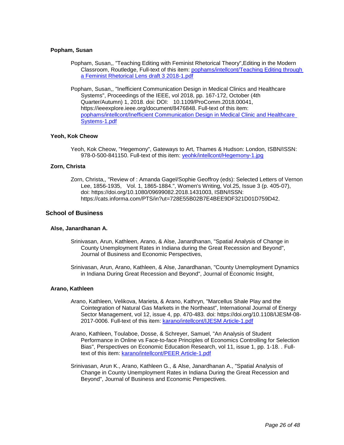## **Popham, Susan**

- Popham, Susan,, "Teaching Editing with Feminist Rhetorical Theory",Editing in the Modern Classroom, Routledge, Full-text of this item[: pophams/intellcont/Teaching Editing through](https://www.digitalmeasures.com/login/indiana/faculty/survey/ui/showFile?file=cG9waGFtcy9pbnRlbGxjb250L1RlYWNoaW5nIEVkaXRpbmcgdGhyb3VnaCBhIEZlbWluaXN0IFJo%0AZXRvcmljYWwgTGVucyBkcmFmdCAzIDIwMTgtMS5wZGY%3D&surId=17829047&nodeId=1610518&sdId=91116049&sdSurId=17829047&rptId=20226&sgntr=uizemmG5RGZHFMlqlbRe9cu0bmA%3D)  [a Feminist Rhetorical Lens draft 3 2018-1.pdf](https://www.digitalmeasures.com/login/indiana/faculty/survey/ui/showFile?file=cG9waGFtcy9pbnRlbGxjb250L1RlYWNoaW5nIEVkaXRpbmcgdGhyb3VnaCBhIEZlbWluaXN0IFJo%0AZXRvcmljYWwgTGVucyBkcmFmdCAzIDIwMTgtMS5wZGY%3D&surId=17829047&nodeId=1610518&sdId=91116049&sdSurId=17829047&rptId=20226&sgntr=uizemmG5RGZHFMlqlbRe9cu0bmA%3D)
- Popham, Susan,, "Inefficient Communication Design in Medical Clinics and Healthcare Systems", Proceedings of the IEEE, vol 2018, pp. 167-172, October (4th Quarter/Autumn) 1, 2018. doi: DOI: 10.1109/ProComm.2018.00041, https://ieeexplore.ieee.org/document/8476848. Full-text of this item: [pophams/intellcont/Inefficient Communication Design in Medical Clinic and Healthcare](https://www.digitalmeasures.com/login/indiana/faculty/survey/ui/showFile?file=cG9waGFtcy9pbnRlbGxjb250L0luZWZmaWNpZW50IENvbW11bmljYXRpb24gRGVzaWduIGluIE1l%0AZGljYWwgQ2xpbmljIGFuZCBIZWFsdGhjYXJlIFN5c3RlbXMtMS5wZGY%3D&surId=17829047&nodeId=1610518&sdId=88586850&sdSurId=17829047&rptId=20226&sgntr=pzvxta7TmRgopKBv1pUAuMMY3Tc%3D)  [Systems-1.pdf](https://www.digitalmeasures.com/login/indiana/faculty/survey/ui/showFile?file=cG9waGFtcy9pbnRlbGxjb250L0luZWZmaWNpZW50IENvbW11bmljYXRpb24gRGVzaWduIGluIE1l%0AZGljYWwgQ2xpbmljIGFuZCBIZWFsdGhjYXJlIFN5c3RlbXMtMS5wZGY%3D&surId=17829047&nodeId=1610518&sdId=88586850&sdSurId=17829047&rptId=20226&sgntr=pzvxta7TmRgopKBv1pUAuMMY3Tc%3D)

## **Yeoh, Kok Cheow**

Yeoh, Kok Cheow, "Hegemony", Gateways to Art, Thames & Hudson: London, ISBN/ISSN: 978-0-500-841150. Full-text of this item: [yeohk/intellcont/Hegemony-1.jpg](https://www.digitalmeasures.com/login/indiana/faculty/survey/ui/showFile?file=eWVvaGsvaW50ZWxsY29udC9IZWdlbW9ueS0xLmpwZw%3D%3D&surId=17691164&nodeId=1610518&sdId=78512405&sdSurId=17691164&rptId=20226&sgntr=KzDaAYMb57nc52ylEYtQ4ugbfEM%3D)

## **Zorn, Christa**

Zorn, Christa,, "Review of : Amanda Gagel/Sophie Geoffroy (eds): Selected Letters of Vernon Lee, 1856-1935, Vol. 1, 1865-1884.", Women's Writing, Vol.25, Issue 3 (p. 405-07), doi: https://doi.org/10.1080/09699082.2018.1431003, ISBN/ISSN: https://cats.informa.com/PTS/in?ut=728E55B02B7E4BEE9DF321D01D759D42.

## **School of Business**

## **Alse, Janardhanan A.**

- Srinivasan, Arun, Kathleen, Arano, & Alse, Janardhanan, "Spatial Analysis of Change in County Unemployment Rates in Indiana during the Great Recession and Beyond", Journal of Business and Economic Perspectives,
- Srinivasan, Arun, Arano, Kathleen, & Alse, Janardhanan, "County Unemployment Dynamics in Indiana During Great Recession and Beyond", Journal of Economic Insight,

#### **Arano, Kathleen**

- Arano, Kathleen, Velikova, Marieta, & Arano, Kathryn, "Marcellus Shale Play and the Cointegration of Natural Gas Markets in the Northeast", International Journal of Energy Sector Management, vol 12, issue 4, pp. 470-483. doi: https://doi.org/10.1108/IJESM-08 2017-0006. Full-text of this item: [karano/intellcont/IJESM Article-1.pdf](https://www.digitalmeasures.com/login/indiana/faculty/survey/ui/showFile?file=a2FyYW5vL2ludGVsbGNvbnQvSUpFU00gQXJ0aWNsZS0xLnBkZg%3D%3D&surId=17691106&nodeId=1610518&sdId=78238485&sdSurId=17691106&rptId=20226&sgntr=BNUoZEYkvet0ODoZ888eq21Fvck%3D)
- Arano, Kathleen, Toulaboe, Dosse, & Schreyer, Samuel, "An Analysis of Student Performance in Online vs Face-to-face Principles of Economics Controlling for Selection Bias", Perspectives on Economic Education Research, vol 11, issue 1, pp. 1-18. . Fulltext of this item: [karano/intellcont/PEER Article-1.pdf](https://www.digitalmeasures.com/login/indiana/faculty/survey/ui/showFile?file=a2FyYW5vL2ludGVsbGNvbnQvUEVFUiBBcnRpY2xlLTEucGRm&surId=17691106&nodeId=1610518&sdId=70280352&sdSurId=17691106&rptId=20226&sgntr=j3j%2BRkOZqKtA2fOX5nc%2B5o6a9gc%3D)
- Srinivasan, Arun K., Arano, Kathleen G., & Alse, Janardhanan A., "Spatial Analysis of Change in County Unemployment Rates in Indiana During the Great Recession and Beyond", Journal of Business and Economic Perspectives.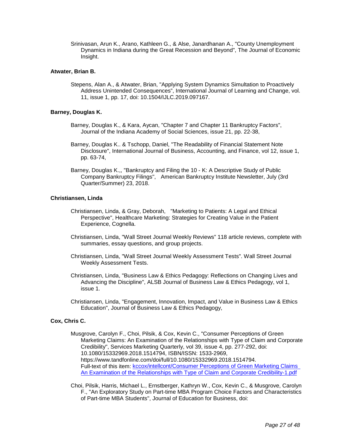Srinivasan, Arun K., Arano, Kathleen G., & Alse, Janardhanan A., "County Unemployment Dynamics in Indiana during the Great Recession and Beyond", The Journal of Economic Insight.

## **Atwater, Brian B.**

Stepens, Alan A., & Atwater, Brian, "Applying System Dynamics Simultation to Proactively Address Unintended Consequences", International Journal of Learning and Change, vol. 11, issue 1, pp. 17, doi: 10.1504/IJLC.2019.097167.

## **Barney, Douglas K.**

- Barney, Douglas K., & Kara, Aycan, "Chapter 7 and Chapter 11 Bankruptcy Factors", Journal of the Indiana Academy of Social Sciences, issue 21, pp. 22-38,
- Barney, Douglas K.. & Tschopp, Daniel, "The Readability of Financial Statement Note Disclosure", International Journal of Business, Accounting, and Finance, vol 12, issue 1, pp. 63-74,
- Barney, Douglas K.,, "Bankruptcy and Filing the 10 K: A Descriptive Study of Public Company Bankruptcy Filings", American Bankruptcy Institute Newsletter, July (3rd Quarter/Summer) 23, 2018.

## **Christiansen, Linda**

- Christiansen, Linda, & Gray, Deborah, "Marketing to Patients: A Legal and Ethical Perspective", Healthcare Marketing: Strategies for Creating Value in the Patient Experience, Cognella.
- Christiansen, Linda, "Wall Street Journal Weekly Reviews" 118 article reviews, complete with summaries, essay questions, and group projects.
- Christiansen, Linda, "Wall Street Journal Weekly Assessment Tests". Wall Street Journal Weekly Assessment Tests.
- Christiansen, Linda, "Business Law & Ethics Pedagogy: Reflections on Changing Lives and Advancing the Discipline", ALSB Journal of Business Law & Ethics Pedagogy, vol 1, issue 1.
- Christiansen, Linda, "Engagement, Innovation, Impact, and Value in Business Law & Ethics Education", Journal of Business Law & Ethics Pedagogy,

## **Cox, Chris C.**

- Musgrove, Carolyn F., Choi, Pilsik, & Cox, Kevin C., "Consumer Perceptions of Green Marketing Claims: An Examination of the Relationships with Type of Claim and Corporate Credibility", Services Marketing Quarterly, vol 39, issue 4, pp. 277-292, doi: 10.1080/15332969.2018.1514794, ISBN/ISSN: 1533-2969, https://www.tandfonline.com/doi/full/10.1080/15332969.2018.1514794. Full-text of this item: [kccox/intellcont/Consumer Perceptions of Green Marketing Claims](https://www.digitalmeasures.com/login/indiana/faculty/survey/ui/showFile?file=a2Njb3gvaW50ZWxsY29udC9Db25zdW1lciBQZXJjZXB0aW9ucyBvZiBHcmVlbiBNYXJrZXRpbmcg%0AQ2xhaW1zIEFuIEV4YW1pbmF0aW9uIG9mIHRoZSBSZWxhdGlvbnNoaXBzIHdpdGggVHlwZSBvZiBD%0AbGFpbSBhbmQgQ29ycG9yYXRlIENyZWRpYmlsaXR5LTEucGRm&surId=17691107&nodeId=1610518&sdId=78529919&sdSurId=17691107&rptId=20226&sgntr=SwGn6RvfoFdUgJjlBjUAnqSOZ1k%3D)  [An Examination of the Relationships with Type of Claim and Corporate Credibility-1.pdf](https://www.digitalmeasures.com/login/indiana/faculty/survey/ui/showFile?file=a2Njb3gvaW50ZWxsY29udC9Db25zdW1lciBQZXJjZXB0aW9ucyBvZiBHcmVlbiBNYXJrZXRpbmcg%0AQ2xhaW1zIEFuIEV4YW1pbmF0aW9uIG9mIHRoZSBSZWxhdGlvbnNoaXBzIHdpdGggVHlwZSBvZiBD%0AbGFpbSBhbmQgQ29ycG9yYXRlIENyZWRpYmlsaXR5LTEucGRm&surId=17691107&nodeId=1610518&sdId=78529919&sdSurId=17691107&rptId=20226&sgntr=SwGn6RvfoFdUgJjlBjUAnqSOZ1k%3D)
- Choi, Pilsik, Harris, Michael L., Ernstberger, Kathryn W., Cox, Kevin C., & Musgrove, Carolyn F., "An Exploratory Study on Part-time MBA Program Choice Factors and Characteristics of Part-time MBA Students", Journal of Education for Business, doi: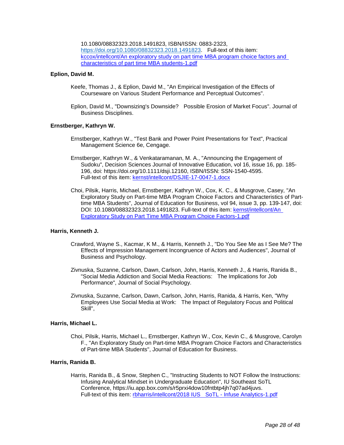10.1080/08832323.2018.1491823, ISBN/ISSN: 0883-2323,

[https://doi.org/10.1080/08832323.2018.1491823.](https://doi.org/10.1080/08832323.2018.1491823) Full-text of this item: [kccox/intellcont/An exploratory study on part time MBA program choice factors and](https://www.digitalmeasures.com/login/indiana/faculty/survey/ui/showFile?file=a2Njb3gvaW50ZWxsY29udC9BbiBleHBsb3JhdG9yeSBzdHVkeSBvbiBwYXJ0IHRpbWUgTUJBIHBy%0Ab2dyYW0gY2hvaWNlIGZhY3RvcnMgYW5kIGNoYXJhY3RlcmlzdGljcyBvZiBwYXJ0IHRpbWUgTUJB%0AIHN0dWRlbnRzLTEucGRm&surId=17691107&nodeId=1610518&sdId=78529844&sdSurId=17691107&rptId=20226&sgntr=s0Ey5K3Rn9bg%2BlA3GnPRdXT0nlo%3D)  [characteristics of part time MBA students-1.pdf](https://www.digitalmeasures.com/login/indiana/faculty/survey/ui/showFile?file=a2Njb3gvaW50ZWxsY29udC9BbiBleHBsb3JhdG9yeSBzdHVkeSBvbiBwYXJ0IHRpbWUgTUJBIHBy%0Ab2dyYW0gY2hvaWNlIGZhY3RvcnMgYW5kIGNoYXJhY3RlcmlzdGljcyBvZiBwYXJ0IHRpbWUgTUJB%0AIHN0dWRlbnRzLTEucGRm&surId=17691107&nodeId=1610518&sdId=78529844&sdSurId=17691107&rptId=20226&sgntr=s0Ey5K3Rn9bg%2BlA3GnPRdXT0nlo%3D)

## **Eplion, David M.**

- Keefe, Thomas J., & Eplion, David M., "An Empirical Investigation of the Effects of Courseware on Various Student Performance and Perceptual Outcomes".
- Eplion, David M., "Downsizing's Downside? Possible Erosion of Market Focus". Journal of Business Disciplines.

## **Ernstberger, Kathryn W.**

- Ernstberger, Kathryn W., "Test Bank and Power Point Presentations for Text", Practical Management Science 6e, Cengage.
- Ernstberger, Kathryn W., & Venkataramanan, M. A., "Announcing the Engagement of Sudoku", Decision Sciences Journal of Innovative Education, vol 16, issue 16, pp. 185- 196, doi: https://doi.org/10.1111/dsji.12160, ISBN/ISSN: SSN-1540-4595. Full-text of this item: [kernst/intellcont/DSJIE-17-0047-1.docx](https://www.digitalmeasures.com/login/indiana/faculty/survey/ui/showFile?file=a2VybnN0L2ludGVsbGNvbnQvRFNKSUUtMTctMDA0Ny0xLmRvY3g%3D&surId=17691108&nodeId=1610518&sdId=70280946&sdSurId=17691108&rptId=20226&sgntr=pPY3Z4SATmdogzCJwA%2BXoVgYEEI%3D)
- Choi, Pilsik, Harris, Michael, Ernstberger, Kathryn W., Cox, K. C., & Musgrove, Casey, "An Exploratory Study on Part-time MBA Program Choice Factors and Characteristics of Parttime MBA Students", Journal of Education for Business, vol 94, issue 3, pp. 139-147, doi: DOI: 10.1080/08832323.2018.1491823. Full-text of this item: [kernst/intellcont/An](https://www.digitalmeasures.com/login/indiana/faculty/survey/ui/showFile?file=a2VybnN0L2ludGVsbGNvbnQvQW4gRXhwbG9yYXRvcnkgU3R1ZHkgb24gUGFydCBUaW1lIE1CQSBQ%0Acm9ncmFtIENob2ljZSBGYWN0b3JzLTEucGRm&surId=17691108&nodeId=1610518&sdId=70280949&sdSurId=17691108&rptId=20226&sgntr=XFTJzafOAjIxzywRTBh9f15pYYU%3D)  [Exploratory Study on Part Time MBA Program Choice Factors-1.pdf](https://www.digitalmeasures.com/login/indiana/faculty/survey/ui/showFile?file=a2VybnN0L2ludGVsbGNvbnQvQW4gRXhwbG9yYXRvcnkgU3R1ZHkgb24gUGFydCBUaW1lIE1CQSBQ%0Acm9ncmFtIENob2ljZSBGYWN0b3JzLTEucGRm&surId=17691108&nodeId=1610518&sdId=70280949&sdSurId=17691108&rptId=20226&sgntr=XFTJzafOAjIxzywRTBh9f15pYYU%3D)

#### **Harris, Kenneth J.**

- Crawford, Wayne S., Kacmar, K M., & Harris, Kenneth J., "Do You See Me as I See Me? The Effects of Impression Management Incongruence of Actors and Audiences", Journal of Business and Psychology.
- Zivnuska, Suzanne, Carlson, Dawn, Carlson, John, Harris, Kenneth J., & Harris, Ranida B., "Social Media Addiction and Social Media Reactions: The Implications for Job Performance", Journal of Social Psychology.
- Zivnuska, Suzanne, Carlson, Dawn, Carlson, John, Harris, Ranida, & Harris, Ken, "Why Employees Use Social Media at Work: The Impact of Regulatory Focus and Political Skill",

#### **Harris, Michael L.**

Choi, Pilsik, Harris, Michael L., Ernstberger, Kathryn W., Cox, Kevin C., & Musgrove, Carolyn F., "An Exploratory Study on Part-time MBA Program Choice Factors and Characteristics of Part-time MBA Students", Journal of Education for Business.

#### **Harris, Ranida B.**

Harris, Ranida B., & Snow, Stephen C., "Instructing Students to NOT Follow the Instructions: Infusing Analytical Mindset in Undergraduate Education", IU Southeast SoTL Conference, https://iu.app.box.com/s/r5prxi4dow10fntbtp4jh7q07ad4juvs. Full-text of this item: [rbharris/intellcont/2018 IUS SoTL -](https://www.digitalmeasures.com/login/indiana/faculty/survey/ui/showFile?file=cmJoYXJyaXMvaW50ZWxsY29udC8yMDE4IElVUyAgU29UTCAtIEluZnVzZSBBbmFseXRpY3MtMS5w%0AZGY%3D&surId=17691116&nodeId=1610518&sdId=88559587&sdSurId=17691116&rptId=20226&sgntr=nCwk754oGB9%2FnRRY%2B4gLGCBcJ%2BU%3D) Infuse Analytics-1.pdf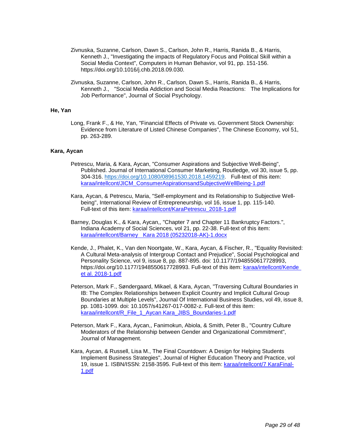- Zivnuska, Suzanne, Carlson, Dawn S., Carlson, John R., Harris, Ranida B., & Harris, Kenneth J., "Investigating the impacts of Regulatory Focus and Political Skill within a Social Media Context", Computers in Human Behavior, vol 91, pp. 151-156. https://doi.org/10.1016/j.chb.2018.09.030.
- Zivnuska, Suzanne, Carlson, John R., Carlson, Dawn S., Harris, Ranida B., & Harris, Kenneth J., "Social Media Addiction and Social Media Reactions: The Implications for Job Performance", Journal of Social Psychology.

## **He, Yan**

Long, Frank F., & He, Yan, "Financial Effects of Private vs. Government Stock Ownership: Evidence from Literature of Listed Chinese Companies", The Chinese Economy, vol 51, pp. 263-289.

## **Kara, Aycan**

- Petrescu, Maria, & Kara, Aycan, "Consumer Aspirations and Subjective Well-Being", Published. Journal of International Consumer Marketing, Routledge, vol 30, issue 5, pp. 304-316. [https://doi.org/10.1080/08961530.2018.1459219.](https://doi.org/10.1080/08961530.2018.1459219) Full-text of this item: [karaa/intellcont/JICM\\_ConsumerAspirationsandSubjectiveWellBeing-1.pdf](https://www.digitalmeasures.com/login/indiana/faculty/survey/ui/showFile?file=a2FyYWEvaW50ZWxsY29udC9KSUNNX0NvbnN1bWVyQXNwaXJhdGlvbnNhbmRTdWJqZWN0aXZlV2Vs%0AbEJlaW5nLTEucGRm&surId=17691105&nodeId=1610518&sdId=78313737&sdSurId=17691105&rptId=20226&sgntr=7pxx0tVdczma2fDuGv28U4I7dOo%3D)
- Kara, Aycan, & Petrescu, Maria, "Self-employment and its Relationship to Subjective Wellbeing", International Review of Entrepreneurship, vol 16, issue 1, pp. 115-140. Full-text of this item: [karaa/intellcont/KaraPetrescu\\_2018-1.pdf](https://www.digitalmeasures.com/login/indiana/faculty/survey/ui/showFile?file=a2FyYWEvaW50ZWxsY29udC9LYXJhUGV0cmVzY3VfMjAxOC0xLnBkZg%3D%3D&surId=17691105&nodeId=1610518&sdId=78310274&sdSurId=17691105&rptId=20226&sgntr=A%2F2Ac2MNdSAA3bvvOLkQbgq6eYM%3D)
- Barney, Douglas K., & Kara, Aycan,, "Chapter 7 and Chapter 11 Bankruptcy Factors.", Indiana Academy of Social Sciences, vol 21, pp. 22-38. Full-text of this item: [karaa/intellcont/Barney Kara 2018 \(05232018-AK\)-1.docx](https://www.digitalmeasures.com/login/indiana/faculty/survey/ui/showFile?file=a2FyYWEvaW50ZWxsY29udC9CYXJuZXkgIEthcmEgMjAxOCAoMDUyMzIwMTgtQUspLTEuZG9jeA%3D%3D&surId=17691105&nodeId=1610518&sdId=88447406&sdSurId=17691105&rptId=20226&sgntr=zJ6NbLB45q1dhGqu5X3yffpkTg4%3D)
- Kende, J., Phalet, K., Van den Noortgate, W., Kara, Aycan, & Fischer, R., "Equality Revisited: A Cultural Meta-analysis of Intergroup Contact and Prejudice", Social Psychological and Personality Science, vol 9, issue 8, pp. 887-895. doi: 10.1177/1948550617728993, https://doi.org/10.1177/1948550617728993. Full-text of this item: [karaa/intellcont/Kende](https://www.digitalmeasures.com/login/indiana/faculty/survey/ui/showFile?file=a2FyYWEvaW50ZWxsY29udC9LZW5kZSBldCBhbC4gMjAxOC0xLnBkZg%3D%3D&surId=17691105&nodeId=1610518&sdId=70281179&sdSurId=17691105&rptId=20226&sgntr=ra%2BVsjqanPrqKLbQQuXshTLW8TE%3D)  [et al. 2018-1.pdf](https://www.digitalmeasures.com/login/indiana/faculty/survey/ui/showFile?file=a2FyYWEvaW50ZWxsY29udC9LZW5kZSBldCBhbC4gMjAxOC0xLnBkZg%3D%3D&surId=17691105&nodeId=1610518&sdId=70281179&sdSurId=17691105&rptId=20226&sgntr=ra%2BVsjqanPrqKLbQQuXshTLW8TE%3D)
- Peterson, Mark F., Søndergaard, Mikael, & Kara, Aycan, "Traversing Cultural Boundaries in IB: The Complex Relationships between Explicit Country and Implicit Cultural Group Boundaries at Multiple Levels", Journal Of International Business Studies, vol 49, issue 8, pp. 1081-1099. doi: 10.1057/s41267-017-0082-z. Full-text of this item: [karaa/intellcont/R\\_File\\_1\\_Aycan Kara\\_JIBS\\_Boundaries-1.pdf](https://www.digitalmeasures.com/login/indiana/faculty/survey/ui/showFile?file=a2FyYWEvaW50ZWxsY29udC9SX0ZpbGVfMV9BeWNhbiBLYXJhX0pJQlNfQm91bmRhcmllcy0xLnBk%0AZg%3D%3D&surId=17691105&nodeId=1610518&sdId=70281182&sdSurId=17691105&rptId=20226&sgntr=B7rFtwjTp%2Fm8O3VQhS%2Fe513Uqas%3D)
- Peterson, Mark F., Kara, Aycan,, Fanimokun, Abiola, & Smith, Peter B., "Country Culture Moderators of the Relationship between Gender and Organizational Commitment", Journal of Management.
- Kara, Aycan, & Russell, Lisa M., The Final Countdown: A Design for Helping Students Implement Business Strategies", Journal of Higher Education Theory and Practice, vol 19, issue 1. ISBN/ISSN: 2158-3595. Full-text of this item[: karaa/intellcont/7 KaraFinal-](https://www.digitalmeasures.com/login/indiana/faculty/survey/ui/showFile?file=a2FyYWEvaW50ZWxsY29udC83IEthcmFGaW5hbC0xLnBkZg%3D%3D&surId=17691105&nodeId=1610518&sdId=78314105&sdSurId=17691105&rptId=20226&sgntr=qssUhoMEGFTy0Q7QT2EUGXI%2FSTY%3D)[1.pdf](https://www.digitalmeasures.com/login/indiana/faculty/survey/ui/showFile?file=a2FyYWEvaW50ZWxsY29udC83IEthcmFGaW5hbC0xLnBkZg%3D%3D&surId=17691105&nodeId=1610518&sdId=78314105&sdSurId=17691105&rptId=20226&sgntr=qssUhoMEGFTy0Q7QT2EUGXI%2FSTY%3D)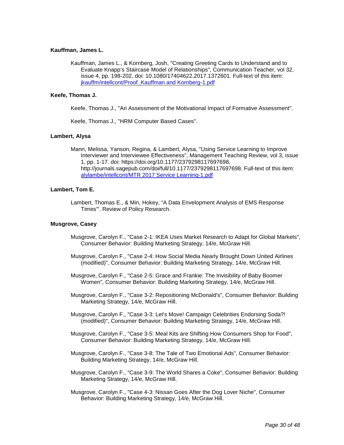## **Kauffman, James L.**

Kauffman, James L., & Kornberg, Josh, "Creating Greeting Cards to Understand and to Evaluate Knapp's Staircase Model of Relationships", Communication Teacher, vol 32, issue 4, pp. 198-202, doi: 10.1080/17404622.2017.1372601. Full-text of this item: [jkauffm/intellcont/Proof\\_Kauffman and Kornberg-1.pdf](https://www.digitalmeasures.com/login/indiana/faculty/survey/ui/showFile?file=amthdWZmbS9pbnRlbGxjb250L1Byb29mX0thdWZmbWFuIGFuZCBLb3JuYmVyZy0xLnBkZg%3D%3D&surId=17691141&nodeId=1610518&sdId=69403575&sdSurId=17691141&rptId=20226&sgntr=42p3wC3DchGIOdsxi786efcJfl0%3D)

## **Keefe, Thomas J.**

Keefe, Thomas J., "An Assessment of the Motivational Impact of Formative Assessment".

Keefe, Thomas J., "HRM Computer Based Cases".

## **Lambert, Alysa**

Mann, Melissa, Yanson, Regina, & Lambert, Alysa, "Using Service Learning to Improve Interviewer and Interviewee Effectiveness", Management Teaching Review, vol 3, issue 1, pp. 1-17. doi: https://doi.org/10.1177/2379298117697698, http://journals.sagepub.com/doi/full/10.1177/2379298117697698. Full-text of this item: [alylambe/intellcont/MTR 2017 Service Learning-1.pdf](https://www.digitalmeasures.com/login/indiana/faculty/survey/ui/showFile?file=YWx5bGFtYmUvaW50ZWxsY29udC9NVFIgMjAxNyBTZXJ2aWNlIExlYXJuaW5nLTEucGRm&surId=17691088&nodeId=1610518&sdId=70281288&sdSurId=17691088&rptId=20226&sgntr=MA3atzjUsksCYqGxO%2F1aPAaZHtE%3D)

## **Lambert, Tom E.**

Lambert, Thomas E., & Min, Hokey, "A Data Envelopment Analysis of EMS Response Times'". Review of Policy Research.

#### **Musgrove, Casey**

- Musgrove, Carolyn F., "Case 2-1: IKEA Uses Market Research to Adapt for Global Markets", Consumer Behavior: Building Marketing Strategy, 14/e, McGraw Hill.
- Musgrove, Carolyn F., "Case 2-4: How Social Media Nearly Brought Down United Airlines (modified)", Consumer Behavior: Building Marketing Strategy, 14/e, McGraw Hill.
- Musgrove, Carolyn F., "Case 2-5: Grace and Frankie: The Invisibility of Baby Boomer Women", Consumer Behavior: Building Marketing Strategy, 14/e, McGraw Hill.
- Musgrove, Carolyn F., "Case 3-2: Repositioning McDonald's", Consumer Behavior: Building Marketing Strategy, 14/e, McGraw Hill.
- Musgrove, Carolyn F., "Case 3-3: Let's Move! Campaign Celebrities Endorsing Soda?! (modified)", Consumer Behavior: Building Marketing Strategy, 14/e, McGraw Hill.
- Musgrove, Carolyn F., "Case 3-5: Meal Kits are Shifting How Consumers Shop for Food", Consumer Behavior: Building Marketing Strategy, 14/e, McGraw Hill.
- Musgrove, Carolyn F., "Case 3-8: The Tale of Two Emotional Ads", Consumer Behavior: Building Marketing Strategy, 14/e, McGraw Hill.
- Musgrove, Carolyn F., "Case 3-9: The World Shares a Coke", Consumer Behavior: Building Marketing Strategy, 14/e, McGraw Hill.
- Musgrove, Carolyn F., "Case 4-3: Nissan Goes After the Dog Lover Niche", Consumer Behavior: Building Marketing Strategy, 14/e, McGraw Hill.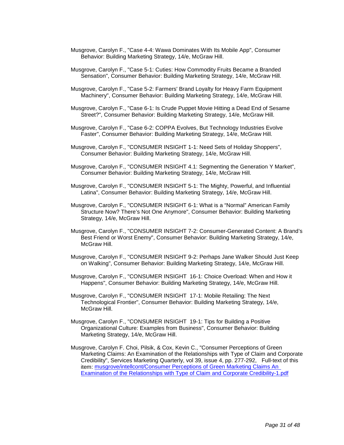- Musgrove, Carolyn F., "Case 4-4: Wawa Dominates With Its Mobile App", Consumer Behavior: Building Marketing Strategy, 14/e, McGraw Hill.
- Musgrove, Carolyn F., "Case 5-1: Cuties: How Commodity Fruits Became a Branded Sensation", Consumer Behavior: Building Marketing Strategy, 14/e, McGraw Hill.
- Musgrove, Carolyn F., "Case 5-2: Farmers' Brand Loyalty for Heavy Farm Equipment Machinery", Consumer Behavior: Building Marketing Strategy, 14/e, McGraw Hill.
- Musgrove, Carolyn F., "Case 6-1: Is Crude Puppet Movie Hitting a Dead End of Sesame Street?", Consumer Behavior: Building Marketing Strategy, 14/e, McGraw Hill.
- Musgrove, Carolyn F., "Case 6-2: COPPA Evolves, But Technology Industries Evolve Faster", Consumer Behavior: Building Marketing Strategy, 14/e, McGraw Hill.
- Musgrove, Carolyn F., "CONSUMER INSIGHT 1-1: Need Sets of Holiday Shoppers", Consumer Behavior: Building Marketing Strategy, 14/e, McGraw Hill.
- Musgrove, Carolyn F., "CONSUMER INSIGHT 4.1: Segmenting the Generation Y Market", Consumer Behavior: Building Marketing Strategy, 14/e, McGraw Hill.
- Musgrove, Carolyn F., "CONSUMER INSIGHT 5-1: The Mighty, Powerful, and Influential Latina", Consumer Behavior: Building Marketing Strategy, 14/e, McGraw Hill.
- Musgrove, Carolyn F., "CONSUMER INSIGHT 6-1: What is a "Normal" American Family Structure Now? There's Not One Anymore", Consumer Behavior: Building Marketing Strategy, 14/e, McGraw Hill.
- Musgrove, Carolyn F., "CONSUMER INSIGHT 7-2: Consumer-Generated Content: A Brand's Best Friend or Worst Enemy", Consumer Behavior: Building Marketing Strategy, 14/e, McGraw Hill.
- Musgrove, Carolyn F., "CONSUMER INSIGHT 9-2: Perhaps Jane Walker Should Just Keep on Walking", Consumer Behavior: Building Marketing Strategy, 14/e, McGraw Hill.
- Musgrove, Carolyn F., "CONSUMER INSIGHT 16-1: Choice Overload: When and How it Happens", Consumer Behavior: Building Marketing Strategy, 14/e, McGraw Hill.
- Musgrove, Carolyn F., "CONSUMER INSIGHT 17-1: Mobile Retailing: The Next Technological Frontier", Consumer Behavior: Building Marketing Strategy, 14/e, McGraw Hill.
- Musgrove, Carolyn F., "CONSUMER INSIGHT 19-1: Tips for Building a Positive Organizational Culture: Examples from Business", Consumer Behavior: Building Marketing Strategy, 14/e, McGraw Hill.
- Musgrove, Carolyn F. Choi, Pilsik, & Cox, Kevin C., "Consumer Perceptions of Green Marketing Claims: An Examination of the Relationships with Type of Claim and Corporate Credibility", Services Marketing Quarterly, vol 39, issue 4, pp. 277-292, Full-text of this item: musgrove/intellcont/Consumer Perceptions of Green Marketing Claims An [Examination of the Relationships with Type of Claim and Corporate Credibility-1.pdf](https://www.digitalmeasures.com/login/indiana/faculty/survey/ui/showFile?file=bXVzZ3JvdmUvaW50ZWxsY29udC9Db25zdW1lciBQZXJjZXB0aW9ucyBvZiBHcmVlbiBNYXJrZXRp%0AbmcgQ2xhaW1zIEFuIEV4YW1pbmF0aW9uIG9mIHRoZSBSZWxhdGlvbnNoaXBzIHdpdGggVHlwZSBv%0AZiBDbGFpbSBhbmQgQ29ycG9yYXRlIENyZWRpYmlsaXR5LTEucGRm&surId=17691113&nodeId=1610518&sdId=88633815&sdSurId=17691113&rptId=20226&sgntr=jHGskhwi237BFAPHiT94aTG4864%3D)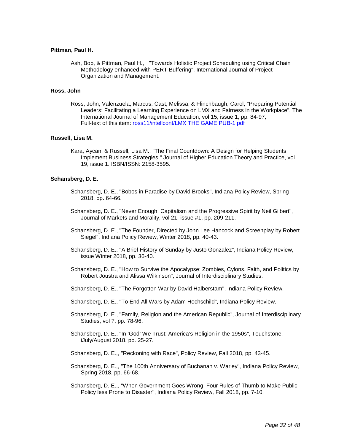#### **Pittman, Paul H.**

Ash, Bob, & Pittman, Paul H., "Towards Holistic Project Scheduling using Critical Chain Methodology enhanced with PERT Buffering". International Journal of Project Organization and Management.

#### **Ross, John**

Ross, John, Valenzuela, Marcus, Cast, Melissa, & Flinchbaugh, Carol, "Preparing Potential Leaders: Facilitating a Learning Experience on LMX and Fairness in the Workplace", The International Journal of Management Education, vol 15, issue 1, pp. 84-97, Full-text of this item: [ross11/intellcont/LMX THE GAME PUB-1.pdf](https://www.digitalmeasures.com/login/indiana/faculty/survey/ui/showFile?file=cm9zczExL2ludGVsbGNvbnQvTE1YIFRIRSBHQU1FIFBVQi0xLnBkZg%3D%3D&surId=17921629&nodeId=1610518&sdId=78512921&sdSurId=17921629&rptId=20226&sgntr=x5lJIPi%2FFWwIAr34hXvx7Q4s%2FvI%3D)

#### **Russell, Lisa M.**

Kara, Aycan, & Russell, Lisa M., "The Final Countdown: A Design for Helping Students Implement Business Strategies." Journal of Higher Education Theory and Practice, vol 19, issue 1. ISBN/ISSN: 2158-3595.

## **Schansberg, D. E.**

- Schansberg, D. E., "Bobos in Paradise by David Brooks", Indiana Policy Review, Spring 2018, pp. 64-66.
- Schansberg, D. E., "Never Enough: Capitalism and the Progressive Spirit by Neil Gilbert", Journal of Markets and Morality, vol 21, issue #1, pp. 209-211.
- Schansberg, D. E., "The Founder, Directed by John Lee Hancock and Screenplay by Robert Siegel", Indiana Policy Review, Winter 2018, pp. 40-43.
- Schansberg, D. E., "A Brief History of Sunday by Justo Gonzalez", Indiana Policy Review, issue Winter 2018, pp. 36-40.
- Schansberg, D. E., "How to Survive the Apocalypse: Zombies, Cylons, Faith, and Politics by Robert Joustra and Alissa Wilkinson", Journal of Interdisciplinary Studies.
- Schansberg, D. E., "The Forgotten War by David Halberstam", Indiana Policy Review.
- Schansberg, D. E., "To End All Wars by Adam Hochschild", Indiana Policy Review.
- Schansberg, D. E., "Family, Religion and the American Republic", Journal of Interdisciplinary Studies, vol ?, pp. 78-96.
- Schansberg, D. E., "In 'God' We Trust: America's Religion in the 1950s", Touchstone, iJuly/August 2018, pp. 25-27.
- Schansberg, D. E.,, "Reckoning with Race", Policy Review, Fall 2018, pp. 43-45.
- Schansberg, D. E.,, "The 100th Anniversary of Buchanan v. Warley", Indiana Policy Review, Spring 2018, pp. 66-68.
- Schansberg, D. E.,, "When Government Goes Wrong: Four Rules of Thumb to Make Public Policy less Prone to Disaster", Indiana Policy Review, Fall 2018, pp. 7-10.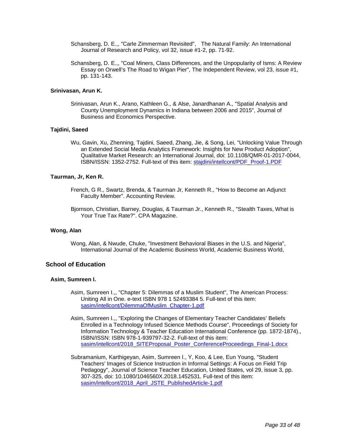- Schansberg, D. E.,, "Carle Zimmerman Revisited", The Natural Family: An International Journal of Research and Policy, vol 32, issue #1-2, pp. 71-92.
- Schansberg, D. E.,, "Coal Miners, Class Differences, and the Unpopularity of Isms: A Review Essay on Orwell's The Road to Wigan Pier", The Independent Review, vol 23, issue #1, pp. 131-143.

## **Srinivasan, Arun K.**

Srinivasan, Arun K., Arano, Kathleen G., & Alse, Janardhanan A., "Spatial Analysis and County Unemployment Dynamics in Indiana between 2006 and 2015", Journal of Business and Economics Perspective.

## **Tajdini, Saeed**

Wu, Gavin, Xu, Zhenning, Tajdini, Saeed, Zhang, Jie, & Song, Lei, "Unlocking Value Through an Extended Social Media Analytics Framework: Insights for New Product Adoption", Qualitative Market Research: an International Journal, doi: 10.1108/QMR-01-2017-0044, ISBN/ISSN: 1352-2752. Full-text of this item: [stajdini/intellcont/PDF\\_Proof-1.PDF](https://www.digitalmeasures.com/login/indiana/faculty/survey/ui/showFile?file=c3RhamRpbmkvaW50ZWxsY29udC9QREZfUHJvb2YtMS5QREY%3D&surId=17919166&nodeId=1610518&sdId=88598176&sdSurId=17919166&rptId=20226&sgntr=Ma90rkHvsDn6Kw84kRKe111L49A%3D)

#### **Taurman, Jr, Ken R.**

- French, G R., Swartz, Brenda, & Taurman Jr, Kenneth R., "How to Become an Adjunct Faculty Member". Accounting Review.
- Bjornson, Christian, Barney, Douglas, & Taurman Jr., Kenneth R., "Stealth Taxes, What is Your True Tax Rate?". CPA Magazine.

## **Wong, Alan**

Wong, Alan, & Nwude, Chuke, "Investment Behavioral Biases in the U.S. and Nigeria", International Journal of the Academic Business World, Academic Business World,

## **School of Education**

## **Asim, Sumreen I.**

- Asim, Sumreen I.,, "Chapter 5: Dilemmas of a Muslim Student", The American Process: Uniting All in One. e-text ISBN 978 1 52493384 5. Full-text of this item: [sasim/intellcont/DilemmaOfMuslim\\_Chapter-1.pdf](https://www.digitalmeasures.com/login/indiana/faculty/survey/ui/showFile?file=c2FzaW0vaW50ZWxsY29udC9EaWxlbW1hT2ZNdXNsaW1fQ2hhcHRlci0xLnBkZg%3D%3D&surId=17829051&nodeId=1610518&sdId=88288281&sdSurId=17829051&rptId=20226&sgntr=d%2BX7qM8UV7B6X7%2FJ7yCeguaccWI%3D)
- Asim, Sumreen I.,, "Exploring the Changes of Elementary Teacher Candidates' Beliefs Enrolled in a Technology Infused Science Methods Course", Proceedings of Society for Information Technology & Teacher Education International Conference (pp. 1872-1874)., ISBN/ISSN: ISBN 978-1-939797-32-2. Full-text of this item: [sasim/intellcont/2018\\_SITEProposal\\_Poster\\_ConferenceProceedings\\_Final-1.docx](https://www.digitalmeasures.com/login/indiana/faculty/survey/ui/showFile?file=c2FzaW0vaW50ZWxsY29udC8yMDE4X1NJVEVQcm9wb3NhbF9Qb3N0ZXJfQ29uZmVyZW5jZVByb2Nl%0AZWRpbmdzX0ZpbmFsLTEuZG9jeA%3D%3D&surId=17829051&nodeId=1610518&sdId=88288431&sdSurId=17829051&rptId=20226&sgntr=c%2BXD3lL8oxHQ32u7939IDeHUyjI%3D)
- Subramanium, Karthigeyan, Asim, Sumreen I., Y, Koo, & Lee, Eun Young, "Student Teachers' Images of Science Instruction in Informal Settings: A Focus on Field Trip Pedagogy", Journal of Science Teacher Education, United States, vol 29, issue 3, pp. 307-325, doi: 10.1080/1046560X.2018.1452531. Full-text of this item: [sasim/intellcont/2018\\_April\\_JSTE\\_PublishedArticle-1.pdf](https://www.digitalmeasures.com/login/indiana/faculty/survey/ui/showFile?file=c2FzaW0vaW50ZWxsY29udC8yMDE4X0FwcmlsX0pTVEVfUHVibGlzaGVkQXJ0aWNsZS0xLnBkZg%3D%3D&surId=17829051&nodeId=1610518&sdId=88288246&sdSurId=17829051&rptId=20226&sgntr=dZY4NBbl2vjnPWzoFVXs1xh%2BkfQ%3D)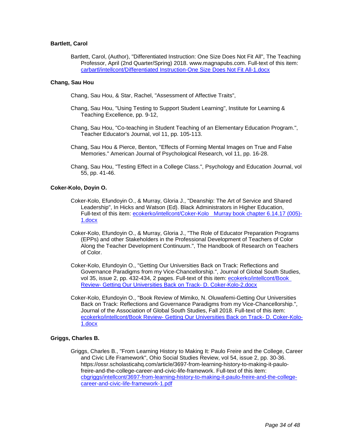## **Bartlett, Carol**

Bartlett, Carol, (Author), "Differentiated Instruction: One Size Does Not Fit All", The Teaching Professor, April (2nd Quarter/Spring) 2018. www.magnapubs.com. Full-text of this item: [carbartl/intellcont/Differentiated Instruction-One Size Does Not Fit All-1.docx](https://www.digitalmeasures.com/login/indiana/faculty/survey/ui/showFile?file=Y2FyYmFydGwvaW50ZWxsY29udC9EaWZmZXJlbnRpYXRlZCBJbnN0cnVjdGlvbi1PbmUgU2l6ZSBE%0Ab2VzIE5vdCBGaXQgQWxsLTEuZG9jeA%3D%3D&surId=17829053&nodeId=1610518&sdId=78491115&sdSurId=17829053&rptId=20226&sgntr=kze4KSzwAk8vdOmxqla0%2Fe0Rn7Y%3D)

## **Chang, Sau Hou**

Chang, Sau Hou, & Star, Rachel, "Assessment of Affective Traits",

- Chang, Sau Hou, "Using Testing to Support Student Learning", Institute for Learning & Teaching Excellence, pp. 9-12,
- Chang, Sau Hou, "Co-teaching in Student Teaching of an Elementary Education Program.", Teacher Educator's Journal, vol 11, pp. 105-113.
- Chang, Sau Hou & Pierce, Benton, "Effects of Forming Mental Images on True and False Memories." American Journal of Psychological Research, vol 11, pp. 16-28.
- Chang, Sau Hou, "Testing Effect in a College Class.", Psychology and Education Journal, vol 55, pp. 41-46.

## **Coker-Kolo, Doyin O.**

- Coker-Kolo, Efundoyin O., & Murray, Gloria J., "Deanship: The Art of Service and Shared Leadership", In Hicks and Watson (Ed). Black Administrators in Higher Education, Full-text of this item: [ecokerko/intellcont/Coker-Kolo Murray book chapter 6.14.17 \(005\)-](https://www.digitalmeasures.com/login/indiana/faculty/survey/ui/showFile?file=ZWNva2Vya28vaW50ZWxsY29udC9Db2tlci1Lb2xvICBNdXJyYXkgYm9vayBjaGFwdGVyIDYuMTQu%0AMTcgKDAwNSktMS5kb2N4&surId=17691036&nodeId=1610518&sdId=78128047&sdSurId=17691036&rptId=20226&sgntr=CevH6DZcmOg5hd7hywx8PRKT56k%3D) [1.docx](https://www.digitalmeasures.com/login/indiana/faculty/survey/ui/showFile?file=ZWNva2Vya28vaW50ZWxsY29udC9Db2tlci1Lb2xvICBNdXJyYXkgYm9vayBjaGFwdGVyIDYuMTQu%0AMTcgKDAwNSktMS5kb2N4&surId=17691036&nodeId=1610518&sdId=78128047&sdSurId=17691036&rptId=20226&sgntr=CevH6DZcmOg5hd7hywx8PRKT56k%3D)
- Coker-Kolo, Efundoyin O., & Murray, Gloria J., "The Role of Educator Preparation Programs (EPPs) and other Stakeholders in the Professional Development of Teachers of Color Along the Teacher Development Continuum.", The Handbook of Research on Teachers of Color.
- Coker-Kolo, Efundoyin O., "Getting Our Universities Back on Track: Reflections and Governance Paradigms from my Vice-Chancellorship.", Journal of Global South Studies, vol 35, issue 2, pp. 432-434, 2 pages. Full-text of this item: ecokerko/intellcont/Book Review- [Getting Our Universities Back on Track-](https://www.digitalmeasures.com/login/indiana/faculty/survey/ui/showFile?file=ZWNva2Vya28vaW50ZWxsY29udC9Cb29rIFJldmlldy0gR2V0dGluZyBPdXIgVW5pdmVyc2l0aWVz%0AIEJhY2sgb24gVHJhY2stIEQuIENva2VyLUtvbG8tMi5kb2N4&surId=17691036&nodeId=1610518&sdId=88275090&sdSurId=17691036&rptId=20226&sgntr=EKZiook8r6TCAO0Ui3P%2F1N58fP0%3D) D. Coker-Kolo-2.docx
- Coker-Kolo, Efundoyin O., "Book Review of Mimiko, N. Oluwafemi-Getting Our Universities Back on Track: Reflections and Governance Paradigms from my Vice-Chancellorship.", Journal of the Association of Global South Studies, Fall 2018. Full-text of this item: ecokerko/intellcont/Book Review- [Getting Our Universities Back on Track-](https://www.digitalmeasures.com/login/indiana/faculty/survey/ui/showFile?file=ZWNva2Vya28vaW50ZWxsY29udC9Cb29rIFJldmlldy0gR2V0dGluZyBPdXIgVW5pdmVyc2l0aWVz%0AIEJhY2sgb24gVHJhY2stIEQuIENva2VyLUtvbG8tMS5kb2N4&surId=17691036&nodeId=1610518&sdId=78213973&sdSurId=17691036&rptId=20226&sgntr=YGvkW%2BvcGLMaMtnbgKMg3MqQfQ0%3D) D. Coker-Kolo-[1.docx](https://www.digitalmeasures.com/login/indiana/faculty/survey/ui/showFile?file=ZWNva2Vya28vaW50ZWxsY29udC9Cb29rIFJldmlldy0gR2V0dGluZyBPdXIgVW5pdmVyc2l0aWVz%0AIEJhY2sgb24gVHJhY2stIEQuIENva2VyLUtvbG8tMS5kb2N4&surId=17691036&nodeId=1610518&sdId=78213973&sdSurId=17691036&rptId=20226&sgntr=YGvkW%2BvcGLMaMtnbgKMg3MqQfQ0%3D)

## **Griggs, Charles B.**

Griggs, Charles B., "From Learning History to Making It: Paulo Freire and the College, Career and Civic Life Framework", Ohio Social Studies Review, vol 54, issue 2, pp. 30-36. https://ossr.scholasticahq.com/article/3697-from-learning-history-to-making-it-paulofreire-and-the-college-career-and-civic-life-framework. Full-text of this item: [cbgriggs/intellcont/3697-from-learning-history-to-making-it-paulo-freire-and-the-college](https://www.digitalmeasures.com/login/indiana/faculty/survey/ui/showFile?file=Y2JncmlnZ3MvaW50ZWxsY29udC8zNjk3LWZyb20tbGVhcm5pbmctaGlzdG9yeS10by1tYWtpbmct%0AaXQtcGF1bG8tZnJlaXJlLWFuZC10aGUtY29sbGVnZS1jYXJlZXItYW5kLWNpdmljLWxpZmUtZnJh%0AbWV3b3JrLTEucGRm&surId=17691033&nodeId=1610518&sdId=88526396&sdSurId=17691033&rptId=20226&sgntr=6kyvyul%2FvoClbgqjola5YgOY9Vw%3D)[career-and-civic-life-framework-1.pdf](https://www.digitalmeasures.com/login/indiana/faculty/survey/ui/showFile?file=Y2JncmlnZ3MvaW50ZWxsY29udC8zNjk3LWZyb20tbGVhcm5pbmctaGlzdG9yeS10by1tYWtpbmct%0AaXQtcGF1bG8tZnJlaXJlLWFuZC10aGUtY29sbGVnZS1jYXJlZXItYW5kLWNpdmljLWxpZmUtZnJh%0AbWV3b3JrLTEucGRm&surId=17691033&nodeId=1610518&sdId=88526396&sdSurId=17691033&rptId=20226&sgntr=6kyvyul%2FvoClbgqjola5YgOY9Vw%3D)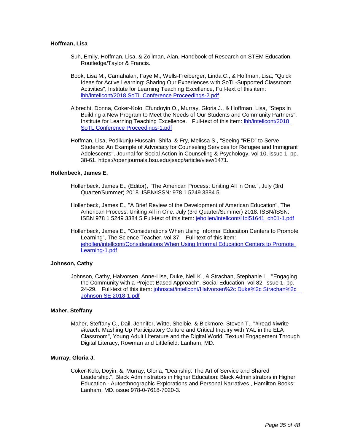## **Hoffman, Lisa**

- Suh, Emily, Hoffman, Lisa, & Zollman, Alan, Handbook of Research on STEM Education, Routledge/Taylor & Francis.
- Book, Lisa M., Camahalan, Faye M., Wells-Freiberger, Linda C., & Hoffman, Lisa, "Quick Ideas for Active Learning: Sharing Our Experiences with SoTL-Supported Classroom Activities", Institute for Learning Teaching Excellence, Full-text of this item: [lhh/intellcont/2018 SoTL Conference Proceedings-2.pdf](https://www.digitalmeasures.com/login/indiana/faculty/survey/ui/showFile?file=bGhoL2ludGVsbGNvbnQvMjAxOCBTb1RMIENvbmZlcmVuY2UgUHJvY2VlZGluZ3MtMi5wZGY%3D&surId=17691045&nodeId=1610518&sdId=88168131&sdSurId=17691045&rptId=20226&sgntr=zp5MeDhKkG2yfvXFHRFFWHGA1bI%3D)
- Albrecht, Donna, Coker-Kolo, Efundoyin O., Murray, Gloria J., & Hoffman, Lisa, "Steps in Building a New Program to Meet the Needs of Our Students and Community Partners", Institute for Learning Teaching Excellence. Full-text of this item: [lhh/intellcont/2018](https://www.digitalmeasures.com/login/indiana/faculty/survey/ui/showFile?file=bGhoL2ludGVsbGNvbnQvMjAxOCBTb1RMIENvbmZlcmVuY2UgUHJvY2VlZGluZ3MtMS5wZGY%3D&surId=17691045&nodeId=1610518&sdId=88168094&sdSurId=17691045&rptId=20226&sgntr=WuVzQIWkaNgodwbUFRTUKk2eQfo%3D)  [SoTL Conference Proceedings-1.pdf](https://www.digitalmeasures.com/login/indiana/faculty/survey/ui/showFile?file=bGhoL2ludGVsbGNvbnQvMjAxOCBTb1RMIENvbmZlcmVuY2UgUHJvY2VlZGluZ3MtMS5wZGY%3D&surId=17691045&nodeId=1610518&sdId=88168094&sdSurId=17691045&rptId=20226&sgntr=WuVzQIWkaNgodwbUFRTUKk2eQfo%3D)
- Hoffman, Lisa, Podikunju-Hussain, Shifa, & Fry, Melissa S., "Seeing "RED" to Serve Students: An Example of Advocacy for Counseling Services for Refugee and Immigrant Adolescents", Journal for Social Action in Counseling & Psychology, vol 10, issue 1, pp. 38-61. https://openjournals.bsu.edu/jsacp/article/view/1471.

## **Hollenbeck, James E.**

- Hollenbeck, James E., (Editor), "The American Process: Uniting All in One.", July (3rd Quarter/Summer) 2018. ISBN/ISSN: 978 1 5249 3384 5.
- Hollenbeck, James E., "A Brief Review of the Development of American Education", The American Process: Uniting All in One. July (3rd Quarter/Summer) 2018. ISBN/ISSN: ISBN 978 1 5249 3384 5 Full-text of this item: [jehollen/intellcont/Hol51641\\_ch01-1.pdf](https://www.digitalmeasures.com/login/indiana/faculty/survey/ui/showFile?file=amVob2xsZW4vaW50ZWxsY29udC9Ib2w1MTY0MV9jaDAxLTEucGRm&surId=17691040&nodeId=1610518&sdId=87352454&sdSurId=17691040&rptId=20226&sgntr=YG%2B1e1bweqaO3LLIND%2F5nCrVA2c%3D)
- Hollenbeck, James E., "Considerations When Using Informal Education Centers to Promote Learning", The Science Teacher, vol 37. Full-text of this item: jehollen/intellcont/Considerations When Using Informal Education Centers to Promote Learning-1.pdf

## **Johnson, Cathy**

Johnson, Cathy, Halvorsen, Anne-Lise, Duke, Nell K., & Strachan, Stephanie L., "Engaging the Community with a Project-Based Approach", Social Education, vol 82, issue 1, pp. 24-29. Full-text of this item: [johnscat/intellcont/Halvorsen%2c Duke%2c Strachan%2c](https://www.digitalmeasures.com/login/indiana/faculty/survey/ui/showFile?file=am9obnNjYXQvaW50ZWxsY29udC9IYWx2b3JzZW4lMmMgRHVrZSUyYyBTdHJhY2hhbiUyYyAgSm9o%0AbnNvbiBTRSAyMDE4LTEucGRm&surId=17691041&nodeId=1610518&sdId=78299943&sdSurId=17691041&rptId=20226&sgntr=C%2FSHVUxrp9ud1flWAKsIgUonglA%3D)  [Johnson SE 2018-1.pdf](https://www.digitalmeasures.com/login/indiana/faculty/survey/ui/showFile?file=am9obnNjYXQvaW50ZWxsY29udC9IYWx2b3JzZW4lMmMgRHVrZSUyYyBTdHJhY2hhbiUyYyAgSm9o%0AbnNvbiBTRSAyMDE4LTEucGRm&surId=17691041&nodeId=1610518&sdId=78299943&sdSurId=17691041&rptId=20226&sgntr=C%2FSHVUxrp9ud1flWAKsIgUonglA%3D)

## **Maher, Steffany**

Maher, Steffany C., Dail, Jennifer, Witte, Shelbie, & Bickmore, Steven T., "#iread #iwrite #iteach: Mashing Up Participatory Culture and Critical Inquiry with YAL in the ELA Classroom", Young Adult Literature and the Digital World: Textual Engagement Through Digital Literacy, Rowman and Littlefield: Lanham, MD.

#### **Murray, Gloria J.**

Coker-Kolo, Doyin, &, Murray, Gloria, "Deanship: The Art of Service and Shared Leadership.", Black Administrators in Higher Education: Black Administrators in Higher Education - Autoethnographic Explorations and Personal Narratives., Hamilton Books: Lanham, MD. issue 978-0-7618-7020-3.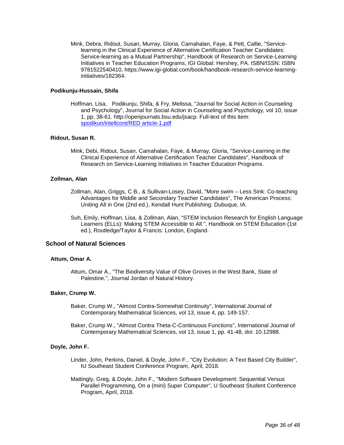Mink, Debra, Ridout, Susan, Murray, Gloria, Camahalan, Faye, & Pett, Callie, "Servicelearning in the Clinical Experience of Alternative Certification Teacher Candidates: Service-learning as a Mutual Partnership", Handbook of Research on Service-Learning Initiatives in Teacher Education Programs, IGI Global: Hershey, PA. ISBN/ISSN: ISBN 9781522540410, https://www.igi-global.com/book/handbook-research-service-learninginitiatives/182364.

## **Podikunju-Hussain, Shifa**

Hoffman, Lisa, Podikunju, Shifa, & Fry, Melissa, "Journal for Social Action in Counseling and Psychology", Journal for Social Action in Counseling and Psychology, vol 10, issue 1, pp. 38-61. http://openjournals.bsu.edu/jsacp. Full-text of this item: [spodikun/intellcont/RED article-1.pdf](https://www.digitalmeasures.com/login/indiana/faculty/survey/ui/showFile?file=c3BvZGlrdW4vaW50ZWxsY29udC9SRUQgYXJ0aWNsZS0xLnBkZg%3D%3D&surId=17691052&nodeId=1610518&sdId=88563525&sdSurId=17691052&rptId=20226&sgntr=450Ty3pULON5QGLMQpXN3Aoos1c%3D)

## **Ridout, Susan R.**

Mink, Debi, Ridout, Susan, Camahalan, Faye, & Murray, Gloria, "Service-Learning in the Clinical Experience of Alternative Certification Teacher Candidates", Handbook of Research on Service-Learning Initiatives in Teacher Education Programs.

## **Zollman, Alan**

- Zollman, Alan, Griggs, C B., & Sullivan-Losey, David, "More swim Less Sink: Co-teaching Advantages for Middle and Secondary Teacher Candidates", The American Process: Uniting All in One (2nd ed.), Kendall Hunt Publishing: Dubuque, IA.
- Suh, Emily, Hoffman, Lisa, & Zollman, Alan, "STEM Inclusion Research for English Language Learners (ELLs): Making STEM Accessible to All.", Handbook on STEM Education (1st ed.), Routledge/Taylor & Francis: London, England.

## **School of Natural Sciences**

## **Attum, Omar A.**

Attum, Omar A., "The Biodiversity Value of Olive Groves in the West Bank, State of Palestine.", Journal Jordan of Natural History.

## **Baker, Crump W.**

- Baker, Crump W., "Almost Contra-Somewhat Continuity", International Journal of Contemporary Mathematical Sciences, vol 13, issue 4, pp. 149-157.
- Baker, Crump W., "Almost Contra Theta-C-Continuous Functions", International Journal of Contemporary Mathematical Sciences, vol 13, issue 1, pp. 41-48, doi: 10.12988.

#### **Doyle, John F.**

- Linder, John, Perkins, Daniel, & Doyle, John F., "City Evolution: A Text Based City Builder", IU Southeast Student Conference Program, April, 2018.
- Mattingly, Greg, & Doyle, John F., "Modern Software Development: Sequential Versus Parallel Programming, On a (mini) Super Computer", U Southeast Student Conference Program, April, 2018.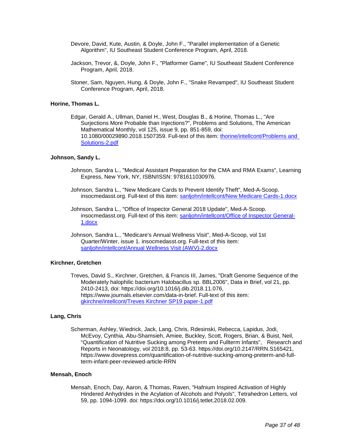- Devore, David, Kute, Austin, & Doyle, John F., "Parallel implementation of a Genetic Algorithm", IU Southeast Student Conference Program, April, 2018.
- Jackson, Trevor, &, Doyle, John F., "Platformer Game", IU Southeast Student Conference Program, April, 2018.
- Stoner, Sam, Nguyen, Hung, & Doyle, John F., "Snake Revamped", IU Southeast Student Conference Program, April, 2018.

#### **Horine, Thomas L.**

Edgar, Gerald A., Ullman, Daniel H., West, Douglas B., & Horine, Thomas L., "Are Surjections More Probable than Injections?", Problems and Solutions, The American Mathematical Monthly, vol 125, issue 9, pp. 851-859, doi: 10.1080/00029890.2018.1507359. Full-text of this item: [thorine/intellcont/Problems and](https://www.digitalmeasures.com/login/indiana/faculty/survey/ui/showFile?file=dGhvcmluZS9pbnRlbGxjb250L1Byb2JsZW1zIGFuZCBTb2x1dGlvbnMtMi5wZGY%3D&surId=17689475&nodeId=1610518&sdId=88609494&sdSurId=17689475&rptId=20226&sgntr=0dB0l0y8lcqxO9%2BSd2kuEYkZ64g%3D)  [Solutions-2.pdf](https://www.digitalmeasures.com/login/indiana/faculty/survey/ui/showFile?file=dGhvcmluZS9pbnRlbGxjb250L1Byb2JsZW1zIGFuZCBTb2x1dGlvbnMtMi5wZGY%3D&surId=17689475&nodeId=1610518&sdId=88609494&sdSurId=17689475&rptId=20226&sgntr=0dB0l0y8lcqxO9%2BSd2kuEYkZ64g%3D)

## **Johnson, Sandy L.**

- Johnson, Sandra L., "Medical Assistant Preparation for the CMA and RMA Exams", Learning Express, New York, NY, ISBN/ISSN: 9781611030976.
- Johnson, Sandra L., "New Medicare Cards to Prevent Identify Theft", Med-A-Scoop. insocmedasst.org. Full-text of this item: [sanljohn/intellcont/New Medicare Cards-1.docx](https://www.digitalmeasures.com/login/indiana/faculty/survey/ui/showFile?file=c2FubGpvaG4vaW50ZWxsY29udC9OZXcgTWVkaWNhcmUgQ2FyZHMtMS5kb2N4&surId=17689471&nodeId=1610518&sdId=88559722&sdSurId=17689471&rptId=20226&sgntr=d7BmVOT4FfgBKY8%2FWlIdwoIiXso%3D)
- Johnson, Sandra L., "Office of Inspector General 2018 Update", Med-A-Scoop. insocmedasst.org. Full-text of this item: [sanljohn/intellcont/Office of Inspector General-](https://www.digitalmeasures.com/login/indiana/faculty/survey/ui/showFile?file=c2FubGpvaG4vaW50ZWxsY29udC9PZmZpY2Ugb2YgSW5zcGVjdG9yIEdlbmVyYWwtMS5kb2N4&surId=17689471&nodeId=1610518&sdId=88559701&sdSurId=17689471&rptId=20226&sgntr=nvnIj5aFi3Tuva8eCFhcce0de3w%3D)[1.docx](https://www.digitalmeasures.com/login/indiana/faculty/survey/ui/showFile?file=c2FubGpvaG4vaW50ZWxsY29udC9PZmZpY2Ugb2YgSW5zcGVjdG9yIEdlbmVyYWwtMS5kb2N4&surId=17689471&nodeId=1610518&sdId=88559701&sdSurId=17689471&rptId=20226&sgntr=nvnIj5aFi3Tuva8eCFhcce0de3w%3D)
- Johnson, Sandra L., "Medicare's Annual Wellness Visit", Med-A-Scoop, vol 1st Quarter/Winter, issue 1. insocmedasst.org. Full-text of this item: [sanljohn/intellcont/Annual Wellness Visit \(AWV\)-2.docx](https://www.digitalmeasures.com/login/indiana/faculty/survey/ui/showFile?file=c2FubGpvaG4vaW50ZWxsY29udC9Bbm51YWwgV2VsbG5lc3MgVmlzaXQgKEFXViktMi5kb2N4&surId=17689471&nodeId=1610518&sdId=88559597&sdSurId=17689471&rptId=20226&sgntr=Q%2B5FZlL8vVgB0bGLdrLlq%2FJYBmE%3D)

## **Kirchner, Gretchen**

Treves, David S., Kirchner, Gretchen, & Francis III, James, "Draft Genome Sequence of the Moderately halophilic bacterium Halobacillus sp. BBL2006", Data in Brief, vol 21, pp. 2410-2413, doi: https://doi.org/10.1016/j.dib.2018.11.076, https://www.journals.elsevier.com/data-in-brief. Full-text of this item: [gkirchne/intellcont/Treves Kirchner SP19 paper-1.pdf](https://www.digitalmeasures.com/login/indiana/faculty/survey/ui/showFile?file=Z2tpcmNobmUvaW50ZWxsY29udC9UcmV2ZXMgS2lyY2huZXIgU1AxOSBwYXBlci0xLnBkZg%3D%3D&surId=17689447&nodeId=1610518&sdId=86325821&sdSurId=17689447&rptId=20226&sgntr=IHR9D7xxBXZRn76VwURAROiGCdk%3D)

#### **Lang, Chris**

Scherman, Ashley, Wiedrick, Jack, Lang, Chris, Rdesinski, Rebecca, Lapidus, Jodi, McEvoy, Cynthia, Abu-Shamsieh, Amiee, Buckley, Scott, Rogers, Brian, & Buist, Neil, "Quantification of Nutritive Sucking among Preterm and Fullterm Infants", Research and Reports in Neonatology, vol 2018:8, pp. 53-63. https://doi.org/10.2147/RRN.S165421, https://www.dovepress.com/quantification-of-nutritive-sucking-among-preterm-and-fullterm-infant-peer-reviewed-article-RRN

## **Mensah, Enoch**

Mensah, Enoch, Day, Aaron, & Thomas, Raven, "Hafnium Inspired Activation of Highly Hindered Anhydrides in the Acylation of Alcohols and Polyols", Tetrahedron Letters, vol 59, pp. 1094-1099. doi: https://doi.org/10.1016/j.tetlet.2018.02.009.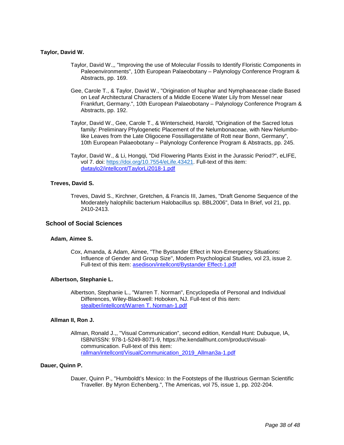## **Taylor, David W.**

- Taylor, David W.,, "Improving the use of Molecular Fossils to Identify Floristic Components in Paleoenvironments", 10th European Palaeobotany – Palynology Conference Program & Abstracts, pp. 169.
- Gee, Carole T., & Taylor, David W., "Origination of Nuphar and Nymphaeaceae clade Based on Leaf Architectural Characters of a Middle Eocene Water Lily from Messel near Frankfurt, Germany.", 10th European Palaeobotany – Palynology Conference Program & Abstracts, pp. 192.
- Taylor, David W., Gee, Carole T., & Winterscheid, Harold, "Origination of the Sacred lotus family: Preliminary Phylogenetic Placement of the Nelumbonaceae, with New Nelumbolike Leaves from the Late Oligocene Fossillagerstätte of Rott near Bonn, Germany", 10th European Palaeobotany – Palynology Conference Program & Abstracts, pp. 245.
- Taylor, David W., & Li, Hongqi, "Did Flowering Plants Exist in the Jurassic Period?", eLIFE, vol 7. doi: [https://doi.org/10.7554/eLife.43421.](https://doi.org/10.7554/eLife.43421) Full-text of this item: [dwtaylo2/intellcont/TaylorLi2018-1.pdf](https://www.digitalmeasures.com/login/indiana/faculty/survey/ui/showFile?file=ZHd0YXlsbzIvaW50ZWxsY29udC9UYXlsb3JMaTIwMTgtMS5wZGY%3D&surId=17689444&nodeId=1610518&sdId=88621254&sdSurId=17689444&rptId=20226&sgntr=X8Mvl0SBiSPJyRfRp1cbqsth%2BvU%3D)

## **Treves, David S.**

Treves, David S., Kirchner, Gretchen, & Francis III, James, "Draft Genome Sequence of the Moderately halophilic bacterium Halobacillus sp. BBL2006", Data In Brief, vol 21, pp. 2410-2413.

## **School of Social Sciences**

#### **Adam, Aimee S.**

Cox, Amanda, & Adam, Aimee, "The Bystander Effect in Non-Emergency Situations: Influence of Gender and Group Size", Modern Psychological Studies, vol 23, issue 2. Full-text of this item: [asedison/intellcont/Bystander Effect-1.pdf](https://www.digitalmeasures.com/login/indiana/faculty/survey/ui/showFile?file=YXNlZGlzb24vaW50ZWxsY29udC9CeXN0YW5kZXIgRWZmZWN0LTEucGRm&surId=17998859&nodeId=1610518&sdId=88527258&sdSurId=17998859&rptId=20226&sgntr=GLIOagdIeHcWGR4nrjisxA6JTyE%3D)

## **Albertson, Stephanie L.**

Albertson, Stephanie L., "Warren T. Norman", Encyclopedia of Personal and Individual Differences, Wiley-Blackwell: Hoboken, NJ. Full-text of this item: [stealber/intellcont/Warren T. Norman-1.pdf](https://www.digitalmeasures.com/login/indiana/faculty/survey/ui/showFile?file=c3RlYWxiZXIvaW50ZWxsY29udC9XYXJyZW4gVC4gTm9ybWFuLTEucGRm&surId=17689312&nodeId=1610518&sdId=69440365&sdSurId=17689312&rptId=20226&sgntr=1khOKHxZywTB3Qhrtyv5NOJ86sE%3D)

#### **Allman II, Ron J.**

Allman, Ronald J.,, "Visual Communication", second edition, Kendall Hunt: Dubuque, IA, ISBN/ISSN: 978-1-5249-8071-9, https://he.kendallhunt.com/product/visualcommunication. Full-text of this item: [rallman/intellcont/VisualCommunication\\_2019\\_Allman3a-1.pdf](https://www.digitalmeasures.com/login/indiana/faculty/survey/ui/showFile?file=cmFsbG1hbi9pbnRlbGxjb250L1Zpc3VhbENvbW11bmljYXRpb25fMjAxOV9BbGxtYW4zYS0xLnBk%0AZg%3D%3D&surId=17689306&nodeId=1610518&sdId=88406620&sdSurId=17689306&rptId=20226&sgntr=z9E2aI6OQVxbx1xXzG0ngvcxwS4%3D)

## **Dauer, Quinn P.**

Dauer, Quinn P., "Humboldt's Mexico: In the Footsteps of the Illustrious German Scientific Traveller. By Myron Echenberg.", The Americas, vol 75, issue 1, pp. 202-204.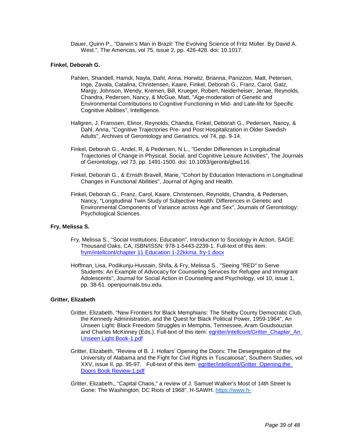Dauer, Quinn P., "Darwin's Man in Brazil: The Evolving Science of Fritz Müller. By David A. West.", The Americas, vol 75, issue 2, pp. 426-428. doi: 10.1017.

## **Finkel, Deborah G.**

- Pahlen, Shandell, Hamdi, Nayla, Dahl, Anna, Horwitz, Brianna, Panizzon, Matt, Petersen, Inge, Zavala, Catalina, Christensen, Kaare, Finkel, Deborah G., Franz, Carol, Gatz, Margy, Johnson, Wendy, Kremen, Bill, Krueger, Robert, Neiderheiser, Jenae, Reynolds, Chandra, Pedersen, Nancy, & McGue, Matt, "Age-moderation of Genetic and Environmental Contributions to Cognitive Functioning in Mid- and Late-life for Specific Cognitive Abilities", Intelligence.
- Hallgren, J, Franssen, Elinor, Reynolds, Chandra, Finkel, Deborah G., Pedersen, Nancy, & Dahl, Anna, "Cognitive Trajectories Pre- and Post Hospitalization in Older Swedish Adults", Archives of Gerontology and Geriatrics, vol 74, pp. 9-14.
- Finkel, Deborah G., Andel, R, & Pedersen, N L., "Gender Differences in Longitudinal Trajectories of Change in Physical, Social, and Cognitive Leisure Activities", The Journals of Gerontology, vol 73, pp. 1491-1500. doi: 10.1093/geronb/gbw116.
- Finkel, Deborah G., & Ernsth Bravell, Marie, "Cohort by Education Interactions in Longitudinal Changes in Functional Abilities", Journal of Aging and Health.
- Finkel, Deborah G., Franz, Carol, Kaare, Christensen, Reynolds, Chandra, & Pedersen, Nancy, "Longitudinal Twin Study of Subjective Health: Differences in Genetic and Environmental Components of Variance across Age and Sex", Journals of Gerontology: Psychological Sciences.

#### **Fry, Melissa S.**

- Fry, Melissa S., "Social Institutions: Education", Introduction to Sociology in Action, SAGE: Thousand Oaks, CA, ISBN/ISSN: 978-1-5443-2239-1. Full-text of this item: [frym/intellcont/chapter 11 Education 1-22kkma\\_fry-1.docx](https://www.digitalmeasures.com/login/indiana/faculty/survey/ui/showFile?file=ZnJ5bS9pbnRlbGxjb250L2NoYXB0ZXIgMTEgRWR1Y2F0aW9uIDEtMjJra21hX2ZyeS0xLmRvY3g%3D&surId=17689296&nodeId=1610518&sdId=69113563&sdSurId=17689296&rptId=20226&sgntr=tx6c4ck6x6cmAG60pGm%2BFaa4Ryg%3D)
- Hoffman, Lisa, Podikunju-Hussain, Shifa, & Fry, Melissa S., "Seeing "RED" to Serve Students: An Example of Advocacy for Counseling Services for Refugee and Immigrant Adolescents", Journal for Social Action in Counseling and Psychology, vol 10, issue 1, pp. 38-61. openjournals.bsu.edu.

#### **Gritter, Elizabeth**

- Gritter, Elizabeth, "New Frontiers for Black Memphians: The Shelby County Democratic Club, the Kennedy Administration, and the Quest for Black Political Power, 1959-1964", An Unseen Light: Black Freedom Struggles in Memphis, Tennessee, Aram Goudsouzian and Charles McKinney (Eds.). Full-text of this item: egritter/intellcont/Gritter\_Chapter\_An [Unseen Light Book-1.pdf](https://www.digitalmeasures.com/login/indiana/faculty/survey/ui/showFile?file=ZWdyaXR0ZXIvaW50ZWxsY29udC9Hcml0dGVyX0NoYXB0ZXJfQW4gVW5zZWVuIExpZ2h0IEJvb2st%0AMS5wZGY%3D&surId=17689295&nodeId=1610518&sdId=78274760&sdSurId=17689295&rptId=20226&sgntr=sNkb4KgmdfVdmTN%2BxK2dCstxbhE%3D)
- Gritter, Elizabeth, "Review of B. J. Hollars' Opening the Doors: The Desegregation of the University of Alabama and the Fight for Civil Rights in Tuscaloosa", Southern Studies, vol XXV, issue II, pp. 95-97. Full-text of this item: [egritter/intellcont/Gritter\\_Opening the](https://www.digitalmeasures.com/login/indiana/faculty/survey/ui/showFile?file=ZWdyaXR0ZXIvaW50ZWxsY29udC9Hcml0dGVyX09wZW5pbmcgdGhlIERvb3JzIEJvb2sgUmV2aWV3%0ALTEucGRm&surId=17689295&nodeId=1610518&sdId=68912500&sdSurId=17689295&rptId=20226&sgntr=IzLZ8Mr942KPV%2BT2ySLeywqmXhc%3D)  [Doors Book Review-1.pdf](https://www.digitalmeasures.com/login/indiana/faculty/survey/ui/showFile?file=ZWdyaXR0ZXIvaW50ZWxsY29udC9Hcml0dGVyX09wZW5pbmcgdGhlIERvb3JzIEJvb2sgUmV2aWV3%0ALTEucGRm&surId=17689295&nodeId=1610518&sdId=68912500&sdSurId=17689295&rptId=20226&sgntr=IzLZ8Mr942KPV%2BT2ySLeywqmXhc%3D)
- Gritter, Elizabeth,, "Capital Chaos," a review of J. Samuel Walker's Most of 14th Street Is Gone: The Washington, DC Riots of 1968", H-SAWH. [https://www.h-](https://www.h-net.org/reviews/showpdf.php?id=52053)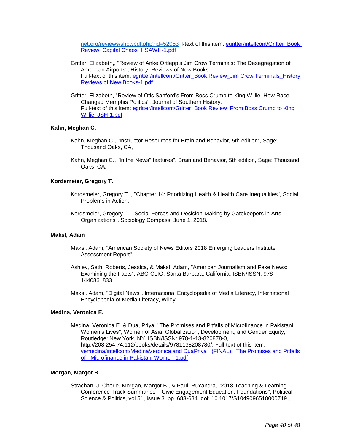[net.org/reviews/showpdf.php?id=52053](https://www.h-net.org/reviews/showpdf.php?id=52053) ll-text of this item[: egritter/intellcont/Gritter\\_Book](https://www.digitalmeasures.com/login/indiana/faculty/survey/ui/showFile?file=ZWdyaXR0ZXIvaW50ZWxsY29udC9Hcml0dGVyX0Jvb2sgUmV2aWV3X0NhcGl0YWwgQ2hhb3NfSFNB%0AV0gtMS5wZGY%3D&surId=17689295&nodeId=1610518&sdId=86809917&sdSurId=17689295&rptId=20226&sgntr=9NHJasvRJNPqND%2F3Ol17Be5SzYo%3D)  [Review\\_Capital Chaos\\_HSAWH-1.pdf](https://www.digitalmeasures.com/login/indiana/faculty/survey/ui/showFile?file=ZWdyaXR0ZXIvaW50ZWxsY29udC9Hcml0dGVyX0Jvb2sgUmV2aWV3X0NhcGl0YWwgQ2hhb3NfSFNB%0AV0gtMS5wZGY%3D&surId=17689295&nodeId=1610518&sdId=86809917&sdSurId=17689295&rptId=20226&sgntr=9NHJasvRJNPqND%2F3Ol17Be5SzYo%3D)

- Gritter, Elizabeth,, "Review of Anke Ortlepp's Jim Crow Terminals: The Desegregation of American Airports", History: Reviews of New Books. Full-text of this item: egritter/intellcont/Gritter\_Book Review\_Jim Crow Terminals\_History [Reviews of New Books-1.pdf](https://www.digitalmeasures.com/login/indiana/faculty/survey/ui/showFile?file=ZWdyaXR0ZXIvaW50ZWxsY29udC9Hcml0dGVyX0Jvb2sgUmV2aWV3X0ppbSBDcm93IFRlcm1pbmFs%0Ac19IaXN0b3J5IFJldmlld3Mgb2YgTmV3IEJvb2tzLTEucGRm&surId=17689295&nodeId=1610518&sdId=86809806&sdSurId=17689295&rptId=20226&sgntr=Rz4KiF0UU6wzfJFAbZ8CIcbYA9c%3D)
- Gritter, Elizabeth, "Review of Otis Sanford's From Boss Crump to King Willie: How Race Changed Memphis Politics", Journal of Southern History. Full-text of this item: egritter/intellcont/Gritter\_Book Review\_From Boss Crump to King [Willie\\_JSH-1.pdf](https://www.digitalmeasures.com/login/indiana/faculty/survey/ui/showFile?file=ZWdyaXR0ZXIvaW50ZWxsY29udC9Hcml0dGVyX0Jvb2sgUmV2aWV3X0Zyb20gQm9zcyBDcnVtcCB0%0AbyBLaW5nIFdpbGxpZV9KU0gtMS5wZGY%3D&surId=17689295&nodeId=1610518&sdId=78274632&sdSurId=17689295&rptId=20226&sgntr=W9pDy7N0jnvsCs8%2FIdWYQRLhp98%3D)

## **Kahn, Meghan C.**

- Kahn, Meghan C., "Instructor Resources for Brain and Behavior, 5th edition", Sage: Thousand Oaks, CA,
- Kahn, Meghan C., "In the News" features", Brain and Behavior, 5th edition, Sage: Thousand Oaks, CA.

## **Kordsmeier, Gregory T.**

- Kordsmeier, Gregory T.,, "Chapter 14: Prioritizing Health & Health Care Inequalities", Social Problems in Action.
- Kordsmeier, Gregory T., "Social Forces and Decision-Making by Gatekeepers in Arts Organizations", Sociology Compass. June 1, 2018.

## **Maksl, Adam**

- Maksl, Adam, "American Society of News Editors 2018 Emerging Leaders Institute Assessment Report".
- Ashley, Seth, Roberts, Jessica, & Maksl, Adam, "American Journalism and Fake News: Examining the Facts", ABC-CLIO: Santa Barbara, California. ISBN/ISSN: 978- 1440861833.
- Maksl, Adam, "Digital News", International Encyclopedia of Media Literacy, International Encyclopedia of Media Literacy, Wiley.

## **Medina, Veronica E.**

Medina, Veronica E. & Dua, Priya, "The Promises and Pitfalls of Microfinance in Pakistani Women's Lives", Women of Asia: Globalization, Development, and Gender Equity, Routledge: New York, NY. ISBN/ISSN: 978-1-13-820878-0, http://208.254.74.112/books/details/9781138208780/. Full-text of this item: [vemedina/intellcont/MedinaVeronica and DuaPriya \(FINAL\) The Promises and Pitfalls](https://www.digitalmeasures.com/login/indiana/faculty/survey/ui/showFile?file=dmVtZWRpbmEvaW50ZWxsY29udC9NZWRpbmFWZXJvbmljYSBhbmQgRHVhUHJpeWEgIChGSU5BTCkg%0AIFRoZSBQcm9taXNlcyBhbmQgUGl0ZmFsbHMgb2YgIE1pY3JvZmluYW5jZSBpbiBQYWtpc3Rhbmkg%0AV29tZW4tMS5wZGY%3D&surId=17689315&nodeId=1610518&sdId=78480609&sdSurId=17689315&rptId=20226&sgntr=hoioZkR3kCqgfz5qLQc8rLFxUO0%3D)  [of Microfinance in Pakistani Women-1.pdf](https://www.digitalmeasures.com/login/indiana/faculty/survey/ui/showFile?file=dmVtZWRpbmEvaW50ZWxsY29udC9NZWRpbmFWZXJvbmljYSBhbmQgRHVhUHJpeWEgIChGSU5BTCkg%0AIFRoZSBQcm9taXNlcyBhbmQgUGl0ZmFsbHMgb2YgIE1pY3JvZmluYW5jZSBpbiBQYWtpc3Rhbmkg%0AV29tZW4tMS5wZGY%3D&surId=17689315&nodeId=1610518&sdId=78480609&sdSurId=17689315&rptId=20226&sgntr=hoioZkR3kCqgfz5qLQc8rLFxUO0%3D)

#### **Morgan, Margot B.**

Strachan, J. Cherie, Morgan, Margot B., & Paul, Ruxandra, "2018 Teaching & Learning Conference Track Summaries – Civic Engagement Education: Foundations", Political Science & Politics, vol 51, issue 3, pp. 683-684. doi: 10.1017/S1049096518000719.,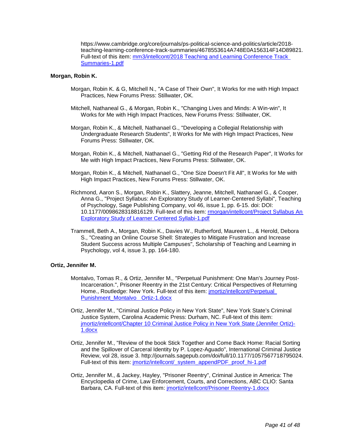https://www.cambridge.org/core/journals/ps-political-science-and-politics/article/2018 teaching-learning-conference-track-summaries/4678553614A748E0A156314F14D89821. Full-text of this item: [mm3/intellcont/2018 Teaching and Learning Conference Track](https://www.digitalmeasures.com/login/indiana/faculty/survey/ui/showFile?file=bW0zL2ludGVsbGNvbnQvMjAxOCBUZWFjaGluZyBhbmQgTGVhcm5pbmcgQ29uZmVyZW5jZSBUcmFj%0AayBTdW1tYXJpZXMtMS5wZGY%3D&surId=17689304&nodeId=1610518&sdId=88556899&sdSurId=17689304&rptId=20226&sgntr=Rr%2F5SA6ZMDzF09z5Stc72RQXbuo%3D)  [Summaries-1.pdf](https://www.digitalmeasures.com/login/indiana/faculty/survey/ui/showFile?file=bW0zL2ludGVsbGNvbnQvMjAxOCBUZWFjaGluZyBhbmQgTGVhcm5pbmcgQ29uZmVyZW5jZSBUcmFj%0AayBTdW1tYXJpZXMtMS5wZGY%3D&surId=17689304&nodeId=1610518&sdId=88556899&sdSurId=17689304&rptId=20226&sgntr=Rr%2F5SA6ZMDzF09z5Stc72RQXbuo%3D)

## **Morgan, Robin K.**

- Morgan, Robin K. & G, Mitchell N., "A Case of Their Own", It Works for me with High Impact Practices, New Forums Press: Stillwater, OK.
- Mitchell, Nathaneal G., & Morgan, Robin K., "Changing Lives and Minds: A Win-win", It Works for Me with High Impact Practices, New Forums Press: Stillwater, OK.
- Morgan, Robin K., & Mitchell, Nathanael G., "Developing a Collegial Relationship with Undergraduate Research Students", It Works for Me with High Impact Practices, New Forums Press: Stillwater, OK.
- Morgan, Robin K., & Mitchell, Nathanael G., "Getting Rid of the Research Paper", It Works for Me with High Impact Practices, New Forums Press: Stillwater, OK.
- Morgan, Robin K., & Mitchell, Nathanael G., "One Size Doesn't Fit All", It Works for Me with High Impact Practices, New Forums Press: Stillwater, OK.
- Richmond, Aaron S., Morgan, Robin K., Slattery, Jeanne, Mitchell, Nathanael G., & Cooper, Anna G., "Project Syllabus: An Exploratory Study of Learner-Centered Syllabi", Teaching of Psychology, Sage Publishing Company, vol 46, issue 1, pp. 6-15. doi: DOI: 10.1177/0098628318816129. Full-text of this item[: rmorgan/intellcont/Project Syllabus An](https://www.digitalmeasures.com/login/indiana/faculty/survey/ui/showFile?file=cm1vcmdhbi9pbnRlbGxjb250L1Byb2plY3QgU3lsbGFidXMgQW4gRXhwbG9yYXRvcnkgU3R1ZHkg%0Ab2YgTGVhcm5lciBDZW50ZXJlZCBTeWxsYWJpLTEucGRm&surId=17689307&nodeId=1610518&sdId=68303513&sdSurId=17689307&rptId=20226&sgntr=%2FlEtozx56v7bIVuaLl8YLNOiLNs%3D)  [Exploratory Study of Learner Centered Syllabi-1.pdf](https://www.digitalmeasures.com/login/indiana/faculty/survey/ui/showFile?file=cm1vcmdhbi9pbnRlbGxjb250L1Byb2plY3QgU3lsbGFidXMgQW4gRXhwbG9yYXRvcnkgU3R1ZHkg%0Ab2YgTGVhcm5lciBDZW50ZXJlZCBTeWxsYWJpLTEucGRm&surId=17689307&nodeId=1610518&sdId=68303513&sdSurId=17689307&rptId=20226&sgntr=%2FlEtozx56v7bIVuaLl8YLNOiLNs%3D)
- Trammell, Beth A., Morgan, Robin K., Davies W., Rutherford, Maureen L., & Herold, Debora S., "Creating an Online Course Shell: Strategies to Mitigate Frustration and Increase Student Success across Multiple Campuses", Scholarship of Teaching and Learning in Psychology, vol 4, issue 3, pp. 164-180.

#### **Ortiz, Jennifer M.**

- Montalvo, Tomas R., & Ortiz, Jennifer M., "Perpetual Punishment: One Man's Journey Post-Incarceration.", Prisoner Reentry in the 21st Century: Critical Perspectives of Returning Home., Routledge: New York. Full-text of this item: *jmortiz/intellcont/Perpetual* Punishment Montalvo Ortiz-1.docx
- Ortiz, Jennifer M., "Criminal Justice Policy in New York State", New York State's Criminal Justice System, Carolina Academic Press: Durham, NC. Full-text of this item: [jmortiz/intellcont/Chapter 10 Criminal Justice Policy in New York State \(Jennifer Ortiz\)-](https://www.digitalmeasures.com/login/indiana/faculty/survey/ui/showFile?file=am1vcnRpei9pbnRlbGxjb250L0NoYXB0ZXIgMTAgQ3JpbWluYWwgSnVzdGljZSBQb2xpY3kgaW4g%0ATmV3IFlvcmsgU3RhdGUgKEplbm5pZmVyIE9ydGl6KS0xLmRvY3g%3D&surId=17829050&nodeId=1610518&sdId=82893477&sdSurId=17829050&rptId=20226&sgntr=2Z4Iu2S7aHJJGbHuHgiXAYuAgzE%3D) [1.docx](https://www.digitalmeasures.com/login/indiana/faculty/survey/ui/showFile?file=am1vcnRpei9pbnRlbGxjb250L0NoYXB0ZXIgMTAgQ3JpbWluYWwgSnVzdGljZSBQb2xpY3kgaW4g%0ATmV3IFlvcmsgU3RhdGUgKEplbm5pZmVyIE9ydGl6KS0xLmRvY3g%3D&surId=17829050&nodeId=1610518&sdId=82893477&sdSurId=17829050&rptId=20226&sgntr=2Z4Iu2S7aHJJGbHuHgiXAYuAgzE%3D)
- Ortiz, Jennifer M., "Review of the book Stick Together and Come Back Home: Racial Sorting and the Spillover of Carceral Identity by P. Lopez-Aguado", International Criminal Justice Review, vol 28, issue 3. http://journals.sagepub.com/doi/full/10.1177/1057567718795024. Full-text of this item: [jmortiz/intellcont/\\_system\\_appendPDF\\_proof\\_hi-1.pdf](https://www.digitalmeasures.com/login/indiana/faculty/survey/ui/showFile?file=am1vcnRpei9pbnRlbGxjb250L19zeXN0ZW1fYXBwZW5kUERGX3Byb29mX2hpLTEucGRm&surId=17829050&nodeId=1610518&sdId=82893457&sdSurId=17829050&rptId=20226&sgntr=3bPi3tJBfVWFr6sds8Jk5SlGQ9A%3D)
- Ortiz, Jennifer M., & Jackey, Hayley, "Prisoner Reentry", Criminal Justice in America: The Encyclopedia of Crime, Law Enforcement, Courts, and Corrections, ABC CLIO: Santa Barbara, CA. Full-text of this item: [jmortiz/intellcont/Prisoner Reentry-1.docx](https://www.digitalmeasures.com/login/indiana/faculty/survey/ui/showFile?file=am1vcnRpei9pbnRlbGxjb250L1ByaXNvbmVyIFJlZW50cnktMS5kb2N4&surId=17829050&nodeId=1610518&sdId=82893542&sdSurId=17829050&rptId=20226&sgntr=vhtEsGIdri9vDA6qGNng5a0VTUY%3D)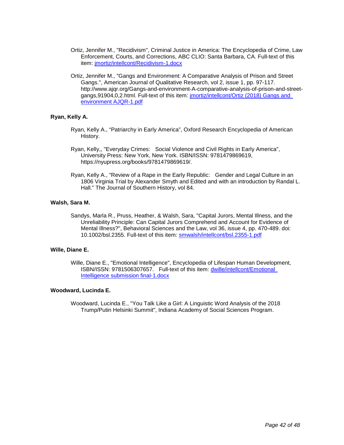- Ortiz, Jennifer M., "Recidivism", Criminal Justice in America: The Encyclopedia of Crime, Law Enforcement, Courts, and Corrections, ABC CLIO: Santa Barbara, CA. Full-text of this item: [jmortiz/intellcont/Recidivism-1.docx](https://www.digitalmeasures.com/login/indiana/faculty/survey/ui/showFile?file=am1vcnRpei9pbnRlbGxjb250L1JlY2lkaXZpc20tMS5kb2N4&surId=17829050&nodeId=1610518&sdId=82893545&sdSurId=17829050&rptId=20226&sgntr=YG%2B0gfnOvOXe9lkTngGAd%2B6YreA%3D)
- Ortiz, Jennifer M., "Gangs and Environment: A Comparative Analysis of Prison and Street Gangs.", American Journal of Qualitative Research, vol 2, issue 1, pp. 97-117. http://www.ajgr.org/Gangs-and-environment-A-comparative-analysis-of-prison-and-streetgangs,91904,0,2.html. Full-text of this item: [jmortiz/intellcont/Ortiz \(2018\) Gangs and](https://www.digitalmeasures.com/login/indiana/faculty/survey/ui/showFile?file=am1vcnRpei9pbnRlbGxjb250L09ydGl6ICgyMDE4KSBHYW5ncyBhbmQgZW52aXJvbm1lbnQgQUpR%0AUi0xLnBkZg%3D%3D&surId=17829050&nodeId=1610518&sdId=82893517&sdSurId=17829050&rptId=20226&sgntr=M5H0gIJ9xrwsB4nqpiAhKe5Yy6g%3D)  [environment AJQR-1.pdf](https://www.digitalmeasures.com/login/indiana/faculty/survey/ui/showFile?file=am1vcnRpei9pbnRlbGxjb250L09ydGl6ICgyMDE4KSBHYW5ncyBhbmQgZW52aXJvbm1lbnQgQUpR%0AUi0xLnBkZg%3D%3D&surId=17829050&nodeId=1610518&sdId=82893517&sdSurId=17829050&rptId=20226&sgntr=M5H0gIJ9xrwsB4nqpiAhKe5Yy6g%3D)

## **Ryan, Kelly A.**

- Ryan, Kelly A., "Patriarchy in Early America", Oxford Research Encyclopedia of American History.
- Ryan, Kelly,, "Everyday Crimes: Social Violence and Civil Rights in Early America", University Press: New York, New York. ISBN/ISSN: 9781479869619, https://nyupress.org/books/9781479869619/.
- Ryan, Kelly A., "Review of a Rape in the Early Republic: Gender and Legal Culture in an 1806 Virginia Trial by Alexander Smyth and Edited and with an introduction by Randal L. Hall." The Journal of Southern History, vol 84.

## **Walsh, Sara M.**

Sandys, Marla R., Pruss, Heather, & Walsh, Sara, "Capital Jurors, Mental Illness, and the Unreliability Principle: Can Capital Jurors Comprehend and Account for Evidence of Mental Illness?", Behavioral Sciences and the Law, vol 36, issue 4, pp. 470-489. doi: 10.1002/bsl.2355. Full-text of this item: [smwalsh/intellcont/bsl.2355-1.pdf](https://www.digitalmeasures.com/login/indiana/faculty/survey/ui/showFile?file=c213YWxzaC9pbnRlbGxjb250L2JzbC4yMzU1LTEucGRm&surId=17689311&nodeId=1610518&sdId=78189801&sdSurId=17689311&rptId=20226&sgntr=WqTmBZe2cjI6T2pKU2vPV74x2K8%3D)

## **Wille, Diane E.**

Wille, Diane E., "Emotional Intelligence", Encyclopedia of Lifespan Human Development, ISBN/ISSN: 9781506307657. Full-text of this item: [dwille/intellcont/Emotional](https://www.digitalmeasures.com/login/indiana/faculty/survey/ui/showFile?file=ZHdpbGxlL2ludGVsbGNvbnQvRW1vdGlvbmFsIEludGVsbGlnZW5jZSBzdWJtaXNzaW9uIGZpbmFs%0ALTEuZG9jeA%3D%3D&surId=17689294&nodeId=1610518&sdId=69428498&sdSurId=17689294&rptId=20226&sgntr=TX%2FKmTXw4ypKhE%2FFPHSYNYO7e7U%3D)  [Intelligence submission final-1.docx](https://www.digitalmeasures.com/login/indiana/faculty/survey/ui/showFile?file=ZHdpbGxlL2ludGVsbGNvbnQvRW1vdGlvbmFsIEludGVsbGlnZW5jZSBzdWJtaXNzaW9uIGZpbmFs%0ALTEuZG9jeA%3D%3D&surId=17689294&nodeId=1610518&sdId=69428498&sdSurId=17689294&rptId=20226&sgntr=TX%2FKmTXw4ypKhE%2FFPHSYNYO7e7U%3D)

## **Woodward, Lucinda E.**

Woodward, Lucinda E., "You Talk Like a Girl: A Linguistic Word Analysis of the 2018 Trump/Putin Helsinki Summit", Indiana Academy of Social Sciences Program.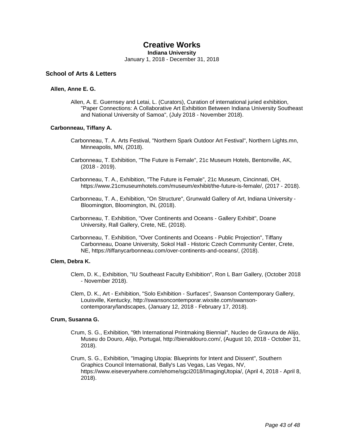## **Creative Works**

**Indiana University**

January 1, 2018 - December 31, 2018

## **School of Arts & Letters**

## **Allen, Anne E. G.**

Allen, A. E. Guernsey and Letai, L. (Curators), Curation of international juried exhibition, "Paper Connections: A Collaborative Art Exhibition Between Indiana University Southeast and National University of Samoa", (July 2018 - November 2018).

## **Carbonneau, Tiffany A.**

- Carbonneau, T. A. Arts Festival, "Northern Spark Outdoor Art Festival", Northern Lights.mn, Minneapolis, MN, (2018).
- Carbonneau, T. Exhibition, "The Future is Female", 21c Museum Hotels, Bentonville, AK, (2018 - 2019).
- Carbonneau, T. A., Exhibition, "The Future is Female", 21c Museum, Cincinnati, OH, https://www.21cmuseumhotels.com/museum/exhibit/the-future-is-female/, (2017 - 2018).
- Carbonneau, T. A., Exhibition, "On Structure", Grunwald Gallery of Art, Indiana University Bloomington, Bloomington, IN, (2018).
- Carbonneau, T. Exhibition, "Over Continents and Oceans Gallery Exhibit", Doane University, Rall Gallery, Crete, NE, (2018).
- Carbonneau, T. Exhibition, "Over Continents and Oceans Public Projection", Tiffany Carbonneau, Doane University, Sokol Hall - Historic Czech Community Center, Crete, NE, https://tiffanycarbonneau.com/over-continents-and-oceans/, (2018).

## **Clem, Debra K.**

- Clem, D. K., Exhibition, "IU Southeast Faculty Exhibition", Ron L Barr Gallery, (October 2018 - November 2018).
- Clem, D. K., Art Exhibition, "Solo Exhibition Surfaces", Swanson Contemporary Gallery, Louisville, Kentucky, http://swansoncontemporar.wixsite.com/swansoncontemporary/landscapes, (January 12, 2018 - February 17, 2018).

## **Crum, Susanna G.**

- Crum, S. G., Exhibition, "9th International Printmaking Biennial", Nucleo de Gravura de Alijo, Museu do Douro, Alijo, Portugal, http://bienaldouro.com/, (August 10, 2018 - October 31, 2018).
- Crum, S. G., Exhibition, "Imaging Utopia: Blueprints for Intent and Dissent", Southern Graphics Council International, Bally's Las Vegas, Las Vegas, NV, https://www.eiseverywhere.com/ehome/sgci2018/ImagingUtopia/, (April 4, 2018 - April 8, 2018).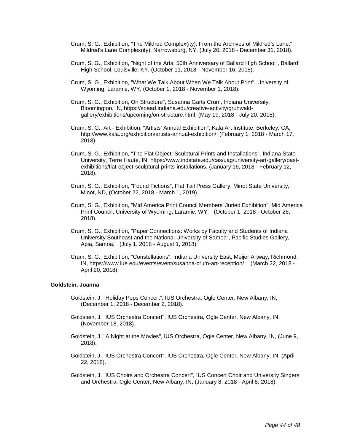- Crum, S. G., Exhibition, "The Mildred Complex(ity): From the Archives of Mildred's Lane,", Mildred's Lane Complex(ity), Narrowsburg, NY, (July 20, 2018 - December 31, 2018).
- Crum, S. G., Exhibition, "Night of the Arts: 50th Anniversary of Ballard High School", Ballard High School, Louisville, KY, (October 11, 2018 - November 16, 2018).
- Crum, S. G., Exhibition, "What We Talk About When We Talk About Print", University of Wyoming, Laramie, WY, (October 1, 2018 - November 1, 2018).
- Crum, S. G., Exhibition, On Structure", Susanna Garts Crum, Indiana University, Bloomington, IN, https://soaad.indiana.edu/creative-activity/grunwaldgallery/exhibitions/upcoming/on-structure.html, (May 19, 2018 - July 20, 2018).
- Crum, S. G., Art Exhibition, "Artists' Annual Exhibition", Kala Art Institute, Berkeley, CA, http://www.kala.org/exhibition/artists-annual-exhibition/, (February 1, 2018 - March 17, 2018).
- Crum, S. G., Exhibition, "The Flat Object: Sculptural Prints and Installations", Indiana State University, Terre Haute, IN, https://www.indstate.edu/cas/uag/university-art-gallery/pastexhibitions/flat-object-sculptural-prints-installations, (January 16, 2018 - February 12, 2018).
- Crum, S. G., Exhibition, "Found Fictions", Flat Tail Press Gallery, Minot State University, Minot, ND, (October 22, 2018 - March 1, 2019).
- Crum, S. G., Exhibition, "Mid America Print Council Members' Juried Exhibition", Mid America Print Council, University of Wyoming, Laramie, WY, (October 1, 2018 - October 26, 2018).
- Crum, S. G., Exhibition, "Paper Connections: Works by Faculty and Students of Indiana University Southeast and the National University of Samoa", Pacific Studies Gallery, Apia, Samoa, (July 1, 2018 - August 1, 2018).
- Crum, S. G., Exhibition, "Constellations", Indiana University East, Meijer Artway, Richmond, IN, https://www.iue.edu/events/event/susanna-crum-art-reception/, (March 22, 2018 - April 20, 2018).

## **Goldstein, Joanna**

- Goldstein, J. "Holiday Pops Concert", IUS Orchestra, Ogle Center, New Albany, IN, (December 1, 2018 - December 2, 2018).
- Goldstein, J. "IUS Orchestra Concert", IUS Orchestra, Ogle Center, New Albany, IN, (November 18, 2018).
- Goldstein, J. "A Night at the Movies", IUS Orchestra, Ogle Center, New Albany, IN, (June 9, 2018).
- Goldstein, J. "IUS Orchestra Concert", IUS Orchestra, Ogle Center, New Albany, IN, (April 22, 2018).
- Goldstein, J. "IUS Choirs and Orchestra Concert", IUS Concert Choir and University Singers and Orchestra, Ogle Center, New Albany, IN, (January 8, 2018 - April 8, 2018).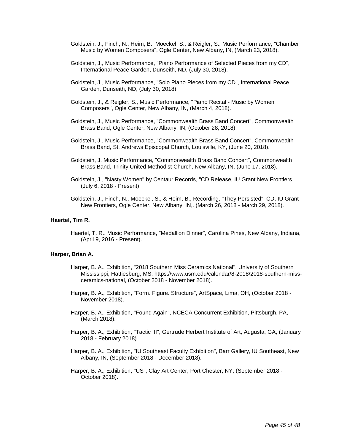- Goldstein, J., Finch, N., Heim, B., Moeckel, S., & Reigler, S., Music Performance, "Chamber Music by Women Composers", Ogle Center, New Albany, IN, (March 23, 2018).
- Goldstein, J., Music Performance, "Piano Performance of Selected Pieces from my CD", International Peace Garden, Dunseith, ND, (July 30, 2018).
- Goldstein, J., Music Performance, "Solo Piano Pieces from my CD", International Peace Garden, Dunseith, ND, (July 30, 2018).
- Goldstein, J., & Reigler, S., Music Performance, "Piano Recital Music by Women Composers", Ogle Center, New Albany, IN, (March 4, 2018).
- Goldstein, J., Music Performance, "Commonwealth Brass Band Concert", Commonwealth Brass Band, Ogle Center, New Albany, IN, (October 28, 2018).
- Goldstein, J., Music Performance, "Commonwealth Brass Band Concert", Commonwealth Brass Band, St. Andrews Episcopal Church, Louisville, KY, (June 20, 2018).
- Goldstein, J. Music Performance, "Commonwealth Brass Band Concert", Commonwealth Brass Band, Trinity United Methodist Church, New Albany, IN, (June 17, 2018).
- Goldstein, J., "Nasty Women" by Centaur Records, "CD Release, IU Grant New Frontiers, (July 6, 2018 - Present).
- Goldstein, J., Finch, N., Moeckel, S., & Heim, B., Recording, "They Persisted", CD, IU Grant New Frontiers, Ogle Center, New Albany, IN,. (March 26, 2018 - March 29, 2018).

## **Haertel, Tim R.**

Haertel, T. R., Music Performance, "Medallion Dinner", Carolina Pines, New Albany, Indiana, (April 9, 2016 - Present).

## **Harper, Brian A.**

- Harper, B. A., Exhibition, "2018 Southern Miss Ceramics National", University of Southern Mississippi, Hattiesburg, MS, https://www.usm.edu/calendar/8-2018/2018-southern-missceramics-national, (October 2018 - November 2018).
- Harper, B. A., Exhibition, "Form. Figure. Structure", ArtSpace, Lima, OH, (October 2018 November 2018).
- Harper, B. A., Exhibition, "Found Again", NCECA Concurrent Exhibition, Pittsburgh, PA, (March 2018).
- Harper, B. A., Exhibition, "Tactic III", Gertrude Herbert Institute of Art, Augusta, GA, (January 2018 - February 2018).
- Harper, B. A., Exhibition, "IU Southeast Faculty Exhibition", Barr Gallery, IU Southeast, New Albany, IN, (September 2018 - December 2018).
- Harper, B. A., Exhibition, "US", Clay Art Center, Port Chester, NY, (September 2018 October 2018).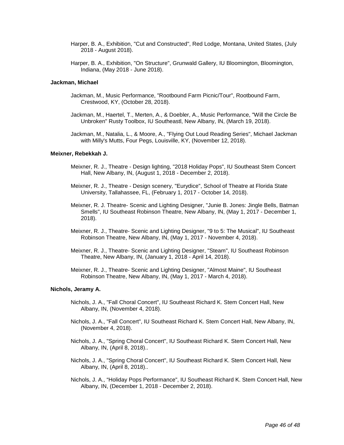- Harper, B. A., Exhibition, "Cut and Constructed", Red Lodge, Montana, United States, (July 2018 - August 2018).
- Harper, B. A., Exhibition, "On Structure", Grunwald Gallery, IU Bloomington, Bloomington, Indiana, (May 2018 - June 2018).

#### **Jackman, Michael**

- Jackman, M., Music Performance, "Rootbound Farm Picnic/Tour", Rootbound Farm, Crestwood, KY, (October 28, 2018).
- Jackman, M., Haertel, T., Merten, A., & Doebler, A., Music Performance, "Will the Circle Be Unbroken" Rusty Toolbox, IU Southeastl, New Albany, IN, (March 19, 2018).
- Jackman, M., Natalia, L., & Moore, A., "Flying Out Loud Reading Series", Michael Jackman with Milly's Mutts, Four Pegs, Louisville, KY, (November 12, 2018).

### **Meixner, Rebekkah J.**

- Meixner, R. J., Theatre Design lighting, "2018 Holiday Pops", IU Southeast Stem Concert Hall, New Albany, IN, (August 1, 2018 - December 2, 2018).
- Meixner, R. J., Theatre Design scenery, "Eurydice", School of Theatre at Florida State University, Tallahassee, FL, (February 1, 2017 - October 14, 2018).
- Meixner, R. J. Theatre- Scenic and Lighting Designer, "Junie B. Jones: Jingle Bells, Batman Smells", IU Southeast Robinson Theatre, New Albany, IN, (May 1, 2017 - December 1, 2018).
- Meixner, R. J., Theatre- Scenic and Lighting Designer, "9 to 5: The Musical", IU Southeast Robinson Theatre, New Albany, IN, (May 1, 2017 - November 4, 2018).
- Meixner, R. J., Theatre- Scenic and Lighting Designer, "Steam", IU Southeast Robinson Theatre, New Albany, IN, (January 1, 2018 - April 14, 2018).
- Meixner, R. J., Theatre- Scenic and Lighting Designer, "Almost Maine", IU Southeast Robinson Theatre, New Albany, IN, (May 1, 2017 - March 4, 2018).

#### **Nichols, Jeramy A.**

- Nichols, J. A., "Fall Choral Concert", IU Southeast Richard K. Stem Concert Hall, New Albany, IN, (November 4, 2018).
- Nichols, J. A., "Fall Concert", IU Southeast Richard K. Stem Concert Hall, New Albany, IN, (November 4, 2018).
- Nichols, J. A., "Spring Choral Concert", IU Southeast Richard K. Stem Concert Hall, New Albany, IN, (April 8, 2018)..
- Nichols, J. A., "Spring Choral Concert", IU Southeast Richard K. Stem Concert Hall, New Albany, IN, (April 8, 2018)..
- Nichols, J. A., "Holiday Pops Performance", IU Southeast Richard K. Stem Concert Hall, New Albany, IN, (December 1, 2018 - December 2, 2018).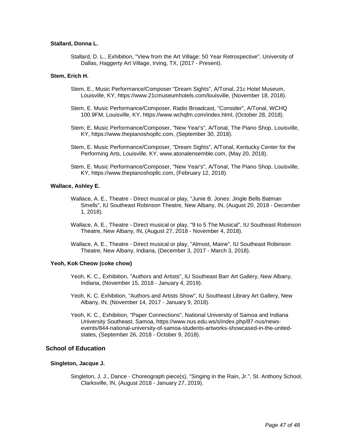## **Stallard, Donna L.**

Stallard, D. L., Exhibition, "View from the Art Village: 50 Year Retrospective", University of Dallas, Haggerty Art Village, Irving, TX, (2017 - Present).

## **Stem, Erich H.**

- Stem, E., Music Performance/Composer "Dream Sights", A/Tonal, 21c Hotel Museum, Louisville, KY, https://www.21cmuseumhotels.com/louisville, (November 18, 2018).
- Stem, E. Music Performance/Composer, Radio Broadcast, "Consider", A/Tonal, WCHQ 100.9FM, Louisville, KY, https://www.wchqfm.com/index.html, (October 28, 2018).
- Stem, E. Music Performance/Composer, "New Year's", A/Tonal, The Piano Shop, Louisville, KY, https://www.thepianoshopllc.com, (September 30, 2018).
- Stem, E. Music Performance/Composer, "Dream Sights", A/Tonal, Kentucky Center for the Performing Arts, Louisville, KY, www.atonalensemble.com, (May 20, 2018).
- Stem, E. Music Performance/Composer, "New Year's", A/Tonal, The Piano Shop, Louisville, KY, https://www.thepianoshopllc.com, (February 12, 2018).

## **Wallace, Ashley E.**

- Wallace, A. E., Theatre Direct musical or play, "Junie B. Jones: Jingle Bells Batman Smells", IU Southeast Robinson Theatre, New Albany, IN, (August 20, 2018 - December 1, 2018).
- Wallace, A. E., Theatre Direct musical or play, "9 to 5 The Musical", IU Southeast Robinson Theatre, New Albany, IN, (August 27, 2018 - November 4, 2018).
- Wallace, A. E., Theatre Direct musical or play, "Almost, Maine", IU Southeast Robinson Theatre, New Albany, Indiana, (December 3, 2017 - March 3, 2018).

## **Yeoh, Kok Cheow (coke chow)**

- Yeoh, K. C., Exhibition, "Authors and Artists", IU Southeast Barr Art Gallery, New Albany, Indiana, (November 15, 2018 - January 4, 2019).
- Yeoh, K. C. Exhibition, "Authors and Artists Show", IU Southeast Library Art Gallery, New Albany, IN, (November 14, 2017 - January 9, 2018).
- Yeoh, K. C., Exhibition, "Paper Connections", National University of Samoa and Indiana University Southeast, Samoa, https://www.nus.edu.ws/s/index.php/87-nus/newsevents/844-national-university-of-samoa-students-artworks-showcased-in-the-unitedstates, (September 26, 2018 - October 9, 2018).

## **School of Education**

#### **Singleton, Jacque J.**

Singleton, J. J., Dance - Choreograph piece(s), "Singing in the Rain, Jr.", St. Anthony School, Clarksville, IN, (August 2018 - January 27, 2019).